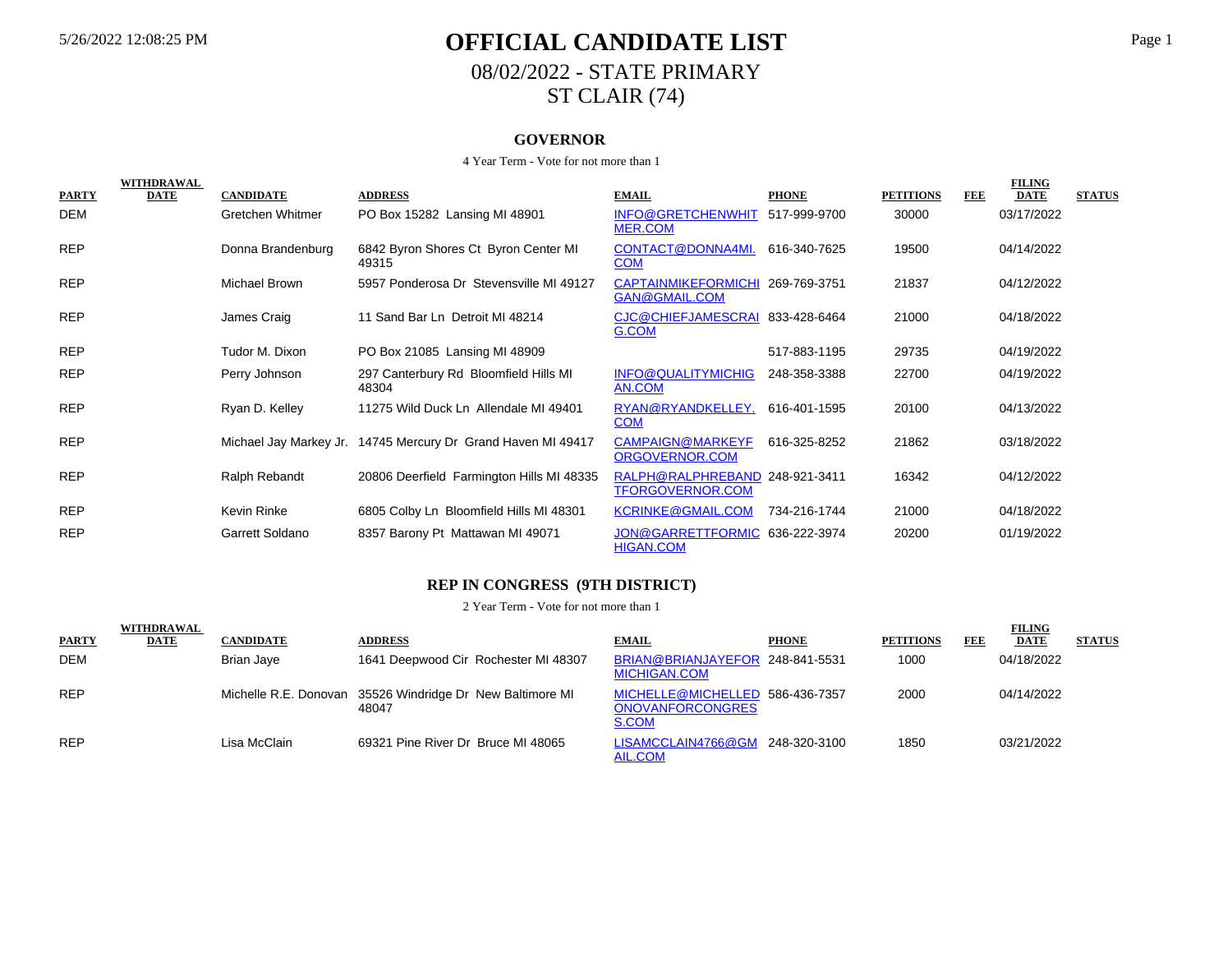# 5/26/2022 12:08:25 PM **OFFICIAL CANDIDATE LIST** Page 1 08/02/2022 - STATE PRIMARY ST CLAIR (74)

#### **GOVERNOR**

#### 4 Year Term - Vote for not more than 1

|              | <b>WITHDRAWAL</b> |                   |                                                              |                                                           |              |                  |            | <b>FILING</b> |               |
|--------------|-------------------|-------------------|--------------------------------------------------------------|-----------------------------------------------------------|--------------|------------------|------------|---------------|---------------|
| <b>PARTY</b> | <b>DATE</b>       | <b>CANDIDATE</b>  | <b>ADDRESS</b>                                               | <b>EMAIL</b>                                              | <b>PHONE</b> | <b>PETITIONS</b> | <b>FEE</b> | <b>DATE</b>   | <b>STATUS</b> |
| DEM          |                   | Gretchen Whitmer  | PO Box 15282 Lansing MI 48901                                | INFO@GRETCHENWHIT 517-999-9700<br>MER.COM                 |              | 30000            |            | 03/17/2022    |               |
| <b>REP</b>   |                   | Donna Brandenburg | 6842 Byron Shores Ct Byron Center MI<br>49315                | CONTACT@DONNA4MI.<br><b>COM</b>                           | 616-340-7625 | 19500            |            | 04/14/2022    |               |
| <b>REP</b>   |                   | Michael Brown     | 5957 Ponderosa Dr Stevensville MI 49127                      | CAPTAINMIKEFORMICHI 269-769-3751<br>GAN@GMAIL.COM         |              | 21837            |            | 04/12/2022    |               |
| <b>REP</b>   |                   | James Craig       | 11 Sand Bar Ln Detroit MI 48214                              | CJC@CHIEFJAMESCRAI 833-428-6464<br>G.COM                  |              | 21000            |            | 04/18/2022    |               |
| <b>REP</b>   |                   | Tudor M. Dixon    | PO Box 21085 Lansing MI 48909                                |                                                           | 517-883-1195 | 29735            |            | 04/19/2022    |               |
| <b>REP</b>   |                   | Perry Johnson     | 297 Canterbury Rd Bloomfield Hills MI<br>48304               | INFO@QUALITYMICHIG<br>AN.COM                              | 248-358-3388 | 22700            |            | 04/19/2022    |               |
| <b>REP</b>   |                   | Ryan D. Kelley    | 11275 Wild Duck Ln Allendale MI 49401                        | RYAN@RYANDKELLEY.<br><b>COM</b>                           | 616-401-1595 | 20100            |            | 04/13/2022    |               |
| <b>REP</b>   |                   |                   | Michael Jay Markey Jr. 14745 Mercury Dr Grand Haven MI 49417 | <b>CAMPAIGN@MARKEYF</b><br>ORGOVERNOR.COM                 | 616-325-8252 | 21862            |            | 03/18/2022    |               |
| <b>REP</b>   |                   | Ralph Rebandt     | 20806 Deerfield Farmington Hills MI 48335                    | RALPH@RALPHREBAND 248-921-3411<br><b>TFORGOVERNOR.COM</b> |              | 16342            |            | 04/12/2022    |               |
| <b>REP</b>   |                   | Kevin Rinke       | 6805 Colby Ln Bloomfield Hills MI 48301                      | <b>KCRINKE@GMAIL.COM</b>                                  | 734-216-1744 | 21000            |            | 04/18/2022    |               |
| <b>REP</b>   |                   | Garrett Soldano   | 8357 Barony Pt Mattawan MI 49071                             | JON@GARRETTFORMIC 636-222-3974<br><b>HIGAN.COM</b>        |              | 20200            |            | 01/19/2022    |               |

#### **REP IN CONGRESS (9TH DISTRICT)**

|              | WITHDRAWAL |                  |                                                                    |                                                                     |              |                  |            | <b>FILING</b> |               |
|--------------|------------|------------------|--------------------------------------------------------------------|---------------------------------------------------------------------|--------------|------------------|------------|---------------|---------------|
| <b>PARTY</b> | DATE       | <b>CANDIDATE</b> | <b>ADDRESS</b>                                                     | <b>EMAIL</b>                                                        | <b>PHONE</b> | <b>PETITIONS</b> | <b>FEE</b> | <b>DATE</b>   | <b>STATUS</b> |
| DEM          |            | Brian Jaye       | 1641 Deepwood Cir Rochester MI 48307                               | BRIAN@BRIANJAYEFOR 248-841-5531<br><b>MICHIGAN.COM</b>              |              | 1000             |            | 04/18/2022    |               |
| <b>REP</b>   |            |                  | Michelle R.E. Donovan 35526 Windridge Dr New Baltimore MI<br>48047 | MICHELLE@MICHELLED 586-436-7357<br><b>ONOVANFORCONGRES</b><br>S.COM |              | 2000             |            | 04/14/2022    |               |
| <b>REP</b>   |            | Lisa McClain     | 69321 Pine River Dr Bruce MI 48065                                 | LISAMCCLAIN4766@GM 248-320-3100<br>AIL.COM                          |              | 1850             |            | 03/21/2022    |               |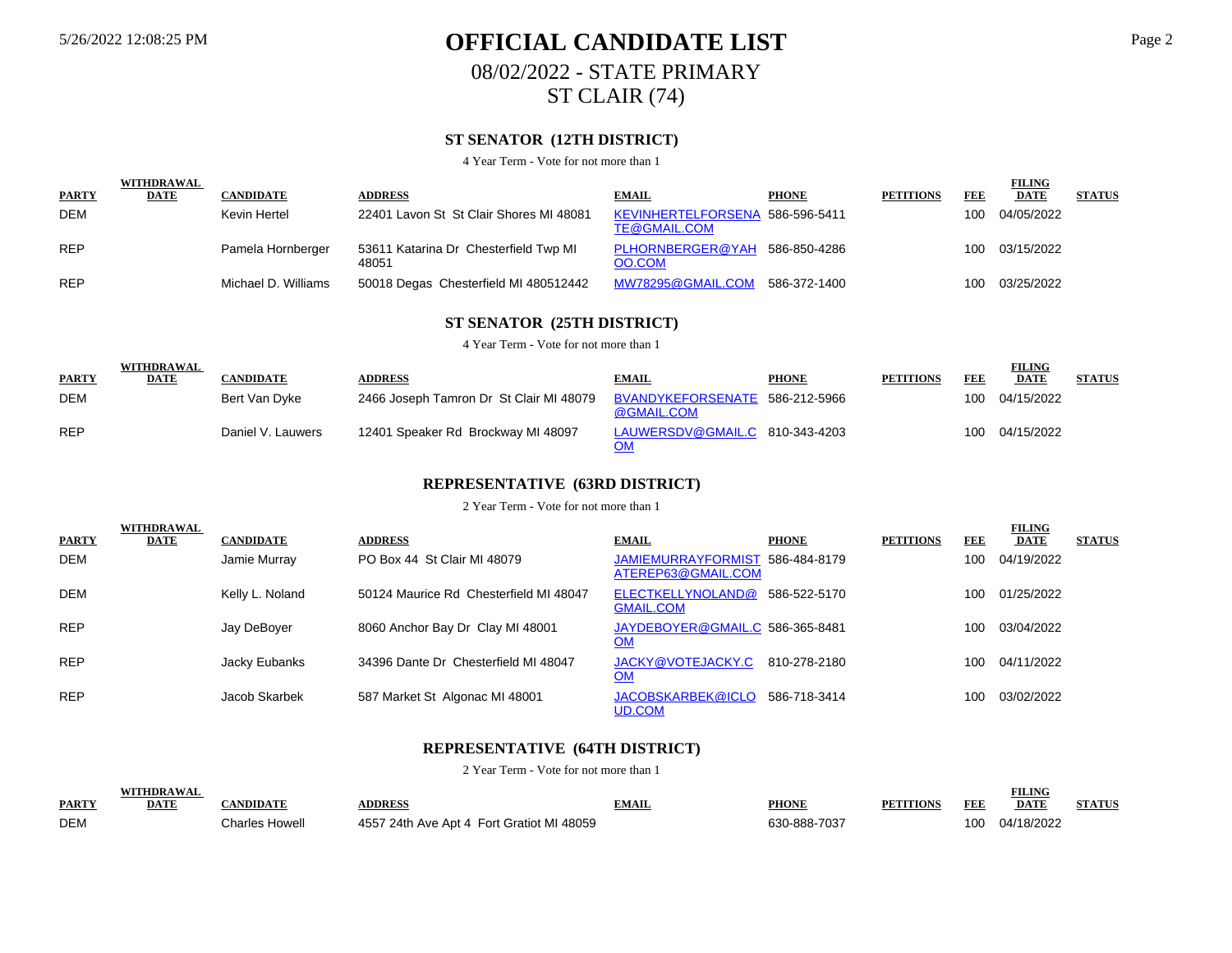# 5/26/2022 12:08:25 PM **OFFICIAL CANDIDATE LIST** Page 2 08/02/2022 - STATE PRIMARY ST CLAIR (74)

## **ST SENATOR (12TH DISTRICT)**

4 Year Term - Vote for not more than 1

|              | <b>WITHDRAWAL</b> |                     |                                                |                                                 |              |                  |     | <b>FILING</b>  |               |
|--------------|-------------------|---------------------|------------------------------------------------|-------------------------------------------------|--------------|------------------|-----|----------------|---------------|
| <b>PARTY</b> | <b>DATE</b>       | <b>CANDIDATE</b>    | <b>ADDRESS</b>                                 | <b>EMAIL</b>                                    | <b>PHONE</b> | <b>PETITIONS</b> | FEE | <b>DATE</b>    | <b>STATUS</b> |
| <b>DEM</b>   |                   | Kevin Hertel        | 22401 Lavon St St Clair Shores MI 48081        | KEVINHERTELFORSENA 586-596-5411<br>TE@GMAIL.COM |              |                  | 100 | 04/05/2022     |               |
| <b>REP</b>   |                   | Pamela Hornberger   | 53611 Katarina Dr Chesterfield Twp MI<br>48051 | PLHORNBERGER@YAH 586-850-4286<br>OO.COM         |              |                  |     | 100 03/15/2022 |               |
| <b>REP</b>   |                   | Michael D. Williams | 50018 Degas Chesterfield MI 480512442          | MW78295@GMAIL.COM                               | 586-372-1400 |                  | 100 | 03/25/2022     |               |

## **ST SENATOR (25TH DISTRICT)**

4 Year Term - Vote for not more than 1

|              | WITHDRAWAL  |                   |                                         |                                              |              |                  |     | <b>FILING</b> |               |
|--------------|-------------|-------------------|-----------------------------------------|----------------------------------------------|--------------|------------------|-----|---------------|---------------|
| <b>PARTY</b> | <b>DATE</b> | <b>CANDIDATE</b>  | <b>ADDRESS</b>                          | <b>EMAIL</b>                                 | <b>PHONE</b> | <b>PETITIONS</b> | FEE | <b>DATE</b>   | <b>STATUS</b> |
| <b>DEM</b>   |             | Bert Van Dyke     | 2466 Joseph Tamron Dr St Clair MI 48079 | BVANDYKEFORSENATE 586-212-5966<br>@GMAIL.COM |              |                  | 100 | 04/15/2022    |               |
| <b>REP</b>   |             | Daniel V. Lauwers | 12401 Speaker Rd Brockway MI 48097      | LAUWERSDV@GMAIL.C 810-343-4203               |              |                  | 100 | 04/15/2022    |               |

#### **REPRESENTATIVE (63RD DISTRICT)**

2 Year Term - Vote for not more than 1

|              | <b>WITHDRAWAL</b> |                  |                                        |                                                       |              |                  |            | <b>FILING</b> |               |
|--------------|-------------------|------------------|----------------------------------------|-------------------------------------------------------|--------------|------------------|------------|---------------|---------------|
| <b>PARTY</b> | <b>DATE</b>       | <b>CANDIDATE</b> | <b>ADDRESS</b>                         | <b>EMAIL</b>                                          | <b>PHONE</b> | <b>PETITIONS</b> | <b>FEE</b> | <b>DATE</b>   | <b>STATUS</b> |
| <b>DEM</b>   |                   | Jamie Murray     | PO Box 44 St Clair MI 48079            | JAMIEMURRAYFORMIST 586-484-8179<br>ATEREP63@GMAIL.COM |              |                  | 100        | 04/19/2022    |               |
| <b>DEM</b>   |                   | Kelly L. Noland  | 50124 Maurice Rd Chesterfield MI 48047 | ELECTKELLYNOLAND@ 586-522-5170<br><b>GMAIL.COM</b>    |              |                  | 100        | 01/25/2022    |               |
| <b>REP</b>   |                   | Jay DeBoyer      | 8060 Anchor Bay Dr Clay MI 48001       | JAYDEBOYER@GMAIL.C 586-365-8481<br><u>OM</u>          |              |                  | 100        | 03/04/2022    |               |
| <b>REP</b>   |                   | Jacky Eubanks    | 34396 Dante Dr Chesterfield MI 48047   | JACKY@VOTEJACKY.C<br><u>OM</u>                        | 810-278-2180 |                  | 100        | 04/11/2022    |               |
| <b>REP</b>   |                   | Jacob Skarbek    | 587 Market St Algonac MI 48001         | JACOBSKARBEK@ICLO<br>UD.COM                           | 586-718-3414 |                  | 100        | 03/02/2022    |               |

### **REPRESENTATIVE (64TH DISTRICT)**

|              | <b>UTTIDD A WA</b> |               |                                           |                 |                           |             |     | <b>EILING</b><br>TETIAL |        |
|--------------|--------------------|---------------|-------------------------------------------|-----------------|---------------------------|-------------|-----|-------------------------|--------|
| <b>PARTY</b> | DAT                |               | <b>DDRES</b>                              | DA C<br>AVLATIL | <b>PHONE</b>              | PF"<br>ламс | FEE | <b>DATE</b>             | A TITE |
| <b>DEM</b>   |                    | :harles Howel | 4557 24th Ave Apt 4 Fort Gratiot MI 48059 |                 | $30-888.7$<br>702<br>, uu |             | 100 | 04/18/2022              |        |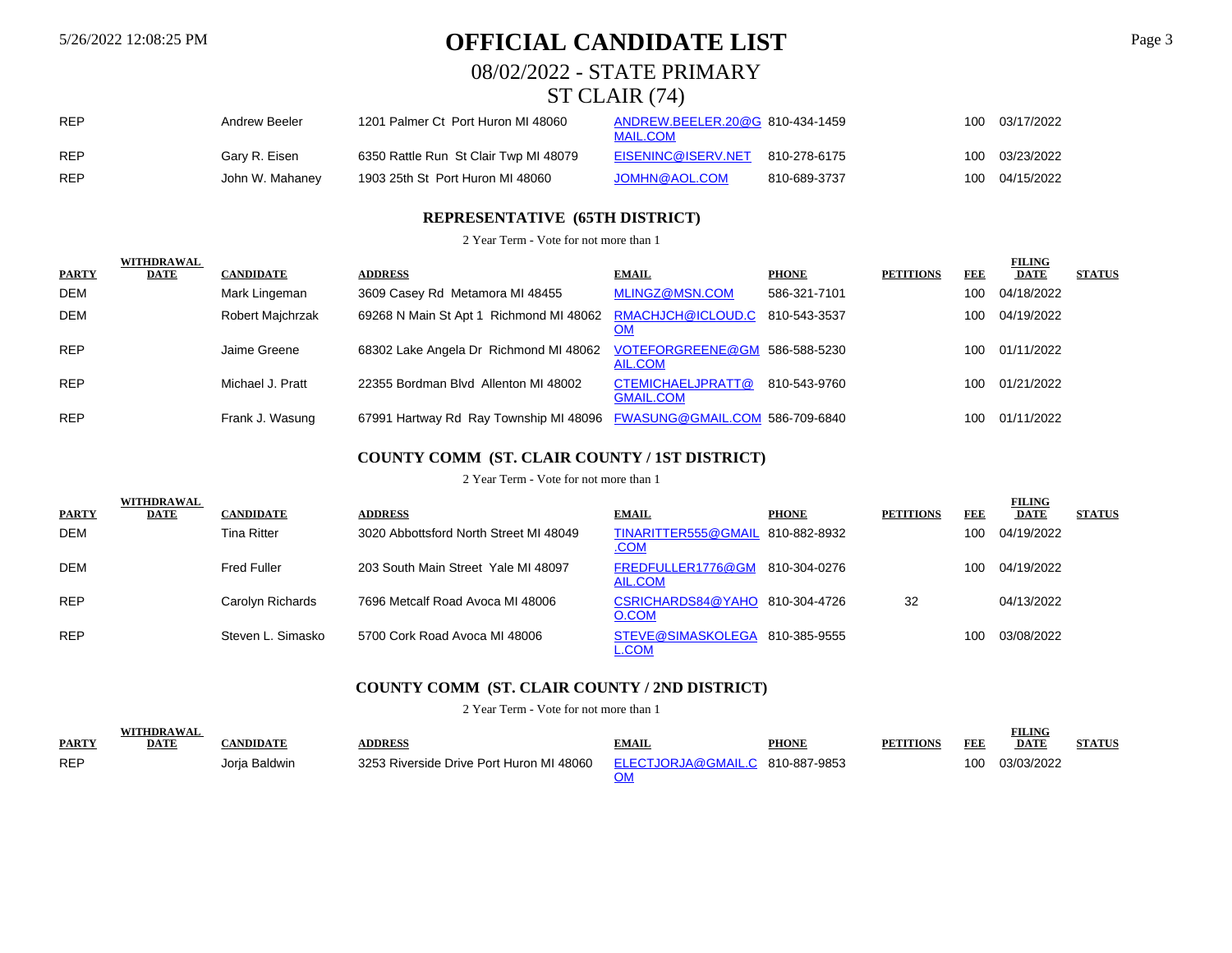# 5/26/2022 12:08:25 PM **OFFICIAL CANDIDATE LIST** Page 3

08/02/2022 - STATE PRIMARY

# ST CLAIR (74)

| <b>REP</b> | Andrew Beeler   | 1201 Palmer Ct Port Huron MI 48060    | ANDREW.BEELER.20@G 810-434-1459<br><b>MAIL.COM</b> |              | 100 | 03/17/2022 |
|------------|-----------------|---------------------------------------|----------------------------------------------------|--------------|-----|------------|
| <b>REP</b> | Gary R. Eisen   | 6350 Rattle Run St Clair Twp MI 48079 | EISENINC@ISERV.NET                                 | 810-278-6175 | 100 | 03/23/2022 |
| <b>REP</b> | John W. Mahaney | 1903 25th St Port Huron MI 48060      | JOMHN@AOL.COM                                      | 810-689-3737 | 100 | 04/15/2022 |

### **REPRESENTATIVE (65TH DISTRICT)**

2 Year Term - Vote for not more than 1

|              | WITHDRAWAL  |                  |                                                                        |                                       |              |                  |            | <b>FILING</b> |               |
|--------------|-------------|------------------|------------------------------------------------------------------------|---------------------------------------|--------------|------------------|------------|---------------|---------------|
| <b>PARTY</b> | <b>DATE</b> | <b>CANDIDATE</b> | <b>ADDRESS</b>                                                         | <b>EMAIL</b>                          | <b>PHONE</b> | <b>PETITIONS</b> | <b>FEE</b> | <b>DATE</b>   | <b>STATUS</b> |
| <b>DEM</b>   |             | Mark Lingeman    | 3609 Casey Rd Metamora MI 48455                                        | MLINGZ@MSN.COM                        | 586-321-7101 |                  | 100        | 04/18/2022    |               |
| <b>DEM</b>   |             | Robert Majchrzak | 69268 N Main St Apt 1 Richmond MI 48062 RMACHJCH@ICLOUD.C 810-543-3537 | <u>OM</u>                             |              |                  | 100        | 04/19/2022    |               |
| <b>REP</b>   |             | Jaime Greene     | 68302 Lake Angela Dr Richmond MI 48062 VOTEFORGREENE@GM 586-588-5230   | AIL.COM                               |              |                  | 100        | 01/11/2022    |               |
| <b>REP</b>   |             | Michael J. Pratt | 22355 Bordman Blvd Allenton MI 48002                                   | CTEMICHAELJPRATT@<br><b>GMAIL.COM</b> | 810-543-9760 |                  | 100        | 01/21/2022    |               |
| <b>REP</b>   |             | Frank J. Wasung  | 67991 Hartway Rd Ray Township MI 48096 FWASUNG@GMAIL.COM 586-709-6840  |                                       |              |                  | 100        | 01/11/2022    |               |

### **COUNTY COMM (ST. CLAIR COUNTY / 1ST DISTRICT)**

#### 2 Year Term - Vote for not more than 1

|              | WITHDRAWAL |                    |                                        |                                                 |              |                  |            | <b>FILING</b> |               |
|--------------|------------|--------------------|----------------------------------------|-------------------------------------------------|--------------|------------------|------------|---------------|---------------|
| <b>PARTY</b> | DATE       | <b>CANDIDATE</b>   | <b>ADDRESS</b>                         | <b>EMAIL</b>                                    | <b>PHONE</b> | <b>PETITIONS</b> | <b>FEE</b> | <b>DATE</b>   | <b>STATUS</b> |
| <b>DEM</b>   |            | Tina Ritter        | 3020 Abbottsford North Street MI 48049 | TINARITTER555@GMAIL 810-882-8932<br><u>.COM</u> |              |                  | 100        | 04/19/2022    |               |
| <b>DEM</b>   |            | <b>Fred Fuller</b> | 203 South Main Street Yale MI 48097    | FREDFULLER1776@GM 810-304-0276<br>AIL.COM       |              |                  | 100        | 04/19/2022    |               |
| <b>REP</b>   |            | Carolyn Richards   | 7696 Metcalf Road Avoca MI 48006       | CSRICHARDS84@YAHO 810-304-4726<br>O.COM         |              | 32               |            | 04/13/2022    |               |
| <b>REP</b>   |            | Steven L. Simasko  | 5700 Cork Road Avoca MI 48006          | STEVE@SIMASKOLEGA 810-385-9555<br>L.COM         |              |                  | 100        | 03/08/2022    |               |

### **COUNTY COMM (ST. CLAIR COUNTY / 2ND DISTRICT)**

|              |             |                |                                          |                                 |              |        |     | <b>FILING</b> |  |
|--------------|-------------|----------------|------------------------------------------|---------------------------------|--------------|--------|-----|---------------|--|
| <b>PARTY</b> | <b>DATE</b> | <b>NDIDATI</b> | <b>DDRESS</b>                            | <b>TMAIL</b>                    | <b>PHONE</b> | TTION! | FEE | <b>DATE</b>   |  |
| <b>REP</b>   |             | Jorja Baldwin  | 3253 Riverside Drive Port Huron MI 48060 | ELECTJORJA@GMAIL.C 810-887-9853 |              |        | 100 | 03/03/2022    |  |
|              |             |                |                                          |                                 |              |        |     |               |  |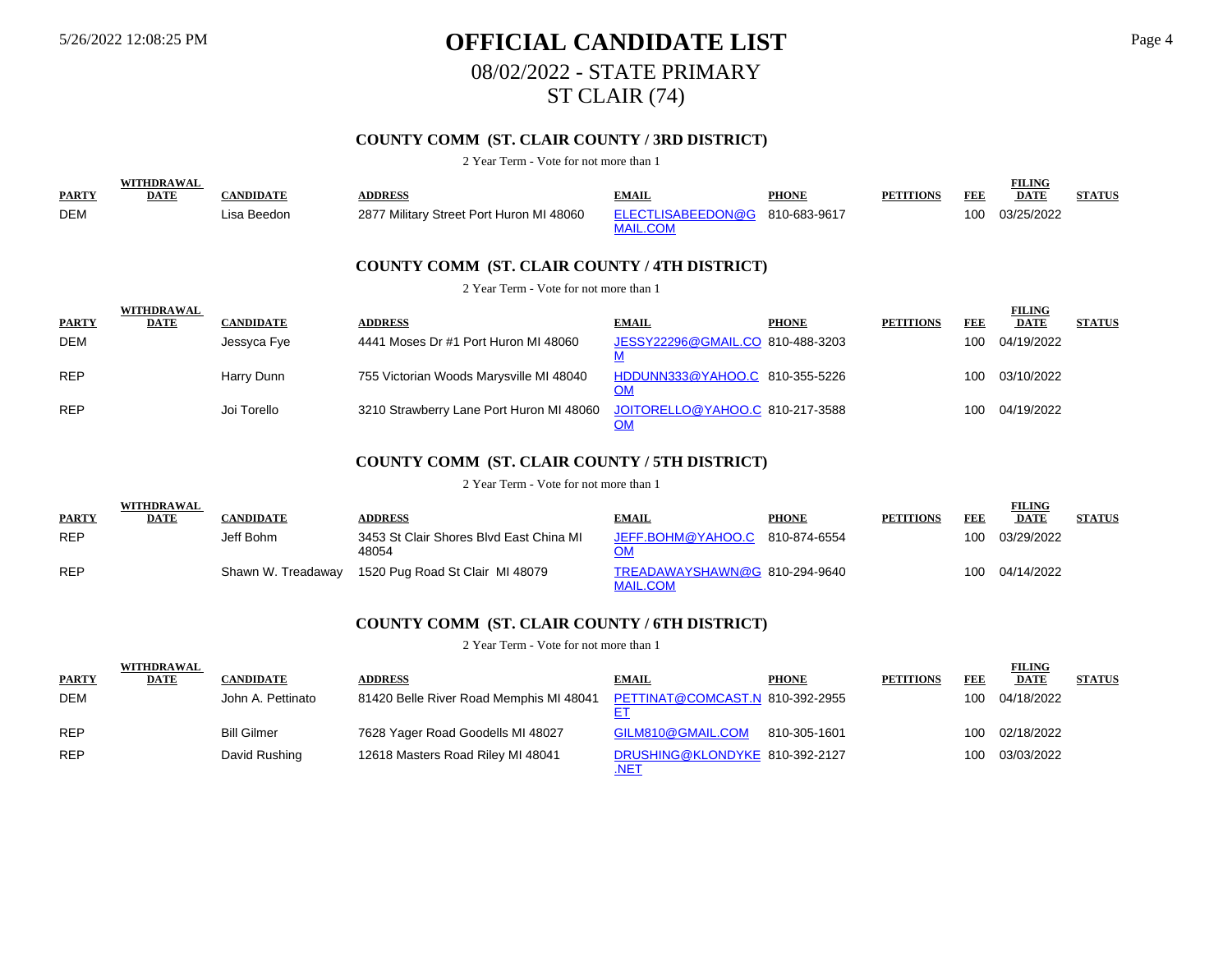# 5/26/2022 12:08:25 PM **OFFICIAL CANDIDATE LIST** Page 4 08/02/2022 - STATE PRIMARY ST CLAIR (74)

## **COUNTY COMM (ST. CLAIR COUNTY / 3RD DISTRICT)**

2 Year Term - Vote for not more than 1

|              | <b>WITHDRAWAL</b> |                  |                                               |                                              |              |                  |     | <b>FILING</b> |               |
|--------------|-------------------|------------------|-----------------------------------------------|----------------------------------------------|--------------|------------------|-----|---------------|---------------|
| <b>PARTY</b> | <b>DATE</b>       | <b>CANDIDATE</b> | <b>ADDRESS</b>                                | <b>EMAIL</b>                                 | <b>PHONE</b> | <b>PETITIONS</b> | FEE | <b>DATE</b>   | <b>STATUS</b> |
| <b>DEM</b>   |                   | Lisa Beedon      | 2877 Military Street Port Huron MI 48060      | ELECTLISABEEDON@G<br><b>MAIL.COM</b>         | 810-683-9617 |                  | 100 | 03/25/2022    |               |
|              |                   |                  | COUNTY COMM (ST. CLAIR COUNTY / 4TH DISTRICT) |                                              |              |                  |     |               |               |
|              |                   |                  | 2 Year Term - Vote for not more than 1        |                                              |              |                  |     |               |               |
|              | <b>WITHDRAWAL</b> |                  |                                               |                                              |              |                  |     | <b>FILING</b> |               |
| <b>PARTY</b> | <b>DATE</b>       | <b>CANDIDATE</b> | <b>ADDRESS</b>                                | <b>EMAIL</b>                                 | <b>PHONE</b> | <b>PETITIONS</b> | FEE | <b>DATE</b>   | <b>STATUS</b> |
| <b>DEM</b>   |                   | Jessyca Fye      | 4441 Moses Dr #1 Port Huron MI 48060          | JESSY22296@GMAIL.CO 810-488-3203<br><u>M</u> |              |                  | 100 | 04/19/2022    |               |
| <b>REP</b>   |                   | Harry Dunn       | 755 Victorian Woods Marysville MI 48040       | HDDUNN333@YAHOO.C 810-355-5226<br><u>OM</u>  |              |                  | 100 | 03/10/2022    |               |
| <b>REP</b>   |                   | Joi Torello      | 3210 Strawberry Lane Port Huron MI 48060      | JOITORELLO@YAHOO.C 810-217-3588<br><u>OM</u> |              |                  | 100 | 04/19/2022    |               |

### **COUNTY COMM (ST. CLAIR COUNTY / 5TH DISTRICT)**

2 Year Term - Vote for not more than 1

| <b>PARTY</b> | <b>WITHDRAWAL</b><br><b>DATE</b> | <b>CANDIDATE</b>   | <b>ADDRESS</b>                                   | <b>EMAIL</b>                                     | <b>PHONE</b> | <b>PETITIONS</b> | FEE | <b>FILING</b><br><b>DATE</b> | <b>STATUS</b> |
|--------------|----------------------------------|--------------------|--------------------------------------------------|--------------------------------------------------|--------------|------------------|-----|------------------------------|---------------|
| <b>REP</b>   |                                  | Jeff Bohm          | 3453 St Clair Shores Blvd East China MI<br>48054 | JEFF.BOHM@YAHOO.C                                | 810-874-6554 |                  | 100 | 03/29/2022                   |               |
| <b>REP</b>   |                                  | Shawn W. Treadaway | 1520 Pug Road St Clair MI 48079                  | TREADAWAYSHAWN@G 810-294-9640<br><b>MAIL.COM</b> |              |                  | 100 | 04/14/2022                   |               |

#### **COUNTY COMM (ST. CLAIR COUNTY / 6TH DISTRICT)**

2 Year Term - Vote for not more than 1

| <b>PARTY</b> | <b>WITHDRAWAL</b><br><b>DATE</b> | <b>CANDIDATE</b>   | <b>ADDRESS</b>                          | <b>EMAIL</b>                                  | <b>PHONE</b> | <b>PETITIONS</b> | FEE | <b>FILING</b><br><b>DATE</b> | <b>STATUS</b> |
|--------------|----------------------------------|--------------------|-----------------------------------------|-----------------------------------------------|--------------|------------------|-----|------------------------------|---------------|
| <b>DEM</b>   |                                  | John A. Pettinato  | 81420 Belle River Road Memphis MI 48041 | PETTINAT@COMCAST.N 810-392-2955               |              |                  | 100 | 04/18/2022                   |               |
| <b>REP</b>   |                                  | <b>Bill Gilmer</b> | 7628 Yager Road Goodells MI 48027       | GILM810@GMAIL.COM                             | 810-305-1601 |                  | 100 | 02/18/2022                   |               |
| <b>REP</b>   |                                  | David Rushing      | 12618 Masters Road Riley MI 48041       | DRUSHING@KLONDYKE 810-392-2127<br><u>NE1.</u> |              |                  | 100 | 03/03/2022                   |               |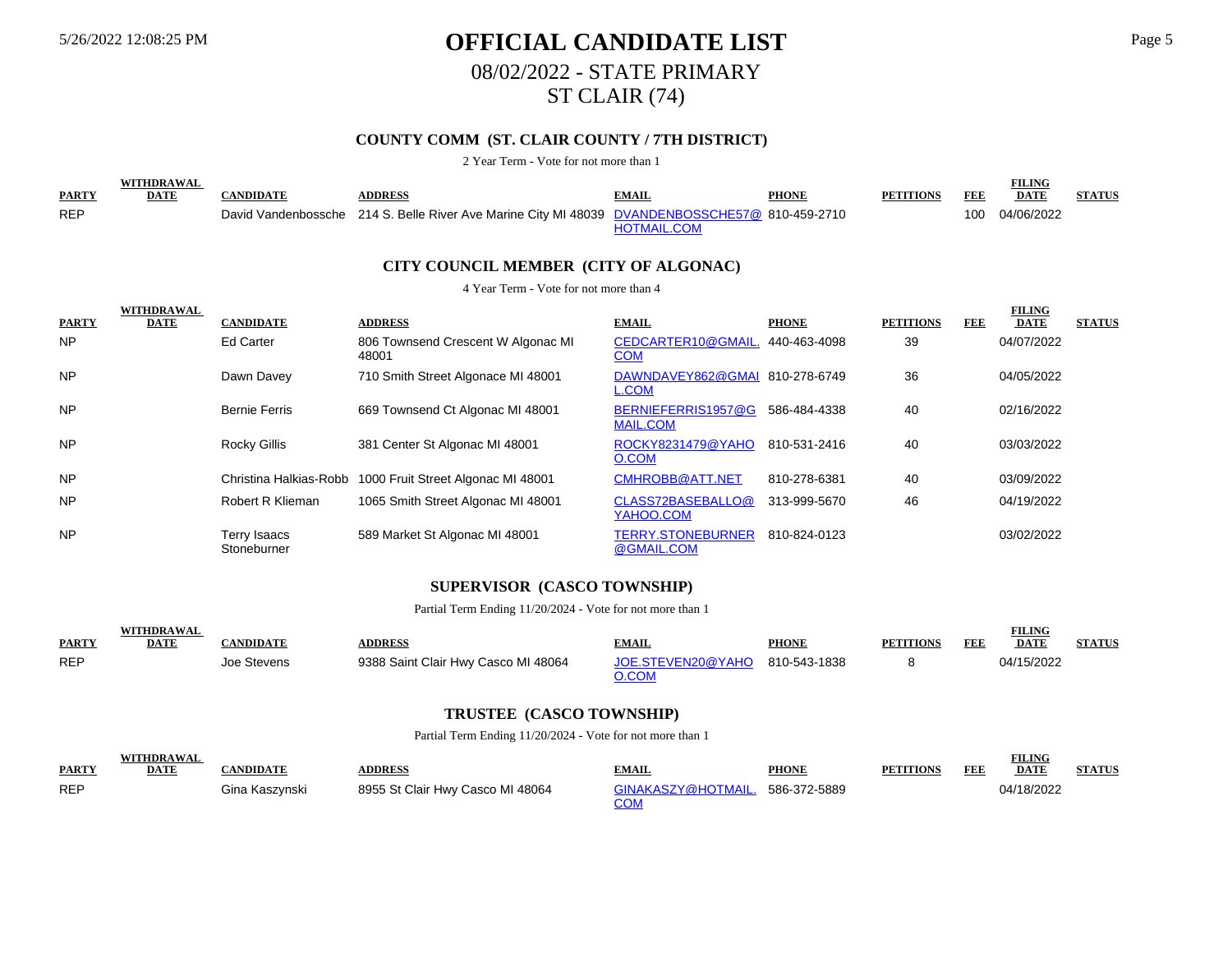WITHOUT **BELLY** 

# 5/26/2022 12:08:25 PM **OFFICIAL CANDIDATE LIST** Page 5 08/02/2022 - STATE PRIMARY ST CLAIR (74)

## **COUNTY COMM (ST. CLAIR COUNTY / 7TH DISTRICT)**

#### 2 Year Term - Vote for not more than 1

|              | WITHDRAWA,  |                 |                                                                                                |                    |              |                  |     | <b>FILING</b> |               |
|--------------|-------------|-----------------|------------------------------------------------------------------------------------------------|--------------------|--------------|------------------|-----|---------------|---------------|
| <b>PARTY</b> | <b>DATE</b> | <b>ANDIDATE</b> | <b>DDRESS</b>                                                                                  | EMAIL              | <b>PHONE</b> | <b>PETITIONS</b> | FEE | <b>DATE</b>   | <b>STATUS</b> |
| <b>REP</b>   |             |                 | David Vandenbossche 214 S. Belle River Ave Marine City MI 48039 DVANDENBOSSCHE57@ 810-459-2710 |                    |              |                  | 100 | 04/06/2022    |               |
|              |             |                 |                                                                                                | <b>HOTMAIL.COM</b> |              |                  |     |               |               |

#### **CITY COUNCIL MEMBER (CITY OF ALGONAC)**

#### 4 Year Term - Vote for not more than 4

|              | <b>WITHDRAWAL</b> |                             |                                                           |                                        |              |                  |     | <b>FILING</b> |               |
|--------------|-------------------|-----------------------------|-----------------------------------------------------------|----------------------------------------|--------------|------------------|-----|---------------|---------------|
| <b>PARTY</b> | <b>DATE</b>       | <b>CANDIDATE</b>            | <b>ADDRESS</b>                                            | <b>EMAIL</b>                           | <b>PHONE</b> | <b>PETITIONS</b> | FEE | <b>DATE</b>   | <b>STATUS</b> |
| <b>NP</b>    |                   | Ed Carter                   | 806 Townsend Crescent W Algonac MI<br>48001               | CEDCARTER10@GMAIL.<br><u>COM</u>       | 440-463-4098 | 39               |     | 04/07/2022    |               |
| <b>NP</b>    |                   | Dawn Davey                  | 710 Smith Street Algonace MI 48001                        | DAWNDAVEY862@GMAI<br><b>L.COM</b>      | 810-278-6749 | 36               |     | 04/05/2022    |               |
| <b>NP</b>    |                   | <b>Bernie Ferris</b>        | 669 Townsend Ct Algonac MI 48001                          | BERNIEFERRIS1957@G<br><b>MAIL.COM</b>  | 586-484-4338 | 40               |     | 02/16/2022    |               |
| <b>NP</b>    |                   | <b>Rocky Gillis</b>         | 381 Center St Algonac MI 48001                            | ROCKY8231479@YAHO<br>O.COM             | 810-531-2416 | 40               |     | 03/03/2022    |               |
| <b>NP</b>    |                   |                             | Christina Halkias-Robb 1000 Fruit Street Algonac MI 48001 | CMHROBB@ATT.NET                        | 810-278-6381 | 40               |     | 03/09/2022    |               |
| <b>NP</b>    |                   | Robert R Klieman            | 1065 Smith Street Algonac MI 48001                        | CLASS72BASEBALLO@<br>YAHOO.COM         | 313-999-5670 | 46               |     | 04/19/2022    |               |
| <b>NP</b>    |                   | Terry Isaacs<br>Stoneburner | 589 Market St Algonac MI 48001                            | <b>TERRY.STONEBURNER</b><br>@GMAIL.COM | 810-824-0123 |                  |     | 03/02/2022    |               |

#### **SUPERVISOR (CASCO TOWNSHIP)**

Partial Term Ending 11/20/2024 - Vote for not more than 1

|              |      |             |                                     |                   |              |     | VILING.     |  |
|--------------|------|-------------|-------------------------------------|-------------------|--------------|-----|-------------|--|
| <b>PARTY</b> | DATE | NDIDA TI    | <b>DDRESS</b>                       | <b>"MAIL</b>      | <b>PHONE</b> | FEE | <b>DATE</b> |  |
| <b>REP</b>   |      | Joe Stevens | 9388 Saint Clair Hwy Casco MI 48064 | JOE STEVEN20@YAHO | 810-543-1838 |     | 5/2022      |  |
|              |      |             |                                     |                   |              |     |             |  |

#### **TRUSTEE (CASCO TOWNSHIP)**

Partial Term Ending 11/20/2024 - Vote for not more than 1

| <b>PARTY</b> | 'THDRAWAI<br>DATE | <b>ANDIDATE</b> | <b>NDDRESS</b>                   | <b>EMAIL</b>             | <b>PHONE</b> | <b>PETITIONS</b> | FEE | <b>FILING</b><br><b>DATE</b> | <b>STATUS</b> |
|--------------|-------------------|-----------------|----------------------------------|--------------------------|--------------|------------------|-----|------------------------------|---------------|
| <b>REP</b>   |                   | Gina Kaszvnski  | 8955 St Clair Hwy Casco MI 48064 | GINAKASZY@HOTMAIL.<br>∩∩ | 586-372-5889 |                  |     | 04/18/2022                   |               |

FILIT **FILIC**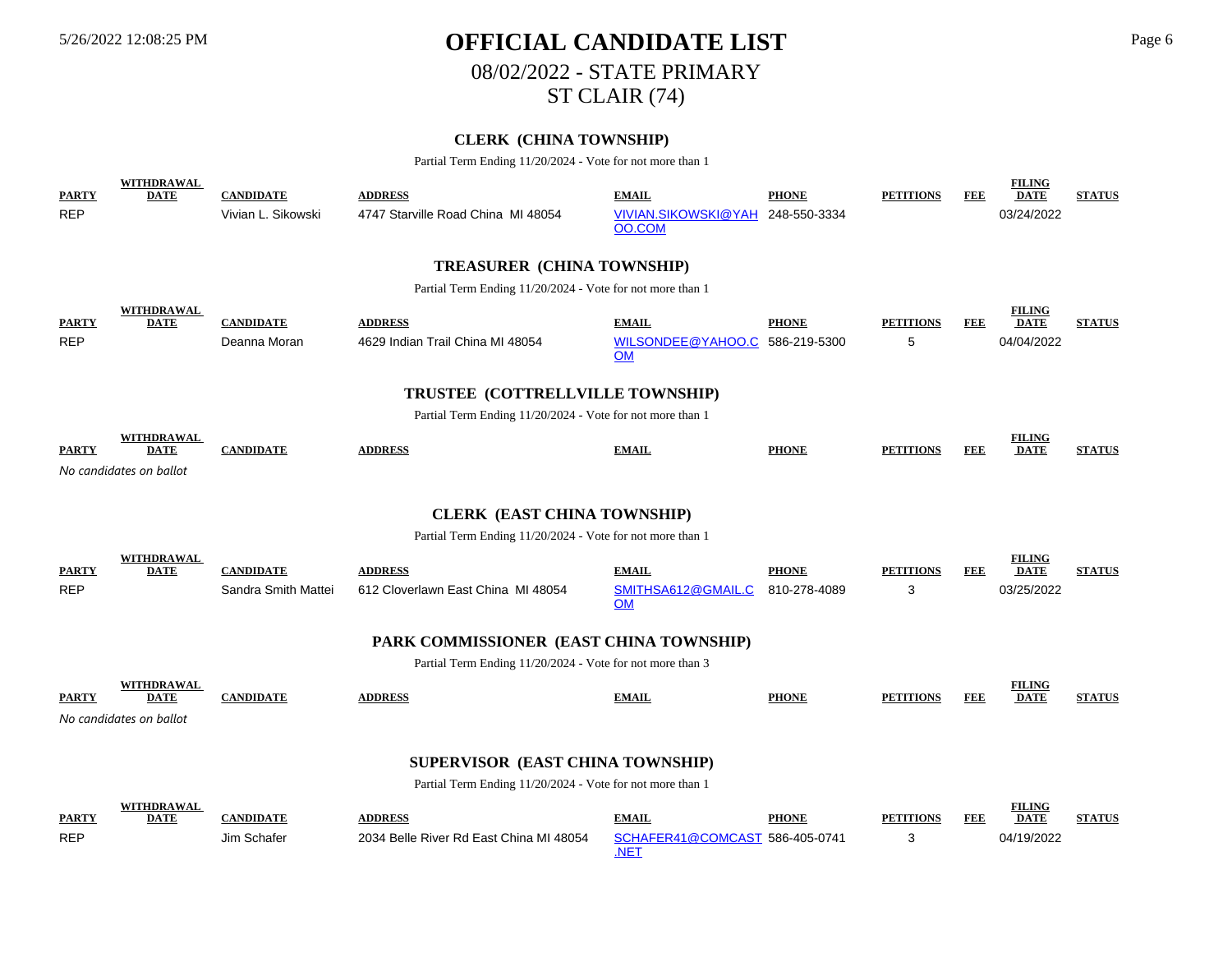# 5/26/2022 12:08:25 PM **OFFICIAL CANDIDATE LIST** Page 6 08/02/2022 - STATE PRIMARY ST CLAIR (74)

## **CLERK (CHINA TOWNSHIP)**

Partial Term Ending 11/20/2024 - Vote for not more than 1

| <b>PARTY</b> | <b>WITHDRAWAL</b><br><b>DATE</b>   | <b>CANDIDATE</b>    | <b>ADDRESS</b>                                            | <b>EMAIL</b>                           | <b>PHONE</b> | <b>PETITIONS</b> | <b>FEE</b> | <b>FILING</b><br><b>DATE</b> | <b>STATUS</b> |  |  |
|--------------|------------------------------------|---------------------|-----------------------------------------------------------|----------------------------------------|--------------|------------------|------------|------------------------------|---------------|--|--|
| <b>REP</b>   |                                    | Vivian L. Sikowski  | 4747 Starville Road China MI 48054                        | VIVIAN.SIKOWSKI@YAH 248-550-3334       |              |                  |            | 03/24/2022                   |               |  |  |
|              |                                    |                     |                                                           | OO.COM                                 |              |                  |            |                              |               |  |  |
|              |                                    |                     | <b>TREASURER (CHINA TOWNSHIP)</b>                         |                                        |              |                  |            |                              |               |  |  |
|              |                                    |                     | Partial Term Ending 11/20/2024 - Vote for not more than 1 |                                        |              |                  |            |                              |               |  |  |
| <b>PARTY</b> | <b>WITHDRAWAL</b><br><b>DATE</b>   | <b>CANDIDATE</b>    | <b>ADDRESS</b>                                            | <b>EMAIL</b>                           | <b>PHONE</b> | <b>PETITIONS</b> | FEE        | <b>FILING</b><br><b>DATE</b> | <b>STATUS</b> |  |  |
| <b>REP</b>   |                                    | Deanna Moran        | 4629 Indian Trail China MI 48054                          | WILSONDEE@YAHOO.C 586-219-5300         |              | 5                |            | 04/04/2022                   |               |  |  |
|              |                                    |                     |                                                           | OM                                     |              |                  |            |                              |               |  |  |
|              |                                    |                     | TRUSTEE (COTTRELLVILLE TOWNSHIP)                          |                                        |              |                  |            |                              |               |  |  |
|              |                                    |                     | Partial Term Ending 11/20/2024 - Vote for not more than 1 |                                        |              |                  |            |                              |               |  |  |
| <b>PARTY</b> | WITHDRAWAL<br><b>DATE</b>          | <b>CANDIDATE</b>    | <b>ADDRESS</b>                                            | <b>EMAIL</b>                           | <b>PHONE</b> | <b>PETITIONS</b> | FEE        | <b>FILING</b><br><b>DATE</b> | <b>STATUS</b> |  |  |
|              | No candidates on ballot            |                     |                                                           |                                        |              |                  |            |                              |               |  |  |
|              |                                    |                     |                                                           |                                        |              |                  |            |                              |               |  |  |
|              | <b>CLERK (EAST CHINA TOWNSHIP)</b> |                     |                                                           |                                        |              |                  |            |                              |               |  |  |
|              |                                    |                     | Partial Term Ending 11/20/2024 - Vote for not more than 1 |                                        |              |                  |            |                              |               |  |  |
| <b>PARTY</b> | <b>WITHDRAWAL</b><br><b>DATE</b>   | <b>CANDIDATE</b>    | <b>ADDRESS</b>                                            | <b>EMAIL</b>                           | <b>PHONE</b> | <b>PETITIONS</b> | FEE        | <b>FILING</b><br><b>DATE</b> | <b>STATUS</b> |  |  |
| <b>REP</b>   |                                    | Sandra Smith Mattei | 612 Cloverlawn East China MI 48054                        | SMITHSA612@GMAIL.C<br><b>OM</b>        | 810-278-4089 | 3                |            | 03/25/2022                   |               |  |  |
|              |                                    |                     | PARK COMMISSIONER (EAST CHINA TOWNSHIP)                   |                                        |              |                  |            |                              |               |  |  |
|              |                                    |                     | Partial Term Ending 11/20/2024 - Vote for not more than 3 |                                        |              |                  |            |                              |               |  |  |
| <b>PARTY</b> | WITHDRAWAL<br><b>DATE</b>          | <b>CANDIDATE</b>    | <b>ADDRESS</b>                                            | <b>EMAIL</b>                           | <b>PHONE</b> | <b>PETITIONS</b> | <b>FEE</b> | <b>FILING</b><br><b>DATE</b> | <b>STATUS</b> |  |  |
|              | No candidates on ballot            |                     |                                                           |                                        |              |                  |            |                              |               |  |  |
|              |                                    |                     |                                                           |                                        |              |                  |            |                              |               |  |  |
|              |                                    |                     | SUPERVISOR (EAST CHINA TOWNSHIP)                          |                                        |              |                  |            |                              |               |  |  |
|              |                                    |                     | Partial Term Ending 11/20/2024 - Vote for not more than 1 |                                        |              |                  |            |                              |               |  |  |
| <b>PARTY</b> | WITHDRAWAL<br><b>DATE</b>          | <b>CANDIDATE</b>    | <b>ADDRESS</b>                                            | <b>EMAIL</b>                           | <b>PHONE</b> | <b>PETITIONS</b> | <b>FEE</b> | <b>FILING</b><br><b>DATE</b> | <b>STATUS</b> |  |  |
| <b>REP</b>   |                                    | Jim Schafer         | 2034 Belle River Rd East China MI 48054                   | SCHAFER41@COMCAST 586-405-0741<br>.NET |              | 3                |            | 04/19/2022                   |               |  |  |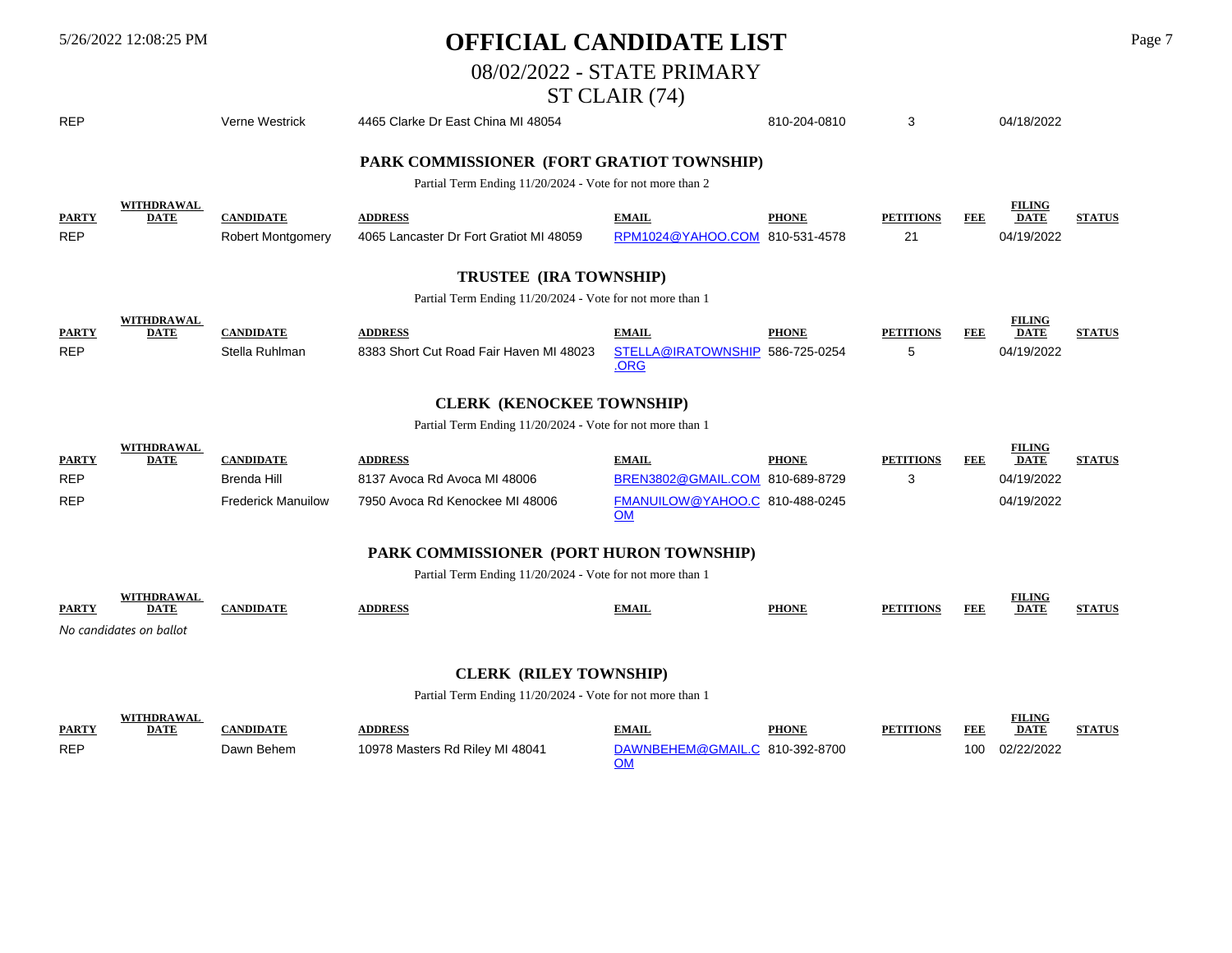# 5/26/2022 12:08:25 PM **OFFICIAL CANDIDATE LIST** Page 7

08/02/2022 - STATE PRIMARY

# ST CLAIR (74)

| <b>REP</b>                 |                                                             | Verne Westrick                               | 4465 Clarke Dr East China MI 48054                                                                     |                                                         | 810-204-0810                 | 3                      |            | 04/18/2022                                 |               |
|----------------------------|-------------------------------------------------------------|----------------------------------------------|--------------------------------------------------------------------------------------------------------|---------------------------------------------------------|------------------------------|------------------------|------------|--------------------------------------------|---------------|
|                            |                                                             |                                              | PARK COMMISSIONER (FORT GRATIOT TOWNSHIP)<br>Partial Term Ending 11/20/2024 - Vote for not more than 2 |                                                         |                              |                        |            |                                            |               |
| <b>PARTY</b><br><b>REP</b> | <b>WITHDRAWAL</b><br><b>DATE</b>                            | <b>CANDIDATE</b><br><b>Robert Montgomery</b> | <b>ADDRESS</b><br>4065 Lancaster Dr Fort Gratiot MI 48059                                              | <b>EMAIL</b><br>RPM1024@YAHOO.COM                       | <b>PHONE</b><br>810-531-4578 | <b>PETITIONS</b><br>21 | <b>FEE</b> | <b>FILING</b><br><b>DATE</b><br>04/19/2022 | <b>STATUS</b> |
|                            |                                                             |                                              | TRUSTEE (IRA TOWNSHIP)                                                                                 |                                                         |                              |                        |            |                                            |               |
|                            |                                                             |                                              | Partial Term Ending 11/20/2024 - Vote for not more than 1                                              |                                                         |                              |                        |            |                                            |               |
| <b>PARTY</b><br><b>REP</b> | <b>WITHDRAWAL</b><br><b>DATE</b>                            | <b>CANDIDATE</b><br>Stella Ruhlman           | <b>ADDRESS</b><br>8383 Short Cut Road Fair Haven MI 48023                                              | <b>EMAIL</b><br>STELLA@IRATOWNSHIP 586-725-0254<br>.ORG | <b>PHONE</b>                 | <b>PETITIONS</b><br>5  | <b>FEE</b> | <b>FILING</b><br><b>DATE</b><br>04/19/2022 | <b>STATUS</b> |
|                            |                                                             |                                              | <b>CLERK (KENOCKEE TOWNSHIP)</b>                                                                       |                                                         |                              |                        |            |                                            |               |
|                            |                                                             |                                              | Partial Term Ending 11/20/2024 - Vote for not more than 1                                              |                                                         |                              |                        |            |                                            |               |
| <b>PARTY</b><br><b>REP</b> | <b>WITHDRAWAL</b><br><b>DATE</b>                            | <b>CANDIDATE</b><br><b>Brenda Hill</b>       | <b>ADDRESS</b><br>8137 Avoca Rd Avoca MI 48006                                                         | <b>EMAIL</b><br>BREN3802@GMAIL.COM                      | <b>PHONE</b><br>810-689-8729 | <b>PETITIONS</b><br>3  | FEE        | <b>FILING</b><br><b>DATE</b><br>04/19/2022 | <b>STATUS</b> |
| <b>REP</b>                 |                                                             | <b>Frederick Manuilow</b>                    | 7950 Avoca Rd Kenockee MI 48006                                                                        | FMANUILOW@YAHOO.C 810-488-0245<br><b>OM</b>             |                              |                        |            | 04/19/2022                                 |               |
|                            |                                                             |                                              | PARK COMMISSIONER (PORT HURON TOWNSHIP)                                                                |                                                         |                              |                        |            |                                            |               |
|                            |                                                             |                                              | Partial Term Ending 11/20/2024 - Vote for not more than 1                                              |                                                         |                              |                        |            |                                            |               |
| PARTY                      | <b>WITHDRAWAL</b><br><b>DATE</b><br>No candidates on ballot | <b>CANDIDATE</b>                             | <b>ADDRESS</b>                                                                                         | <b>EMAIL</b>                                            | <b>PHONE</b>                 | <b>PETITIONS</b>       | FEE        | <b>FILING</b><br><b>DATE</b>               | <b>STATUS</b> |
|                            |                                                             |                                              |                                                                                                        |                                                         |                              |                        |            |                                            |               |
|                            |                                                             |                                              | <b>CLERK (RILEY TOWNSHIP)</b>                                                                          |                                                         |                              |                        |            |                                            |               |

### Partial Term Ending 11/20/2024 - Vote for not more than 1

| <b>PARTY</b> | <b>DATE</b> |            | <b>ADDRESS</b>                  | <b>EMAIL</b>                   | <b>PHONE</b> | <b>PETITIONS</b> | FEI | <b>FILING</b><br><b>DATE</b> | <b>STATUS</b> |
|--------------|-------------|------------|---------------------------------|--------------------------------|--------------|------------------|-----|------------------------------|---------------|
|              |             |            |                                 |                                |              |                  |     |                              |               |
| <b>REP</b>   |             | Dawn Behem | 10978 Masters Rd Riley MI 48041 | DAWNBEHEM@GMAIL.C 810-392-8700 |              |                  | 100 | 02/22/2022                   |               |
|              |             |            |                                 |                                |              |                  |     |                              |               |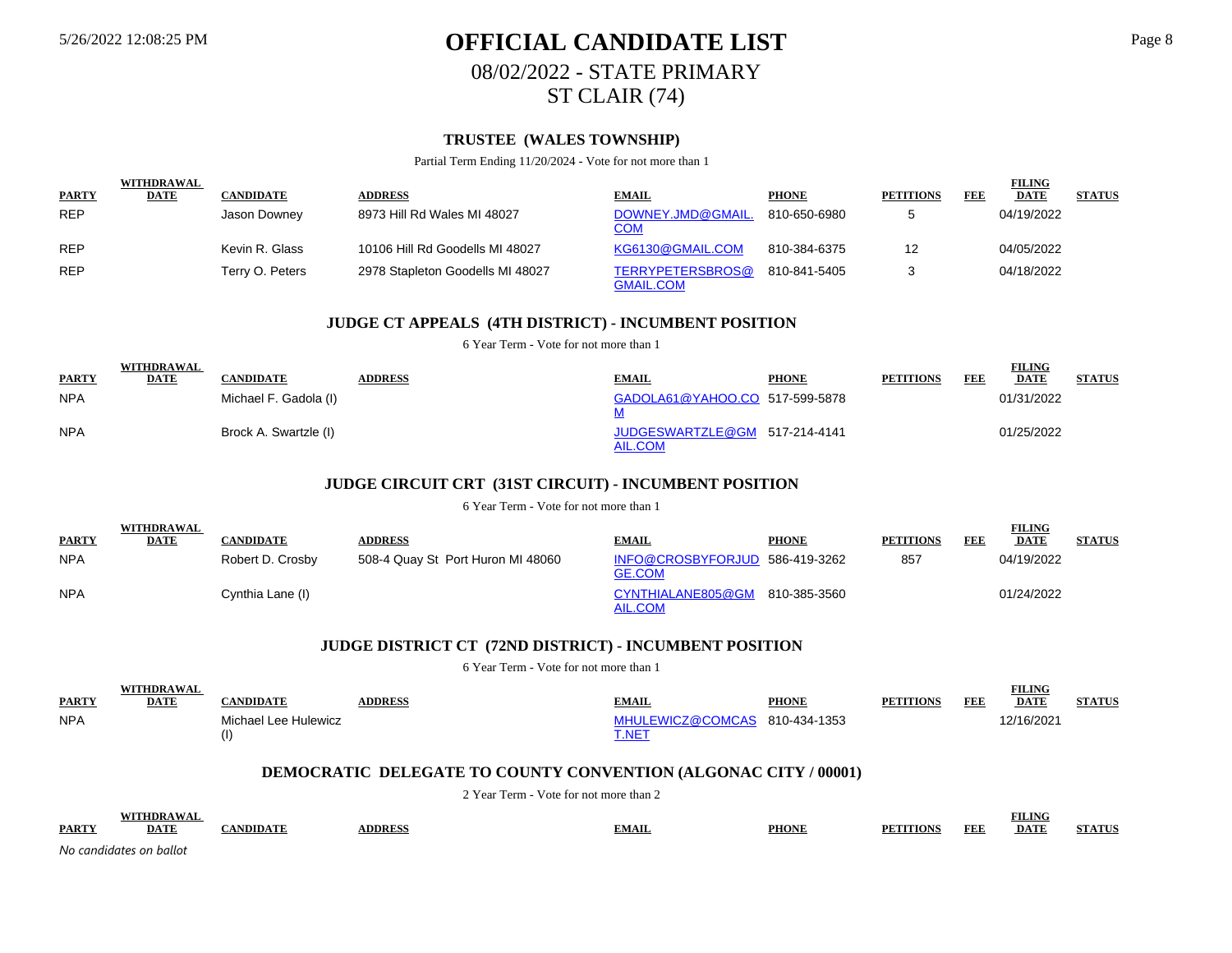# 5/26/2022 12:08:25 PM **OFFICIAL CANDIDATE LIST** Page 8 08/02/2022 - STATE PRIMARY ST CLAIR (74)

## **TRUSTEE (WALES TOWNSHIP)**

Partial Term Ending 11/20/2024 - Vote for not more than 1

|              | <b>WITHDRAWAL</b> |                  |                                  |                                      |              |                  |     | <b>FILING</b> |               |
|--------------|-------------------|------------------|----------------------------------|--------------------------------------|--------------|------------------|-----|---------------|---------------|
| <b>PARTY</b> | <b>DATE</b>       | <b>CANDIDATE</b> | <b>ADDRESS</b>                   | <b>EMAIL</b>                         | <b>PHONE</b> | <b>PETITIONS</b> | FEE | <b>DATE</b>   | <b>STATUS</b> |
| <b>REP</b>   |                   | Jason Downey     | 8973 Hill Rd Wales MI 48027      | DOWNEY.JMD@GMAIL.<br><u>COM</u>      | 810-650-6980 |                  |     | 04/19/2022    |               |
| <b>REP</b>   |                   | Kevin R. Glass   | 10106 Hill Rd Goodells MI 48027  | KG6130@GMAIL.COM                     | 810-384-6375 | 12               |     | 04/05/2022    |               |
| <b>REP</b>   |                   | Terry O. Peters  | 2978 Stapleton Goodells MI 48027 | TERRYPETERSBROS@<br><b>GMAIL.COM</b> | 810-841-5405 |                  |     | 04/18/2022    |               |

#### **JUDGE CT APPEALS (4TH DISTRICT) - INCUMBENT POSITION**

6 Year Term - Vote for not more than 1

|              | <b>WITHDRAWAL</b> |                       |                |                                          |              |                  |            | <b>FILING</b> |               |
|--------------|-------------------|-----------------------|----------------|------------------------------------------|--------------|------------------|------------|---------------|---------------|
| <b>PARTY</b> | DATE              | CANDIDATE             | <b>ADDRESS</b> | <b>EMAIL</b>                             | <b>PHONE</b> | <b>PETITIONS</b> | <b>FEE</b> | <b>DATE</b>   | <b>STATUS</b> |
| <b>NPA</b>   |                   | Michael F. Gadola (I) |                | GADOLA61@YAHOO.CO 517-599-5878           |              |                  |            | 01/31/2022    |               |
| <b>NPA</b>   |                   | Brock A. Swartzle (I) |                | JUDGESWARTZLE@GM 517-214-4141<br>AIL.COM |              |                  |            | 01/25/2022    |               |

### **JUDGE CIRCUIT CRT (31ST CIRCUIT) - INCUMBENT POSITION**

6 Year Term - Vote for not more than 1

|              | WITHDRAWAL  |                  |                                   |                                                 |              |                  |            | <b>FILING</b> |               |
|--------------|-------------|------------------|-----------------------------------|-------------------------------------------------|--------------|------------------|------------|---------------|---------------|
| <b>PARTY</b> | <b>DATE</b> | CANDIDATE        | <b>ADDRESS</b>                    | <b>EMAIL</b>                                    | <b>PHONE</b> | <b>PETITIONS</b> | <b>FEE</b> | <b>DATE</b>   | <b>STATUS</b> |
| <b>NPA</b>   |             | Robert D. Crosby | 508-4 Quay St Port Huron MI 48060 | INFO@CROSBYFORJUD 586-419-3262<br><b>GE.COM</b> |              | 857              |            | 04/19/2022    |               |
| <b>NPA</b>   |             | Cynthia Lane (I) |                                   | CYNTHIALANE805@GM<br><b>AIL.COM</b>             | 810-385-3560 |                  |            | 01/24/2022    |               |

#### **JUDGE DISTRICT CT (72ND DISTRICT) - INCUMBENT POSITION**

6 Year Term - Vote for not more than 1

|              | <b>WITHDRAWAI</b> |                      |                |                               |              |                  |            | FILING      |               |
|--------------|-------------------|----------------------|----------------|-------------------------------|--------------|------------------|------------|-------------|---------------|
| <b>PARTY</b> | DATE              | CANDIDATE            | <b>ADDRESS</b> | EMAIL                         | <b>PHONE</b> | <b>PETITIONS</b> | <b>FEE</b> | <b>DATE</b> | <b>STATUS</b> |
| <b>NPA</b>   |                   | Michael Lee Hulewicz |                | MHULEWICZ@COMCAS 810-434-1353 |              |                  |            | 2/16/2021   |               |
|              |                   | (1)                  |                | <b>T.NET</b>                  |              |                  |            |             |               |

#### **DEMOCRATIC DELEGATE TO COUNTY CONVENTION (ALGONAC CITY / 00001)**

2 Year Term - Vote for not more than 2

|              | WITHDD A WAI |       |               |       |              |                                         | <b>ETT TAIS</b><br>TLING |                                |
|--------------|--------------|-------|---------------|-------|--------------|-----------------------------------------|--------------------------|--------------------------------|
| <b>PARTY</b> | <b>DAT'</b>  | NDIDA | <b>DDRESS</b> | .MAIL | <b>PHONE</b> | <b>FEF</b><br>ITION!<br>PF <sub>1</sub> | DA.                      | $\triangle$ FINITY $\triangle$ |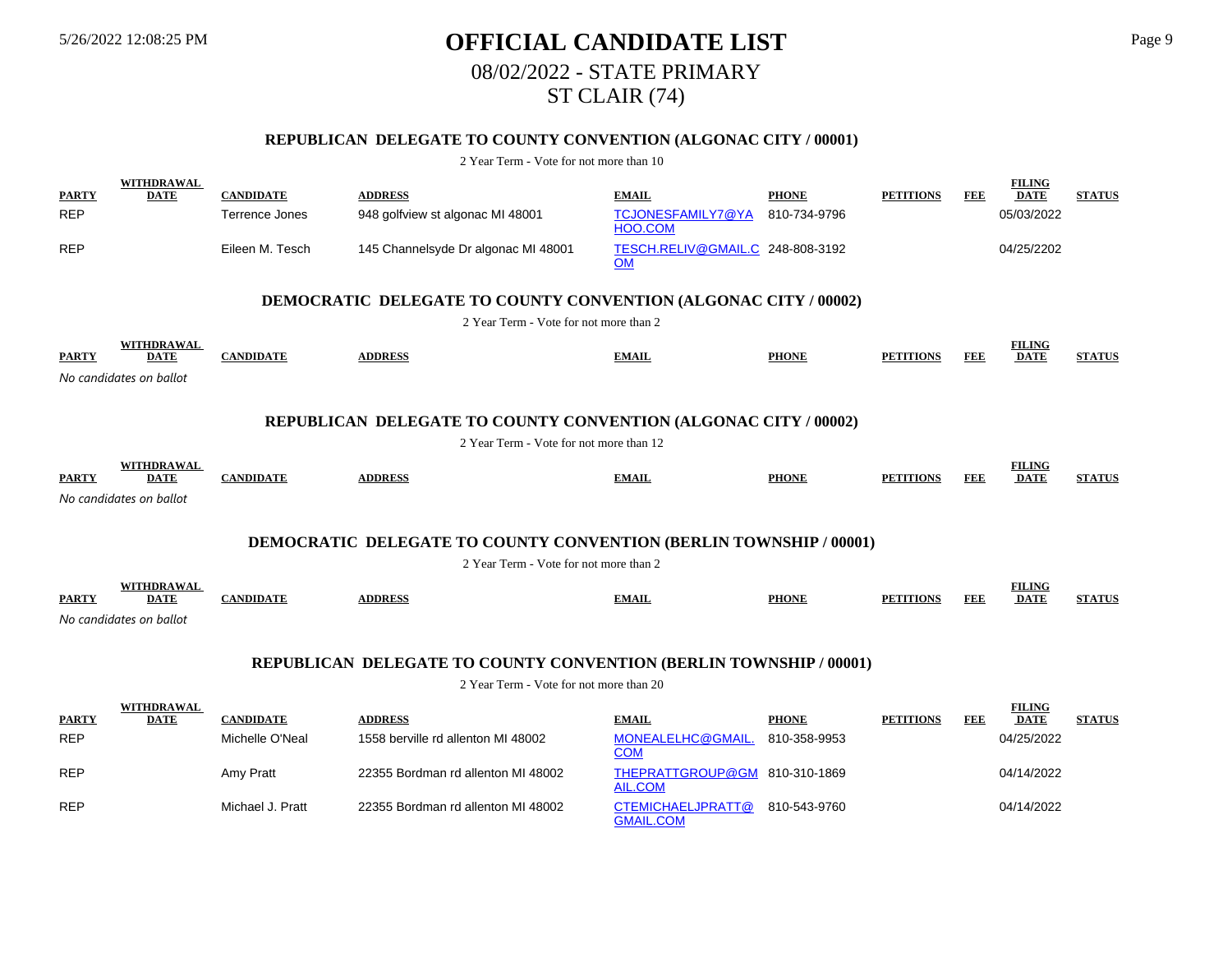REP Michael J. Pratt 22355 Bordman rd allenton MI 48002

# 5/26/2022 12:08:25 PM **OFFICIAL CANDIDATE LIST** Page 9 08/02/2022 - STATE PRIMARY ST CLAIR (74)

## **REPUBLICAN DELEGATE TO COUNTY CONVENTION (ALGONAC CITY / 00001)**

2 Year Term - Vote for not more than 10

| <b>PARTY</b> | <b>WITHDRAWAL</b><br><b>DATE</b> | <b>CANDIDATE</b> | <b>ADDRESS</b>                                                            | <b>EMAIL</b>                                    | <b>PHONE</b> | <b>PETITIONS</b> | FEE        | <b>FILING</b><br><b>DATE</b> | <b>STATUS</b> |
|--------------|----------------------------------|------------------|---------------------------------------------------------------------------|-------------------------------------------------|--------------|------------------|------------|------------------------------|---------------|
| <b>REP</b>   |                                  | Terrence Jones   | 948 golfview st algonac MI 48001                                          | TCJONESFAMILY7@YA<br>HOO.COM                    | 810-734-9796 |                  |            | 05/03/2022                   |               |
| <b>REP</b>   |                                  | Eileen M. Tesch  | 145 Channelsyde Dr algonac MI 48001                                       | TESCH.RELIV@GMAIL.C 248-808-3192<br><b>OM</b>   |              |                  |            | 04/25/2202                   |               |
|              |                                  |                  | <b>DEMOCRATIC DELEGATE TO COUNTY CONVENTION (ALGONAC CITY / 00002)</b>    |                                                 |              |                  |            |                              |               |
|              |                                  |                  | 2 Year Term - Vote for not more than 2                                    |                                                 |              |                  |            |                              |               |
| <b>PARTY</b> | WITHDRAWAL<br><b>DATE</b>        | <b>CANDIDATE</b> | <b>ADDRESS</b>                                                            | <b>EMAIL</b>                                    | <b>PHONE</b> | <b>PETITIONS</b> | FEE        | <b>FILING</b><br><b>DATE</b> | <b>STATUS</b> |
|              | No candidates on ballot          |                  |                                                                           |                                                 |              |                  |            |                              |               |
|              |                                  |                  | REPUBLICAN DELEGATE TO COUNTY CONVENTION (ALGONAC CITY / 00002)           |                                                 |              |                  |            |                              |               |
|              |                                  |                  | 2 Year Term - Vote for not more than 12                                   |                                                 |              |                  |            |                              |               |
| <b>PARTY</b> | WITHDRAWAL<br>DATE               | <b>CANDIDATE</b> | <b>ADDRESS</b>                                                            | <b>EMAIL</b>                                    | <b>PHONE</b> | <b>PETITIONS</b> | FEE        | <b>FILING</b><br><b>DATE</b> | <b>STATUS</b> |
|              | No candidates on ballot          |                  |                                                                           |                                                 |              |                  |            |                              |               |
|              |                                  |                  |                                                                           |                                                 |              |                  |            |                              |               |
|              |                                  |                  | <b>DEMOCRATIC DELEGATE TO COUNTY CONVENTION (BERLIN TOWNSHIP / 00001)</b> |                                                 |              |                  |            |                              |               |
|              |                                  |                  | 2 Year Term - Vote for not more than 2                                    |                                                 |              |                  |            |                              |               |
| <b>PARTY</b> | WITHDRAWAL<br><b>DATE</b>        | <b>CANDIDATE</b> | <b>ADDRESS</b>                                                            | <b>EMAIL</b>                                    | <b>PHONE</b> | <b>PETITIONS</b> | <b>FEE</b> | <b>FILING</b><br><b>DATE</b> | <b>STATUS</b> |
|              | No candidates on ballot          |                  |                                                                           |                                                 |              |                  |            |                              |               |
|              |                                  |                  |                                                                           |                                                 |              |                  |            |                              |               |
|              |                                  |                  | <b>REPUBLICAN DELEGATE TO COUNTY CONVENTION (BERLIN TOWNSHIP / 00001)</b> |                                                 |              |                  |            |                              |               |
|              |                                  |                  | 2 Year Term - Vote for not more than 20                                   |                                                 |              |                  |            |                              |               |
| <b>PARTY</b> | <b>WITHDRAWAL</b><br>DATE        | <b>CANDIDATE</b> | <b>ADDRESS</b>                                                            | <b>EMAIL</b>                                    | <b>PHONE</b> | <b>PETITIONS</b> | FEE        | <b>FILING</b><br><b>DATE</b> | <b>STATUS</b> |
| <b>REP</b>   |                                  | Michelle O'Neal  | 1558 berville rd allenton MI 48002                                        | MONEALELHC@GMAIL<br><b>COM</b>                  | 810-358-9953 |                  |            | 04/25/2022                   |               |
| <b>REP</b>   |                                  | Amy Pratt        | 22355 Bordman rd allenton MI 48002                                        | THEPRATTGROUP@GM 810-310-1869<br><b>AIL.COM</b> |              |                  |            | 04/14/2022                   |               |

GMAIL.COM

CTEMICHAELJPRATT@ 810-543-9760 04/14/2022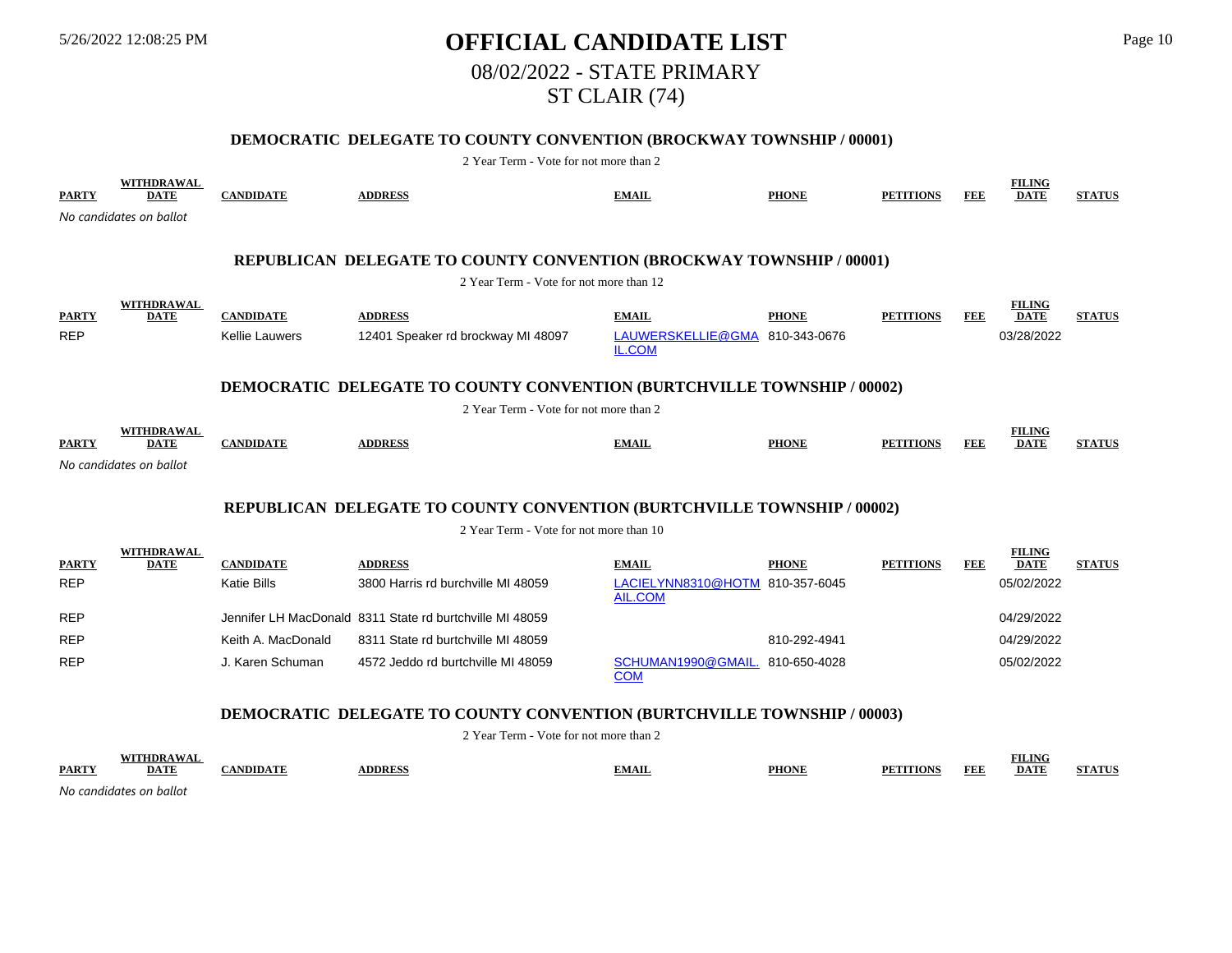# 5/26/2022 12:08:25 PM **OFFICIAL CANDIDATE LIST** Page 10 08/02/2022 - STATE PRIMARY ST CLAIR (74)

## **DEMOCRATIC DELEGATE TO COUNTY CONVENTION (BROCKWAY TOWNSHIP / 00001)**

2 Year Term - Vote for not more than 2

| <b>PARTY</b> | <b>WITHDRAWAL</b><br><b>DATE</b> | <b>CANDIDATE</b>      | <b>ADDRESS</b>                                                                 | <b>EMAIL</b>                                      | <b>PHONE</b> | <b>PETITIONS</b> | <b>FEE</b> | <b>FILING</b><br><b>DATE</b> | <b>STATUS</b> |
|--------------|----------------------------------|-----------------------|--------------------------------------------------------------------------------|---------------------------------------------------|--------------|------------------|------------|------------------------------|---------------|
|              | No candidates on ballot          |                       |                                                                                |                                                   |              |                  |            |                              |               |
|              |                                  |                       |                                                                                |                                                   |              |                  |            |                              |               |
|              |                                  |                       | REPUBLICAN DELEGATE TO COUNTY CONVENTION (BROCKWAY TOWNSHIP / 00001)           |                                                   |              |                  |            |                              |               |
|              |                                  |                       | 2 Year Term - Vote for not more than 12                                        |                                                   |              |                  |            |                              |               |
| <b>PARTY</b> | WITHDRAWAL<br><b>DATE</b>        | <b>CANDIDATE</b>      | <b>ADDRESS</b>                                                                 | <b>EMAIL</b>                                      | <b>PHONE</b> | <b>PETITIONS</b> | <b>FEE</b> | <b>FILING</b><br><b>DATE</b> | <b>STATUS</b> |
| <b>REP</b>   |                                  | <b>Kellie Lauwers</b> | 12401 Speaker rd brockway MI 48097                                             | LAUWERSKELLIE@GMA 810-343-0676<br><b>IL.COM</b>   |              |                  |            | 03/28/2022                   |               |
|              |                                  |                       | <b>DEMOCRATIC DELEGATE TO COUNTY CONVENTION (BURTCHVILLE TOWNSHIP / 00002)</b> |                                                   |              |                  |            |                              |               |
|              |                                  |                       | 2 Year Term - Vote for not more than 2                                         |                                                   |              |                  |            |                              |               |
| <b>PARTY</b> | <b>WITHDRAWAL</b><br><b>DATE</b> | <b>CANDIDATE</b>      | <b>ADDRESS</b>                                                                 | <b>EMAIL</b>                                      | <b>PHONE</b> | <b>PETITIONS</b> | <b>FEE</b> | <b>FILING</b><br><b>DATE</b> | <b>STATUS</b> |
|              | No candidates on ballot          |                       |                                                                                |                                                   |              |                  |            |                              |               |
|              |                                  |                       |                                                                                |                                                   |              |                  |            |                              |               |
|              |                                  |                       | REPUBLICAN DELEGATE TO COUNTY CONVENTION (BURTCHVILLE TOWNSHIP / 00002)        |                                                   |              |                  |            |                              |               |
|              |                                  |                       | 2 Year Term - Vote for not more than 10                                        |                                                   |              |                  |            |                              |               |
| <b>PARTY</b> | WITHDRAWAL<br><b>DATE</b>        | <b>CANDIDATE</b>      | <b>ADDRESS</b>                                                                 | <b>EMAIL</b>                                      | <b>PHONE</b> | <b>PETITIONS</b> | FEE        | <b>FILING</b><br><b>DATE</b> | <b>STATUS</b> |
| <b>REP</b>   |                                  | <b>Katie Bills</b>    | 3800 Harris rd burchville MI 48059                                             | LACIELYNN8310@HOTM 810-357-6045<br><b>AIL.COM</b> |              |                  |            | 05/02/2022                   |               |
| <b>REP</b>   |                                  |                       | Jennifer LH MacDonald 8311 State rd burtchville MI 48059                       |                                                   |              |                  |            | 04/29/2022                   |               |
| <b>REP</b>   |                                  | Keith A. MacDonald    | 8311 State rd burtchville MI 48059                                             |                                                   | 810-292-4941 |                  |            | 04/29/2022                   |               |
| <b>REP</b>   |                                  | J. Karen Schuman      | 4572 Jeddo rd burtchville MI 48059                                             | SCHUMAN1990@GMAIL.<br><b>COM</b>                  | 810-650-4028 |                  |            | 05/02/2022                   |               |
|              |                                  |                       | <b>DEMOCRATIC DELEGATE TO COUNTY CONVENTION (BURTCHVILLE TOWNSHIP / 00003)</b> |                                                   |              |                  |            |                              |               |

2 Year Term - Vote for not more than 2

|              | <b>THE AWAI</b>         |                |               |              |              |                                     | <b>FILING</b> |               |
|--------------|-------------------------|----------------|---------------|--------------|--------------|-------------------------------------|---------------|---------------|
| <b>PARTY</b> | DATE                    | <b>ANDIDAT</b> | <b>DDRESS</b> | <b>EMAIL</b> | <b>PHONE</b> | <b>FEF</b><br><b>PFT</b><br>'ITIONS | <b>DATE</b>   | <b>STATUS</b> |
|              | No candidatos on hallot |                |               |              |              |                                     |               |               |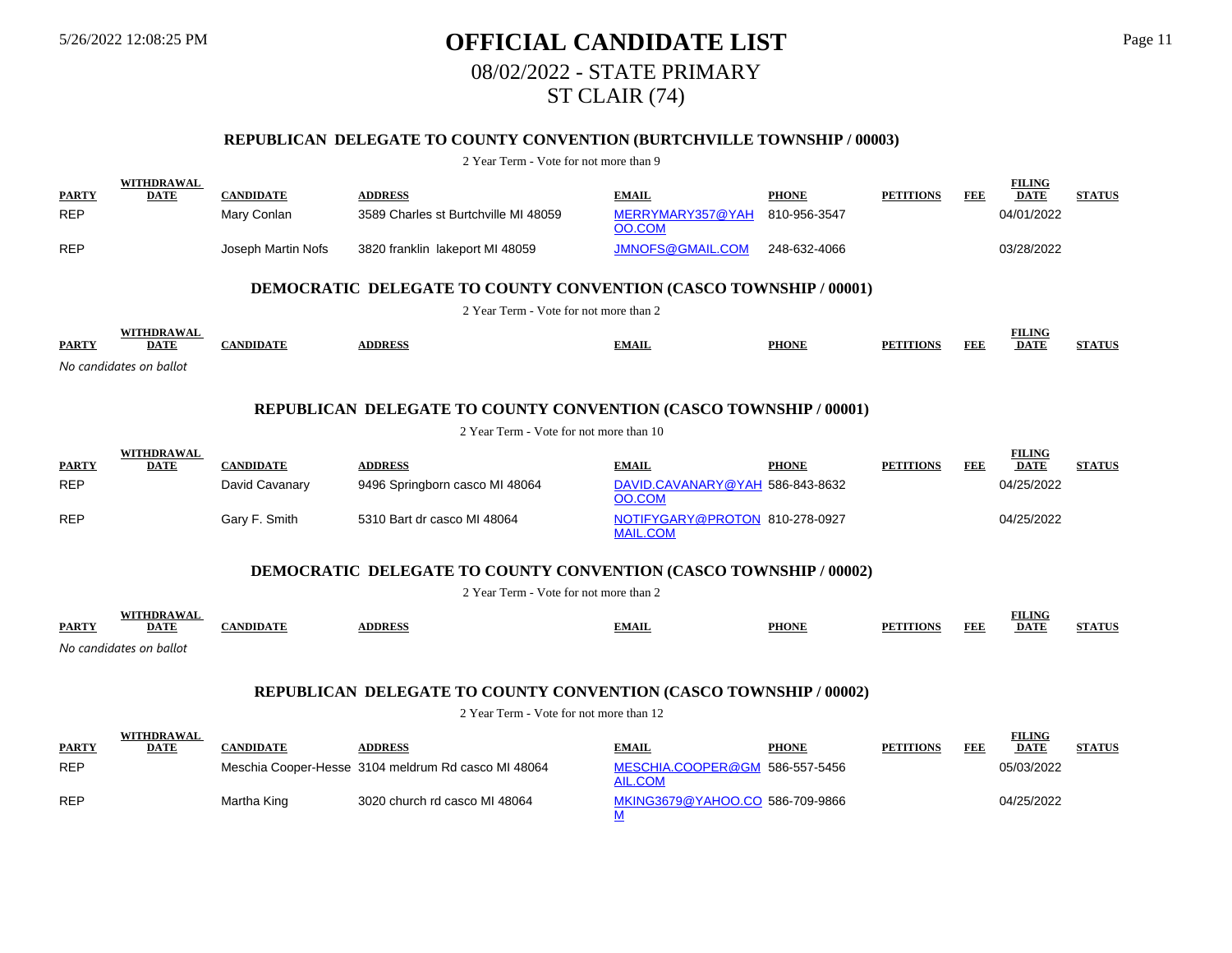# 5/26/2022 12:08:25 PM **OFFICIAL CANDIDATE LIST** Page 11 08/02/2022 - STATE PRIMARY ST CLAIR (74)

## **REPUBLICAN DELEGATE TO COUNTY CONVENTION (BURTCHVILLE TOWNSHIP / 00003)**

#### 2 Year Term - Vote for not more than 9

|              | <b>WITHDRAWAL</b>                                                        |                    |                                        |                            |              |                  |     | <b>FILING</b>                |               |  |  |  |  |
|--------------|--------------------------------------------------------------------------|--------------------|----------------------------------------|----------------------------|--------------|------------------|-----|------------------------------|---------------|--|--|--|--|
| <b>PARTY</b> | <b>DATE</b>                                                              | <b>CANDIDATE</b>   | <b>ADDRESS</b>                         | <b>EMAIL</b>               | <b>PHONE</b> | <b>PETITIONS</b> | FEE | <b>DATE</b>                  | <b>STATUS</b> |  |  |  |  |
| <b>REP</b>   |                                                                          | Mary Conlan        | 3589 Charles st Burtchville MI 48059   | MERRYMARY357@YAH<br>OO.COM | 810-956-3547 |                  |     | 04/01/2022                   |               |  |  |  |  |
| <b>REP</b>   |                                                                          | Joseph Martin Nofs | 3820 franklin lakeport MI 48059        | JMNOFS@GMAIL.COM           | 248-632-4066 |                  |     | 03/28/2022                   |               |  |  |  |  |
|              | <b>DEMOCRATIC DELEGATE TO COUNTY CONVENTION (CASCO TOWNSHIP / 00001)</b> |                    |                                        |                            |              |                  |     |                              |               |  |  |  |  |
|              |                                                                          |                    | 2 Year Term - Vote for not more than 2 |                            |              |                  |     |                              |               |  |  |  |  |
| <b>PARTY</b> | <b>WITHDRAWAL</b><br><b>DATE</b>                                         | <b>CANDIDATE</b>   | <b>ADDRESS</b>                         | <b>EMAIL</b>               | <b>PHONE</b> | <b>PETITIONS</b> | FEE | <b>FILING</b><br><b>DATE</b> | <b>STATUS</b> |  |  |  |  |
|              | No candidates on ballot                                                  |                    |                                        |                            |              |                  |     |                              |               |  |  |  |  |

#### **REPUBLICAN DELEGATE TO COUNTY CONVENTION (CASCO TOWNSHIP / 00001)**

#### 2 Year Term - Vote for not more than 10

|              | <b>WITHDRAWAL</b> |                  |                                |                                                   |              |                  |            | <b>FILING</b> |               |
|--------------|-------------------|------------------|--------------------------------|---------------------------------------------------|--------------|------------------|------------|---------------|---------------|
| <b>PARTY</b> | DATE              | <b>CANDIDATE</b> | <b>ADDRESS</b>                 | <b>EMAIL</b>                                      | <b>PHONE</b> | <b>PETITIONS</b> | <b>FEE</b> | <b>DATE</b>   | <b>STATUS</b> |
| <b>REP</b>   |                   | David Cavanary   | 9496 Springborn casco MI 48064 | DAVID.CAVANARY@YAH 586-843-8632<br>OO.COM         |              |                  |            | 04/25/2022    |               |
| <b>REP</b>   |                   | Gary F. Smith    | 5310 Bart dr casco MI 48064    | NOTIFYGARY@PROTON 810-278-0927<br><b>MAIL.COM</b> |              |                  |            | 04/25/2022    |               |

#### **DEMOCRATIC DELEGATE TO COUNTY CONVENTION (CASCO TOWNSHIP / 00002)**

2 Year Term - Vote for not more than 2

|              |                          |       |               |       |              |                                         | FILING      |                   |
|--------------|--------------------------|-------|---------------|-------|--------------|-----------------------------------------|-------------|-------------------|
| <b>PARTY</b> | <b>DATI</b>              | NDID⊾ | <b>DDRESS</b> | .MAIL | <b>PHONE</b> | PE <sub>1</sub><br><b>TTIONS</b><br>FEI | <b>DATI</b> | <b>IN A NEXTO</b> |
|              | $\overline{\phantom{a}}$ |       |               |       |              |                                         |             |                   |

*No candidates on ballot*

# **REPUBLICAN DELEGATE TO COUNTY CONVENTION (CASCO TOWNSHIP / 00002)**

|              | <b>WITHDRAWAL</b> |             |                                                     |                                           |              |                  |     | <b>FILING</b> |               |
|--------------|-------------------|-------------|-----------------------------------------------------|-------------------------------------------|--------------|------------------|-----|---------------|---------------|
| <b>PARTY</b> | <b>DATE</b>       | CANDIDATE   | <b>DDRESS</b>                                       | <b>EMAIL</b>                              | <b>PHONE</b> | <b>PETITIONS</b> | FEB | <b>DATE</b>   | <b>STATUS</b> |
| <b>REP</b>   |                   |             | Meschia Cooper-Hesse 3104 meldrum Rd casco MI 48064 | MESCHIA.COOPER@GM 586-557-5456<br>AIL.COM |              |                  |     | 05/03/2022    |               |
| <b>REP</b>   |                   | Martha King | 3020 church rd casco MI 48064                       | MKING3679@YAHOO.CO 586-709-9866           |              |                  |     | 04/25/2022    |               |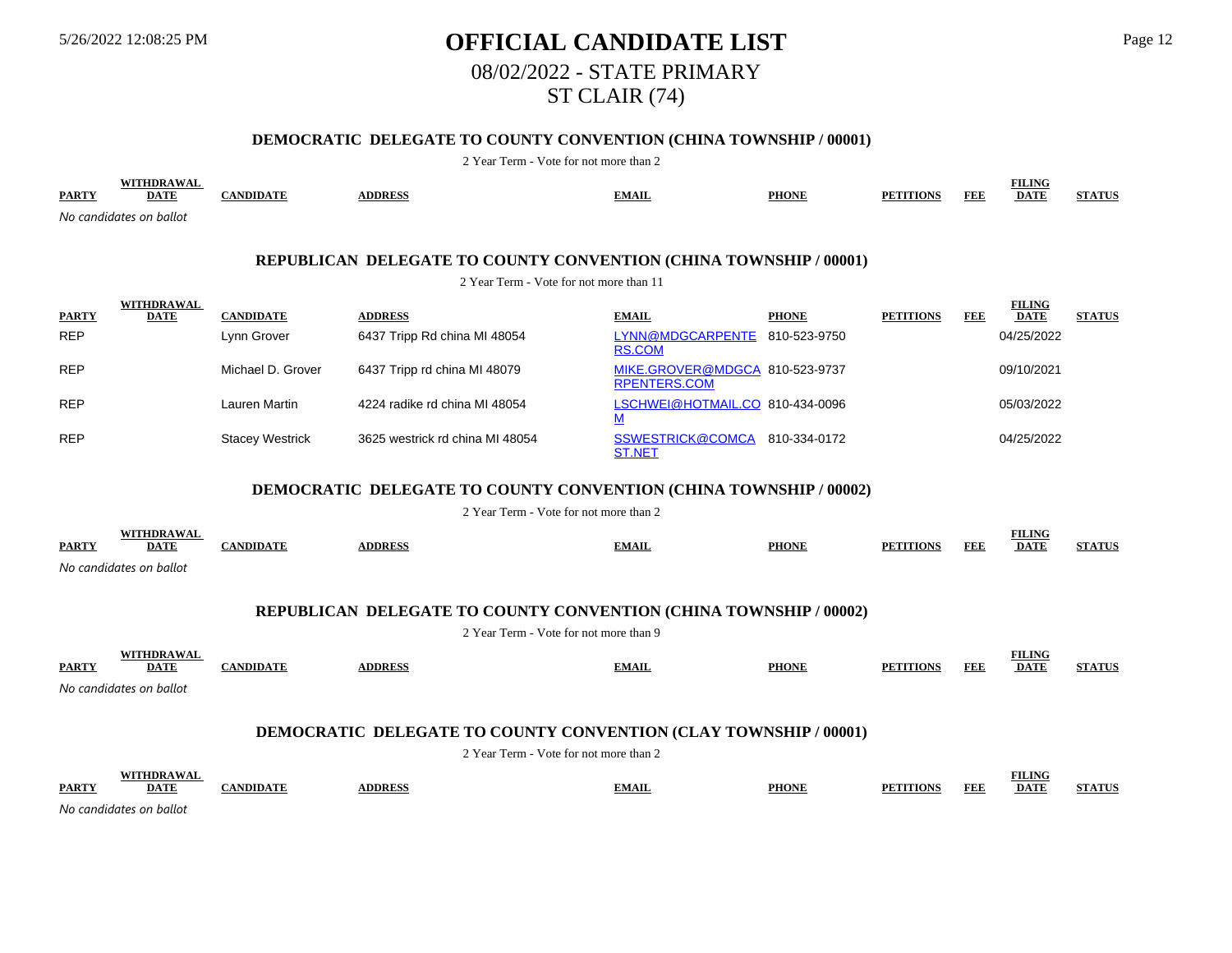# 5/26/2022 12:08:25 PM **OFFICIAL CANDIDATE LIST** Page 12 08/02/2022 - STATE PRIMARY ST CLAIR (74)

## **DEMOCRATIC DELEGATE TO COUNTY CONVENTION (CHINA TOWNSHIP / 00001)**

| <b>PARTY</b>                                                             | WITHDRAWAL<br><b>DATE</b>        | <b>CANDIDATE</b>       | <b>ADDRESS</b>                                                                                                     | <b>EMAIL</b>                                          | <b>PHONE</b> | <b>PETITIONS</b> | <b>FEE</b> | <b>FILING</b><br><b>DATE</b> | <b>STATUS</b> |  |  |  |  |
|--------------------------------------------------------------------------|----------------------------------|------------------------|--------------------------------------------------------------------------------------------------------------------|-------------------------------------------------------|--------------|------------------|------------|------------------------------|---------------|--|--|--|--|
|                                                                          | No candidates on ballot          |                        |                                                                                                                    |                                                       |              |                  |            |                              |               |  |  |  |  |
|                                                                          |                                  |                        |                                                                                                                    |                                                       |              |                  |            |                              |               |  |  |  |  |
| REPUBLICAN DELEGATE TO COUNTY CONVENTION (CHINA TOWNSHIP / 00001)        |                                  |                        |                                                                                                                    |                                                       |              |                  |            |                              |               |  |  |  |  |
|                                                                          |                                  |                        | 2 Year Term - Vote for not more than 11                                                                            |                                                       |              |                  |            |                              |               |  |  |  |  |
| <b>PARTY</b>                                                             | WITHDRAWAL<br><b>DATE</b>        | <b>CANDIDATE</b>       | <b>ADDRESS</b>                                                                                                     | <b>EMAIL</b>                                          | <b>PHONE</b> | <b>PETITIONS</b> | <b>FEE</b> | <b>FILING</b><br><b>DATE</b> | <b>STATUS</b> |  |  |  |  |
| <b>REP</b>                                                               |                                  | Lynn Grover            | 6437 Tripp Rd china MI 48054                                                                                       | LYNN@MDGCARPENTE 810-523-9750                         |              |                  |            | 04/25/2022                   |               |  |  |  |  |
|                                                                          |                                  |                        |                                                                                                                    | <b>RS.COM</b>                                         |              |                  |            |                              |               |  |  |  |  |
| <b>REP</b>                                                               |                                  | Michael D. Grover      | 6437 Tripp rd china MI 48079                                                                                       | MIKE.GROVER@MDGCA 810-523-9737<br><b>RPENTERS.COM</b> |              |                  |            | 09/10/2021                   |               |  |  |  |  |
| <b>REP</b>                                                               |                                  | Lauren Martin          | 4224 radike rd china MI 48054                                                                                      | LSCHWEI@HOTMAIL.CO 810-434-0096<br>M                  |              |                  |            | 05/03/2022                   |               |  |  |  |  |
| <b>REP</b>                                                               |                                  | <b>Stacey Westrick</b> | 3625 westrick rd china MI 48054                                                                                    | SSWESTRICK@COMCA 810-334-0172<br><b>ST.NET</b>        |              |                  |            | 04/25/2022                   |               |  |  |  |  |
| <b>DEMOCRATIC DELEGATE TO COUNTY CONVENTION (CHINA TOWNSHIP / 00002)</b> |                                  |                        |                                                                                                                    |                                                       |              |                  |            |                              |               |  |  |  |  |
|                                                                          |                                  |                        | 2 Year Term - Vote for not more than 2                                                                             |                                                       |              |                  |            |                              |               |  |  |  |  |
|                                                                          | <b>WITHDRAWAL</b>                |                        |                                                                                                                    |                                                       |              |                  |            | <b>FILING</b>                |               |  |  |  |  |
| <b>PARTY</b>                                                             | <b>DATE</b>                      | <b>CANDIDATE</b>       | <b>ADDRESS</b>                                                                                                     | <b>EMAIL</b>                                          | <b>PHONE</b> | <b>PETITIONS</b> | <b>FEE</b> | <b>DATE</b>                  | <b>STATUS</b> |  |  |  |  |
|                                                                          | No candidates on ballot          |                        |                                                                                                                    |                                                       |              |                  |            |                              |               |  |  |  |  |
|                                                                          |                                  |                        |                                                                                                                    |                                                       |              |                  |            |                              |               |  |  |  |  |
|                                                                          |                                  |                        | <b>REPUBLICAN DELEGATE TO COUNTY CONVENTION (CHINA TOWNSHIP / 00002)</b><br>2 Year Term - Vote for not more than 9 |                                                       |              |                  |            |                              |               |  |  |  |  |
|                                                                          |                                  |                        |                                                                                                                    |                                                       |              |                  |            | <b>FILING</b>                |               |  |  |  |  |
| <b>PARTY</b>                                                             | WITHDRAWAL<br><b>DATE</b>        | <b>CANDIDATE</b>       | <b>ADDRESS</b>                                                                                                     | <b>EMAIL</b>                                          | <b>PHONE</b> | <b>PETITIONS</b> | <b>FEE</b> | <b>DATE</b>                  | <b>STATUS</b> |  |  |  |  |
|                                                                          | No candidates on ballot          |                        |                                                                                                                    |                                                       |              |                  |            |                              |               |  |  |  |  |
|                                                                          |                                  |                        |                                                                                                                    |                                                       |              |                  |            |                              |               |  |  |  |  |
|                                                                          |                                  |                        | <b>DEMOCRATIC DELEGATE TO COUNTY CONVENTION (CLAY TOWNSHIP / 00001)</b>                                            |                                                       |              |                  |            |                              |               |  |  |  |  |
|                                                                          |                                  |                        | 2 Year Term - Vote for not more than 2                                                                             |                                                       |              |                  |            |                              |               |  |  |  |  |
| <b>PARTY</b>                                                             | <b>WITHDRAWAL</b><br><b>DATE</b> | <b>CANDIDATE</b>       | <b>ADDRESS</b>                                                                                                     | <b>EMAIL</b>                                          | <b>PHONE</b> | <b>PETITIONS</b> | <b>FEE</b> | <b>FILING</b><br><b>DATE</b> | <b>STATUS</b> |  |  |  |  |
|                                                                          | No candidates on ballot          |                        |                                                                                                                    |                                                       |              |                  |            |                              |               |  |  |  |  |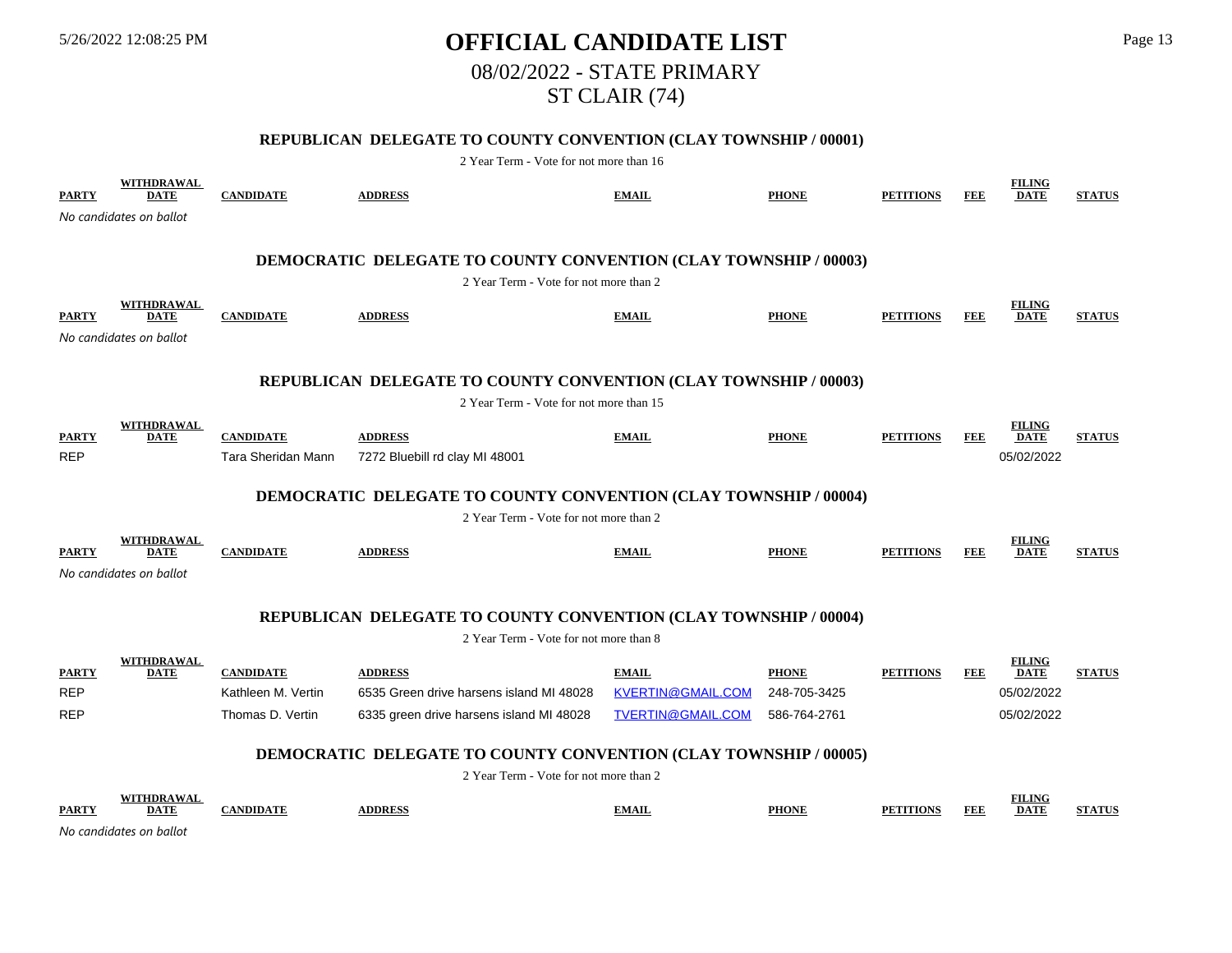# 5/26/2022 12:08:25 PM **OFFICIAL CANDIDATE LIST** Page 13 08/02/2022 - STATE PRIMARY ST CLAIR (74)

## **REPUBLICAN DELEGATE TO COUNTY CONVENTION (CLAY TOWNSHIP / 00001)**

| <b>PARTY</b> | <b>WITHDRAWAL</b><br><b>DATE</b> | <b>CANDIDATE</b>   | <b>ADDRESS</b>                                                          | <b>EMAIL</b>             | <b>PHONE</b> | <b>PETITIONS</b> | <b>FEE</b> | <b>FILING</b><br><b>DATE</b> | <b>STATUS</b> |
|--------------|----------------------------------|--------------------|-------------------------------------------------------------------------|--------------------------|--------------|------------------|------------|------------------------------|---------------|
|              | No candidates on ballot          |                    |                                                                         |                          |              |                  |            |                              |               |
|              |                                  |                    |                                                                         |                          |              |                  |            |                              |               |
|              |                                  |                    | <b>DEMOCRATIC DELEGATE TO COUNTY CONVENTION (CLAY TOWNSHIP / 00003)</b> |                          |              |                  |            |                              |               |
|              |                                  |                    | 2 Year Term - Vote for not more than 2                                  |                          |              |                  |            |                              |               |
| <b>PARTY</b> | <b>WITHDRAWAL</b><br><b>DATE</b> | <b>CANDIDATE</b>   | <b>ADDRESS</b>                                                          | <b>EMAIL</b>             | <b>PHONE</b> | <b>PETITIONS</b> | <b>FEE</b> | <b>FILING</b><br><b>DATE</b> | <b>STATUS</b> |
|              | No candidates on ballot          |                    |                                                                         |                          |              |                  |            |                              |               |
|              |                                  |                    |                                                                         |                          |              |                  |            |                              |               |
|              |                                  |                    | <b>REPUBLICAN DELEGATE TO COUNTY CONVENTION (CLAY TOWNSHIP / 00003)</b> |                          |              |                  |            |                              |               |
|              |                                  |                    | 2 Year Term - Vote for not more than 15                                 |                          |              |                  |            |                              |               |
| <b>PARTY</b> | <b>WITHDRAWAL</b><br><b>DATE</b> | <b>CANDIDATE</b>   | <b>ADDRESS</b>                                                          | <b>EMAIL</b>             | <b>PHONE</b> | <b>PETITIONS</b> | FEE        | <b>FILING</b><br><b>DATE</b> | <b>STATUS</b> |
| <b>REP</b>   |                                  | Tara Sheridan Mann | 7272 Bluebill rd clay MI 48001                                          |                          |              |                  |            | 05/02/2022                   |               |
|              |                                  |                    |                                                                         |                          |              |                  |            |                              |               |
|              |                                  |                    | <b>DEMOCRATIC DELEGATE TO COUNTY CONVENTION (CLAY TOWNSHIP / 00004)</b> |                          |              |                  |            |                              |               |
|              | WITHDRAWAL                       |                    | 2 Year Term - Vote for not more than 2                                  |                          |              |                  |            | <b>FILING</b>                |               |
| <b>PARTY</b> | <b>DATE</b>                      | <b>CANDIDATE</b>   | <b>ADDRESS</b>                                                          | <b>EMAIL</b>             | <b>PHONE</b> | <b>PETITIONS</b> | FEE        | <b>DATE</b>                  | <b>STATUS</b> |
|              | No candidates on ballot          |                    |                                                                         |                          |              |                  |            |                              |               |
|              |                                  |                    |                                                                         |                          |              |                  |            |                              |               |
|              |                                  |                    | REPUBLICAN DELEGATE TO COUNTY CONVENTION (CLAY TOWNSHIP / 00004)        |                          |              |                  |            |                              |               |
|              |                                  |                    | 2 Year Term - Vote for not more than 8                                  |                          |              |                  |            |                              |               |
| <b>PARTY</b> | <b>WITHDRAWAL</b><br><b>DATE</b> | <b>CANDIDATE</b>   | <b>ADDRESS</b>                                                          | <b>EMAIL</b>             | <b>PHONE</b> | <b>PETITIONS</b> | FEE        | <b>FILING</b><br><b>DATE</b> | <b>STATUS</b> |
| <b>REP</b>   |                                  | Kathleen M. Vertin | 6535 Green drive harsens island MI 48028                                | <b>KVERTIN@GMAIL.COM</b> | 248-705-3425 |                  |            | 05/02/2022                   |               |
| <b>REP</b>   |                                  | Thomas D. Vertin   | 6335 green drive harsens island MI 48028                                | TVERTIN@GMAIL.COM        | 586-764-2761 |                  |            | 05/02/2022                   |               |
|              |                                  |                    | <b>DEMOCRATIC DELEGATE TO COUNTY CONVENTION (CLAY TOWNSHIP / 00005)</b> |                          |              |                  |            |                              |               |
|              |                                  |                    | 2 Year Term - Vote for not more than 2                                  |                          |              |                  |            |                              |               |
|              | WITHDRAWAL                       |                    |                                                                         |                          |              |                  |            | <b>FILING</b>                |               |
| <b>PARTY</b> | <b>DATE</b>                      | <b>CANDIDATE</b>   | <b>ADDRESS</b>                                                          | <b>EMAIL</b>             | <b>PHONE</b> | <b>PETITIONS</b> | <b>FEE</b> | <b>DATE</b>                  | <b>STATUS</b> |
|              | No candidates on ballot          |                    |                                                                         |                          |              |                  |            |                              |               |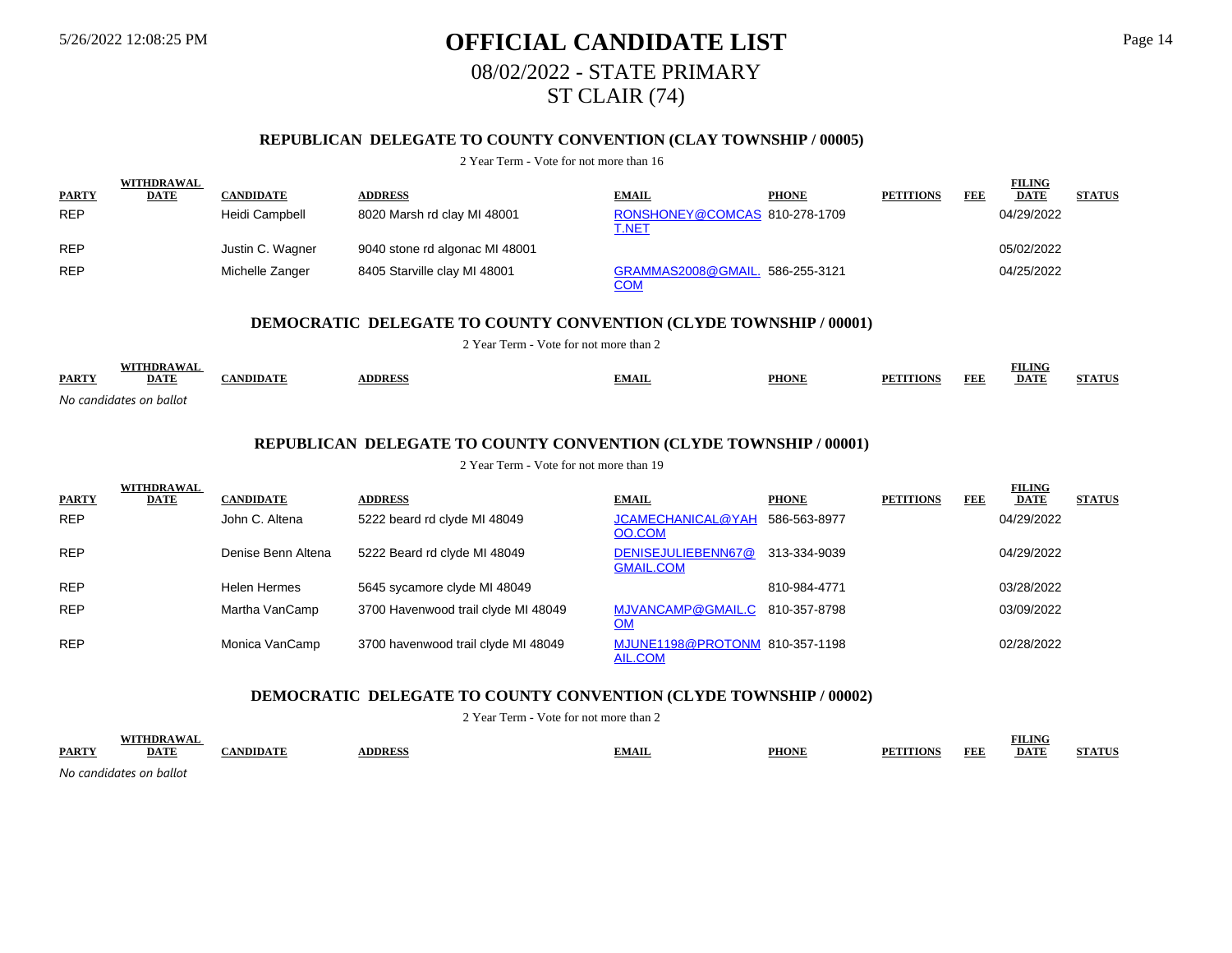# 5/26/2022 12:08:25 PM **OFFICIAL CANDIDATE LIST** Page 14 08/02/2022 - STATE PRIMARY ST CLAIR (74)

## **REPUBLICAN DELEGATE TO COUNTY CONVENTION (CLAY TOWNSHIP / 00005)**

#### 2 Year Term - Vote for not more than 16

|              | <b>WITHDRAWAL</b> |                  |                                |                                               |              |                  |     | <b>FILING</b> |               |
|--------------|-------------------|------------------|--------------------------------|-----------------------------------------------|--------------|------------------|-----|---------------|---------------|
| <b>PARTY</b> | <b>DATE</b>       | <b>CANDIDATE</b> | <b>ADDRESS</b>                 | <b>EMAIL</b>                                  | <b>PHONE</b> | <b>PETITIONS</b> | FEE | <b>DATE</b>   | <b>STATUS</b> |
| <b>REP</b>   |                   | Heidi Campbell   | 8020 Marsh rd clay MI 48001    | RONSHONEY@COMCAS 810-278-1709<br><u>T.NET</u> |              |                  |     | 04/29/2022    |               |
| <b>REP</b>   |                   | Justin C. Wagner | 9040 stone rd algonac MI 48001 |                                               |              |                  |     | 05/02/2022    |               |
| <b>REP</b>   |                   | Michelle Zanger  | 8405 Starville clay MI 48001   | GRAMMAS2008@GMAIL. 586-255-3121<br><u>COM</u> |              |                  |     | 04/25/2022    |               |

### **DEMOCRATIC DELEGATE TO COUNTY CONVENTION (CLYDE TOWNSHIP / 00001)**

2 Year Term - Vote for not more than 2

|              |                         |               |              |              |              |                                             |            | <b>FILING</b> | СТАТИ |
|--------------|-------------------------|---------------|--------------|--------------|--------------|---------------------------------------------|------------|---------------|-------|
| <b>PARTY</b> | DATE                    | <b>NDIDAT</b> | <b>DDRES</b> | <b>EMAIL</b> | <b>PHONE</b> | $\mathbf{P} \mathbf{E}^{\prime}$<br>TITIONS | <b>FEE</b> | <b>DATE</b>   |       |
|              | No candidates on ballot |               |              |              |              |                                             |            |               |       |

### **REPUBLICAN DELEGATE TO COUNTY CONVENTION (CLYDE TOWNSHIP / 00001)**

2 Year Term - Vote for not more than 19

|              | <b>WITHDRAWAL</b> |                    |                                     |                                             |              |                  |            | <b>FILING</b> |               |
|--------------|-------------------|--------------------|-------------------------------------|---------------------------------------------|--------------|------------------|------------|---------------|---------------|
| <b>PARTY</b> | <b>DATE</b>       | <b>CANDIDATE</b>   | <b>ADDRESS</b>                      | <b>EMAIL</b>                                | <b>PHONE</b> | <b>PETITIONS</b> | <b>FEE</b> | <b>DATE</b>   | <b>STATUS</b> |
| <b>REP</b>   |                   | John C. Altena     | 5222 beard rd clyde MI 48049        | JCAMECHANICAL@YAH<br>OO.COM                 | 586-563-8977 |                  |            | 04/29/2022    |               |
| <b>REP</b>   |                   | Denise Benn Altena | 5222 Beard rd clyde MI 48049        | DENISEJULIEBENN67@<br><b>GMAIL.COM</b>      | 313-334-9039 |                  |            | 04/29/2022    |               |
| <b>REP</b>   |                   | Helen Hermes       | 5645 sycamore clyde MI 48049        |                                             | 810-984-4771 |                  |            | 03/28/2022    |               |
| <b>REP</b>   |                   | Martha VanCamp     | 3700 Havenwood trail clyde MI 48049 | MJVANCAMP@GMAIL.C 810-357-8798<br><u>OM</u> |              |                  |            | 03/09/2022    |               |
| <b>REP</b>   |                   | Monica VanCamp     | 3700 havenwood trail clyde MI 48049 | MJUNE1198@PROTONM 810-357-1198<br>AIL.COM   |              |                  |            | 02/28/2022    |               |

#### **DEMOCRATIC DELEGATE TO COUNTY CONVENTION (CLYDE TOWNSHIP / 00002)**

2 Year Term - Vote for not more than 2

|                           |      |      |               |         |              |                                                            | <b>FILING</b> |         |
|---------------------------|------|------|---------------|---------|--------------|------------------------------------------------------------|---------------|---------|
| <b>PARTY</b>              | DATT | NDID | <b>DDRESS</b> | AVIA IL | <b>PHONE</b> | FEB<br>$T$ $\sim$ $T$ $\sim$ $T$ $\sim$ $T$ $\sim$<br>PF 1 | DATF          | 1.77770 |
| $\sim$ $\sim$<br>$\cdots$ | .    |      |               |         |              |                                                            |               |         |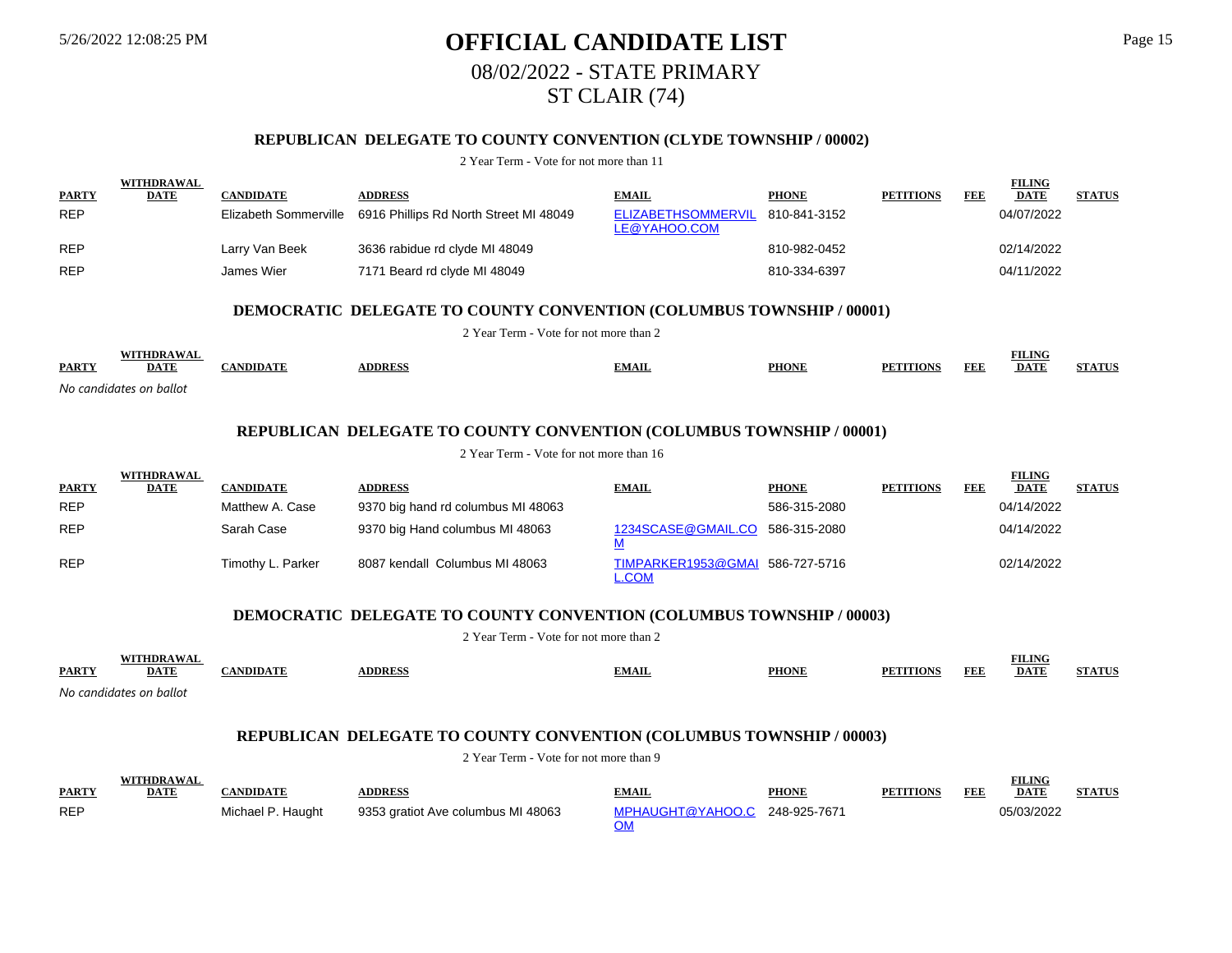# 5/26/2022 12:08:25 PM **OFFICIAL CANDIDATE LIST** Page 15 08/02/2022 - STATE PRIMARY ST CLAIR (74)

## **REPUBLICAN DELEGATE TO COUNTY CONVENTION (CLYDE TOWNSHIP / 00002)**

2 Year Term - Vote for not more than 11

|              | <b>WITHDRAWAL</b>         |                       |                                                                                                                       |                                           |              |                  |            | <b>FILING</b>                |               |
|--------------|---------------------------|-----------------------|-----------------------------------------------------------------------------------------------------------------------|-------------------------------------------|--------------|------------------|------------|------------------------------|---------------|
| <b>PARTY</b> | <b>DATE</b>               | <b>CANDIDATE</b>      | <b>ADDRESS</b>                                                                                                        | <b>EMAIL</b>                              | <b>PHONE</b> | <b>PETITIONS</b> | <b>FEE</b> | <b>DATE</b>                  | <b>STATUS</b> |
| <b>REP</b>   |                           | Elizabeth Sommerville | 6916 Phillips Rd North Street MI 48049                                                                                | <b>ELIZABETHSOMMERVIL</b><br>LE@YAHOO.COM | 810-841-3152 |                  |            | 04/07/2022                   |               |
| <b>REP</b>   |                           | Larry Van Beek        | 3636 rabidue rd clyde MI 48049                                                                                        |                                           | 810-982-0452 |                  |            | 02/14/2022                   |               |
| <b>REP</b>   |                           | James Wier            | 7171 Beard rd clyde MI 48049                                                                                          |                                           | 810-334-6397 |                  |            | 04/11/2022                   |               |
|              |                           |                       | <b>DEMOCRATIC DELEGATE TO COUNTY CONVENTION (COLUMBUS TOWNSHIP / 00001)</b><br>2 Year Term - Vote for not more than 2 |                                           |              |                  |            |                              |               |
|              |                           |                       |                                                                                                                       |                                           |              |                  |            |                              |               |
| <b>PARTY</b> | WITHDRAWAL<br><b>DATE</b> | <b>CANDIDATE</b>      | <b>ADDRESS</b>                                                                                                        | <b>EMAIL</b>                              | <b>PHONE</b> | <b>PETITIONS</b> | <b>FEE</b> | <b>FILING</b><br><b>DATE</b> | <b>STATUS</b> |

*No candidates on ballot*

## **REPUBLICAN DELEGATE TO COUNTY CONVENTION (COLUMBUS TOWNSHIP / 00001)**

2 Year Term - Vote for not more than 16

|              | WITHDRAWAL  |                   |                                    |                                                 |              |                  |     | <b>FILING</b> |               |
|--------------|-------------|-------------------|------------------------------------|-------------------------------------------------|--------------|------------------|-----|---------------|---------------|
| <b>PARTY</b> | <b>DATE</b> | <b>CANDIDATE</b>  | <b>ADDRESS</b>                     | <b>EMAIL</b>                                    | <b>PHONE</b> | <b>PETITIONS</b> | FEE | <b>DATE</b>   | <b>STATUS</b> |
| <b>REP</b>   |             | Matthew A. Case   | 9370 big hand rd columbus MI 48063 |                                                 | 586-315-2080 |                  |     | 04/14/2022    |               |
| <b>REP</b>   |             | Sarah Case        | 9370 big Hand columbus MI 48063    | 1234SCASE@GMAIL.CO 586-315-2080                 |              |                  |     | 04/14/2022    |               |
| <b>REP</b>   |             | Timothy L. Parker | 8087 kendall Columbus MI 48063     | TIMPARKER1953@GMAI 586-727-5716<br><b>L.COM</b> |              |                  |     | 02/14/2022    |               |

### **DEMOCRATIC DELEGATE TO COUNTY CONVENTION (COLUMBUS TOWNSHIP / 00003)**

2 Year Term - Vote for not more than 2

|              | $\cdot$ THDRAWA         |                 |                |              |              |                  |     | <b>FILING</b> |                         |
|--------------|-------------------------|-----------------|----------------|--------------|--------------|------------------|-----|---------------|-------------------------|
| <b>PARTY</b> | <b>DATE</b>             | <b>ANDIDATE</b> | <b>ADDRESS</b> | <u>EMAIL</u> | <b>PHONE</b> | <b>PETITIONS</b> | FEE | <b>DATE</b>   | <b>TA THE</b><br>'IAIU. |
|              | No candidates on ballot |                 |                |              |              |                  |     |               |                         |

### **REPUBLICAN DELEGATE TO COUNTY CONVENTION (COLUMBUS TOWNSHIP / 00003)**

|              | <b>WITHDRAWAL</b> |                   |                                    |                               |              |                  |     | ₹ILING      |               |
|--------------|-------------------|-------------------|------------------------------------|-------------------------------|--------------|------------------|-----|-------------|---------------|
| <b>PARTY</b> | <b>DATE</b>       | 'ANDIDATE         | <b>DDRESS</b>                      | <b>EMAIL</b>                  | <b>PHONE</b> | <b>PETITIONS</b> | FEF | <b>DATE</b> | <b>STATUS</b> |
| <b>REP</b>   |                   | Michael P. Haught | 9353 gratiot Ave columbus MI 48063 | MPHAUGHT@YAHOO.C 248-925-7671 |              |                  |     | 05/03/2022  |               |
|              |                   |                   |                                    |                               |              |                  |     |             |               |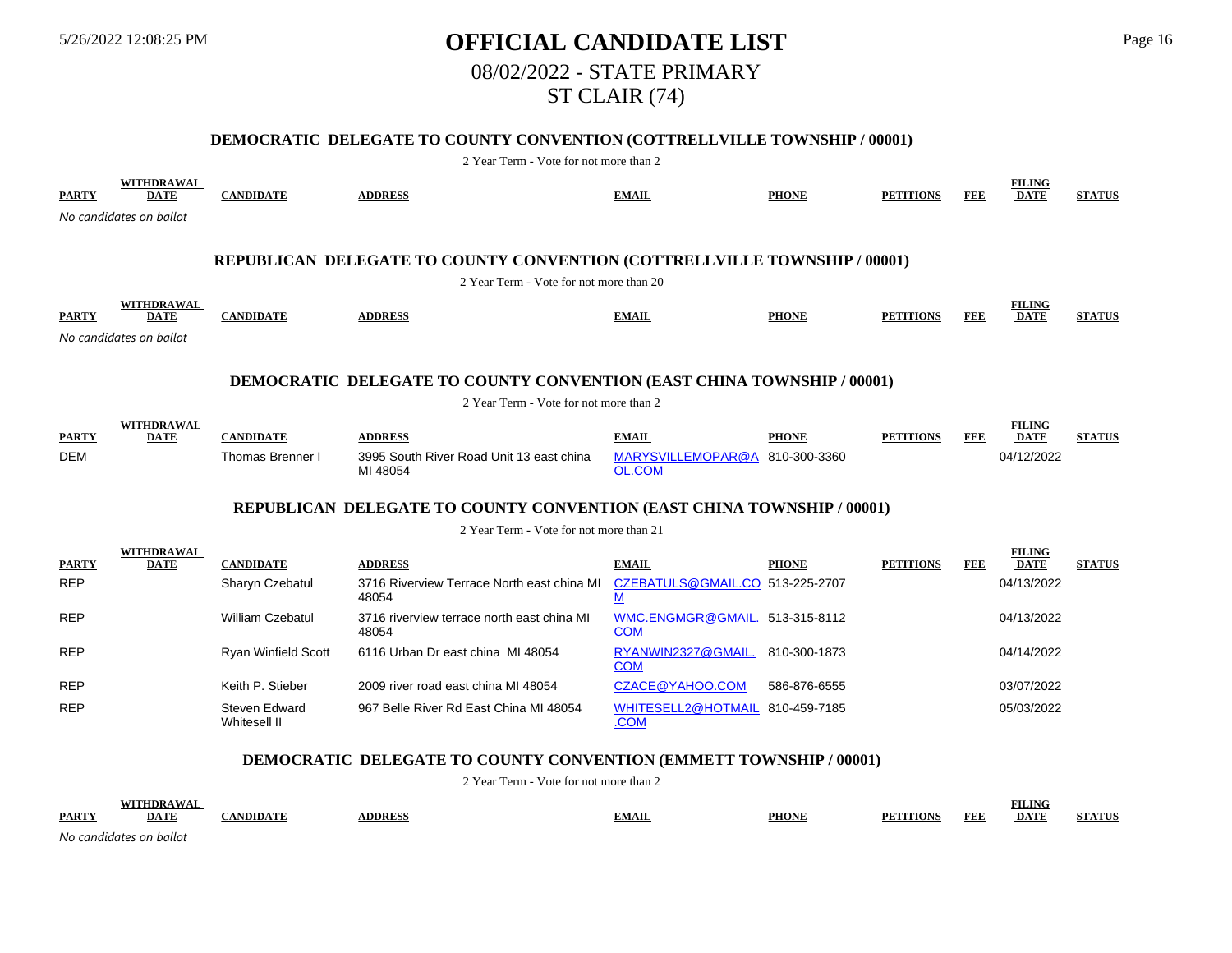# 5/26/2022 12:08:25 PM **OFFICIAL CANDIDATE LIST** Page 16 08/02/2022 - STATE PRIMARY ST CLAIR (74)

### **DEMOCRATIC DELEGATE TO COUNTY CONVENTION (COTTRELLVILLE TOWNSHIP / 00001)**

2 Year Term - Vote for not more than 2

| <b>PARTY</b> | WITHDRAWAL<br><b>DATE</b>        | <b>CANDIDATE</b>           | <b>ADDRESS</b>                                                                | <b>EMAIL</b>                                 | <b>PHONE</b> | <b>PETITIONS</b> | FEE        | <b>FILING</b><br><b>DATE</b> | <b>STATUS</b> |
|--------------|----------------------------------|----------------------------|-------------------------------------------------------------------------------|----------------------------------------------|--------------|------------------|------------|------------------------------|---------------|
|              | No candidates on ballot          |                            |                                                                               |                                              |              |                  |            |                              |               |
|              |                                  |                            |                                                                               |                                              |              |                  |            |                              |               |
|              |                                  |                            | REPUBLICAN DELEGATE TO COUNTY CONVENTION (COTTRELLVILLE TOWNSHIP / 00001)     |                                              |              |                  |            |                              |               |
|              |                                  |                            | 2 Year Term - Vote for not more than 20                                       |                                              |              |                  |            |                              |               |
| <b>PARTY</b> | <b>WITHDRAWAL</b><br><b>DATE</b> | <b>CANDIDATE</b>           | <b>ADDRESS</b>                                                                | <b>EMAIL</b>                                 | <b>PHONE</b> | <b>PETITIONS</b> | <b>FEE</b> | <b>FILING</b><br><b>DATE</b> | <b>STATUS</b> |
|              | No candidates on ballot          |                            |                                                                               |                                              |              |                  |            |                              |               |
|              |                                  |                            |                                                                               |                                              |              |                  |            |                              |               |
|              |                                  |                            | <b>DEMOCRATIC DELEGATE TO COUNTY CONVENTION (EAST CHINA TOWNSHIP / 00001)</b> |                                              |              |                  |            |                              |               |
|              |                                  |                            | 2 Year Term - Vote for not more than 2                                        |                                              |              |                  |            |                              |               |
| <b>PARTY</b> | WITHDRAWAL<br><b>DATE</b>        | <b>CANDIDATE</b>           | <b>ADDRESS</b>                                                                | <b>EMAIL</b>                                 | <b>PHONE</b> | <b>PETITIONS</b> | FEE        | <b>FILING</b><br><b>DATE</b> | <b>STATUS</b> |
| <b>DEM</b>   |                                  | Thomas Brenner I           | 3995 South River Road Unit 13 east china<br>MI 48054                          | MARYSVILLEMOPAR@A<br><b>OL.COM</b>           | 810-300-3360 |                  |            | 04/12/2022                   |               |
|              |                                  |                            | REPUBLICAN DELEGATE TO COUNTY CONVENTION (EAST CHINA TOWNSHIP / 00001)        |                                              |              |                  |            |                              |               |
|              |                                  |                            | 2 Year Term - Vote for not more than 21                                       |                                              |              |                  |            |                              |               |
| <b>PARTY</b> | WITHDRAWAL<br><b>DATE</b>        | <b>CANDIDATE</b>           | <b>ADDRESS</b>                                                                | <b>EMAIL</b>                                 | <b>PHONE</b> | <b>PETITIONS</b> | FEE        | <b>FILING</b><br><b>DATE</b> | <b>STATUS</b> |
| <b>REP</b>   |                                  | Sharyn Czebatul            | 3716 Riverview Terrace North east china MI<br>48054                           | CZEBATULS@GMAIL.CO 513-225-2707<br>М         |              |                  |            | 04/13/2022                   |               |
| <b>REP</b>   |                                  | <b>William Czebatul</b>    | 3716 riverview terrace north east china MI<br>48054                           | WMC.ENGMGR@GMAIL. 513-315-8112<br><b>COM</b> |              |                  |            | 04/13/2022                   |               |
| <b>REP</b>   |                                  | <b>Ryan Winfield Scott</b> | 6116 Urban Dr east china MI 48054                                             | RYANWIN2327@GMAIL.<br><b>COM</b>             | 810-300-1873 |                  |            | 04/14/2022                   |               |
| <b>REP</b>   |                                  | Keith P. Stieber           | 2009 river road east china MI 48054                                           | CZACE@YAHOO.COM                              | 586-876-6555 |                  |            | 03/07/2022                   |               |

#### **DEMOCRATIC DELEGATE TO COUNTY CONVENTION (EMMETT TOWNSHIP / 00001)**

967 Belle River Rd East China MI 48054

2 Year Term - Vote for not more than 2 **PARTY WITHDRAWAL DATE CANDIDATE ADDRESS EMAIL PHONE PETITIONS FEE FILING DATE STATUS**

.COM

WHITESELL2@HOTMAIL 810-459-7185 05/03/2022

*No candidates on ballot*

REP Steven Edward

Whitesell II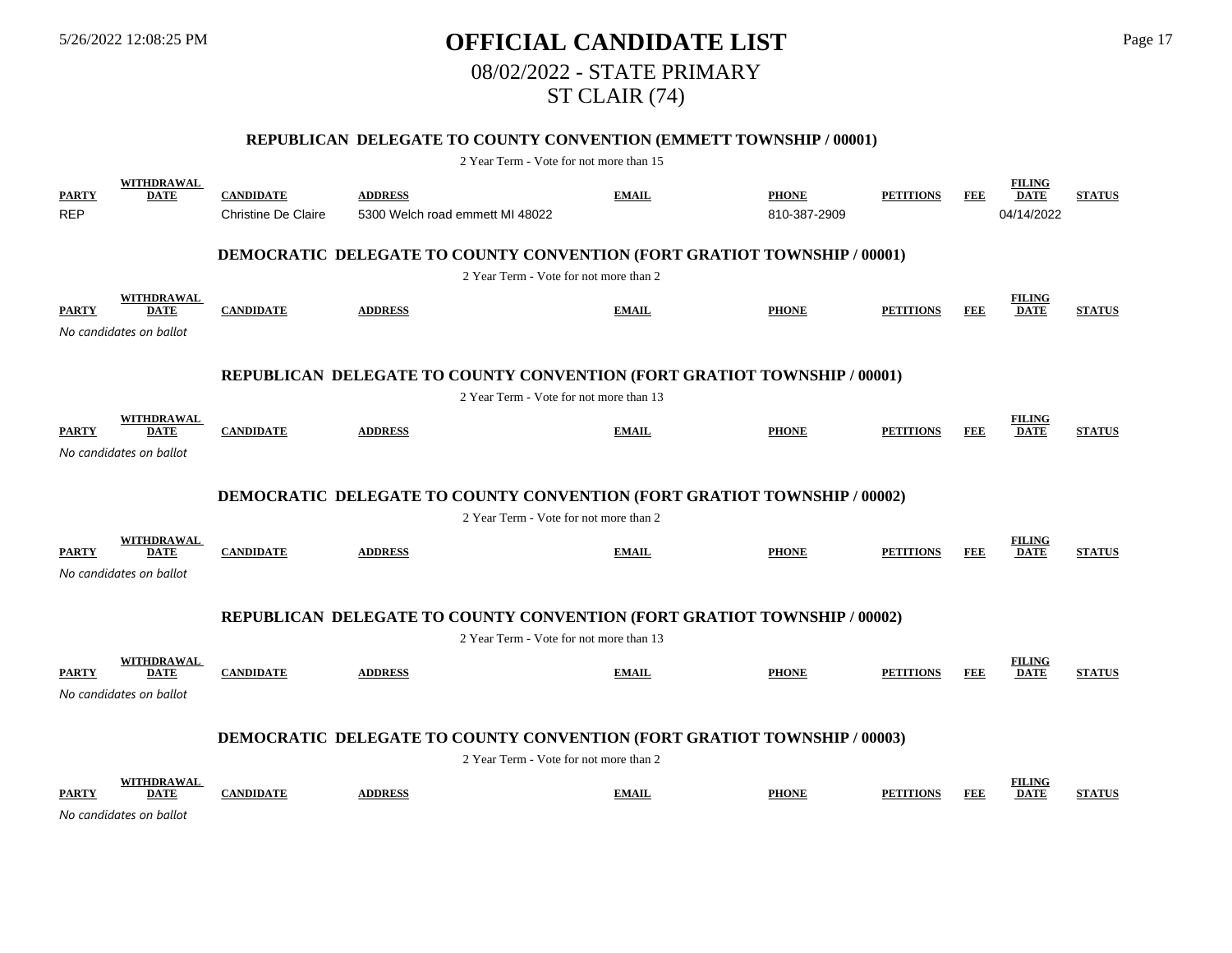# 5/26/2022 12:08:25 PM **OFFICIAL CANDIDATE LIST** Page 17 08/02/2022 - STATE PRIMARY ST CLAIR (74)

## **REPUBLICAN DELEGATE TO COUNTY CONVENTION (EMMETT TOWNSHIP / 00001)**

| <b>PARTY</b><br><b>REP</b> | <b>WITHDRAWAL</b><br><b>DATE</b>                            | <b>CANDIDATE</b><br><b>Christine De Claire</b> | <b>ADDRESS</b><br>5300 Welch road emmett MI 48022                               | <b>EMAIL</b> | <b>PHONE</b><br>810-387-2909 | <b>PETITIONS</b> | <b>FEE</b> | <b>FILING</b><br><b>DATE</b><br>04/14/2022 | <b>STATUS</b> |
|----------------------------|-------------------------------------------------------------|------------------------------------------------|---------------------------------------------------------------------------------|--------------|------------------------------|------------------|------------|--------------------------------------------|---------------|
|                            |                                                             |                                                | <b>DEMOCRATIC DELEGATE TO COUNTY CONVENTION (FORT GRATIOT TOWNSHIP / 00001)</b> |              |                              |                  |            |                                            |               |
|                            |                                                             |                                                | 2 Year Term - Vote for not more than 2                                          |              |                              |                  |            |                                            |               |
| <b>PARTY</b>               | WITHDRAWAL<br><b>DATE</b><br>No candidates on ballot        | <b>CANDIDATE</b>                               | <b>ADDRESS</b>                                                                  | <b>EMAIL</b> | <b>PHONE</b>                 | <b>PETITIONS</b> | FEE        | <b>FILING</b><br><b>DATE</b>               | <b>STATUS</b> |
|                            |                                                             |                                                |                                                                                 |              |                              |                  |            |                                            |               |
|                            |                                                             |                                                | REPUBLICAN DELEGATE TO COUNTY CONVENTION (FORT GRATIOT TOWNSHIP / 00001)        |              |                              |                  |            |                                            |               |
|                            |                                                             |                                                | 2 Year Term - Vote for not more than 13                                         |              |                              |                  |            |                                            |               |
| <b>PARTY</b>               | <b>WITHDRAWAL</b><br><b>DATE</b><br>No candidates on ballot | <b>CANDIDATE</b>                               | <b>ADDRESS</b>                                                                  | <b>EMAIL</b> | <b>PHONE</b>                 | <b>PETITIONS</b> | <b>FEE</b> | <b>FILING</b><br><b>DATE</b>               | <b>STATUS</b> |
|                            |                                                             |                                                |                                                                                 |              |                              |                  |            |                                            |               |
|                            |                                                             |                                                | <b>DEMOCRATIC DELEGATE TO COUNTY CONVENTION (FORT GRATIOT TOWNSHIP / 00002)</b> |              |                              |                  |            |                                            |               |
|                            |                                                             |                                                | 2 Year Term - Vote for not more than 2                                          |              |                              |                  |            |                                            |               |
| <b>PARTY</b>               | <b>WITHDRAWAL</b><br><b>DATE</b><br>No candidates on ballot | <b>CANDIDATE</b>                               | <b>ADDRESS</b>                                                                  | <b>EMAIL</b> | <b>PHONE</b>                 | <b>PETITIONS</b> | <b>FEE</b> | <b>FILING</b><br><b>DATE</b>               | <b>STATUS</b> |
|                            |                                                             |                                                |                                                                                 |              |                              |                  |            |                                            |               |
|                            |                                                             |                                                | REPUBLICAN DELEGATE TO COUNTY CONVENTION (FORT GRATIOT TOWNSHIP / 00002)        |              |                              |                  |            |                                            |               |
|                            |                                                             |                                                | 2 Year Term - Vote for not more than 13                                         |              |                              |                  |            |                                            |               |
| <b>PARTY</b>               | <b>WITHDRAWAL</b><br><b>DATE</b>                            | <b>CANDIDATE</b>                               | <b>ADDRESS</b>                                                                  | <b>EMAIL</b> | <b>PHONE</b>                 | <b>PETITIONS</b> | <b>FEE</b> | <b>FILING</b><br><b>DATE</b>               | <b>STATUS</b> |
|                            | No candidates on ballot                                     |                                                |                                                                                 |              |                              |                  |            |                                            |               |
|                            |                                                             |                                                | <b>DEMOCRATIC DELEGATE TO COUNTY CONVENTION (FORT GRATIOT TOWNSHIP / 00003)</b> |              |                              |                  |            |                                            |               |
|                            |                                                             |                                                | 2 Year Term - Vote for not more than 2                                          |              |                              |                  |            |                                            |               |
| <b>PARTY</b>               | WITHDRAWAL<br><b>DATE</b>                                   | <b>CANDIDATE</b>                               | <b>ADDRESS</b>                                                                  | <b>EMAIL</b> | <b>PHONE</b>                 | <b>PETITIONS</b> | FEE        | <b>FILING</b><br><b>DATE</b>               | <b>STATUS</b> |
|                            | No candidates on ballot                                     |                                                |                                                                                 |              |                              |                  |            |                                            |               |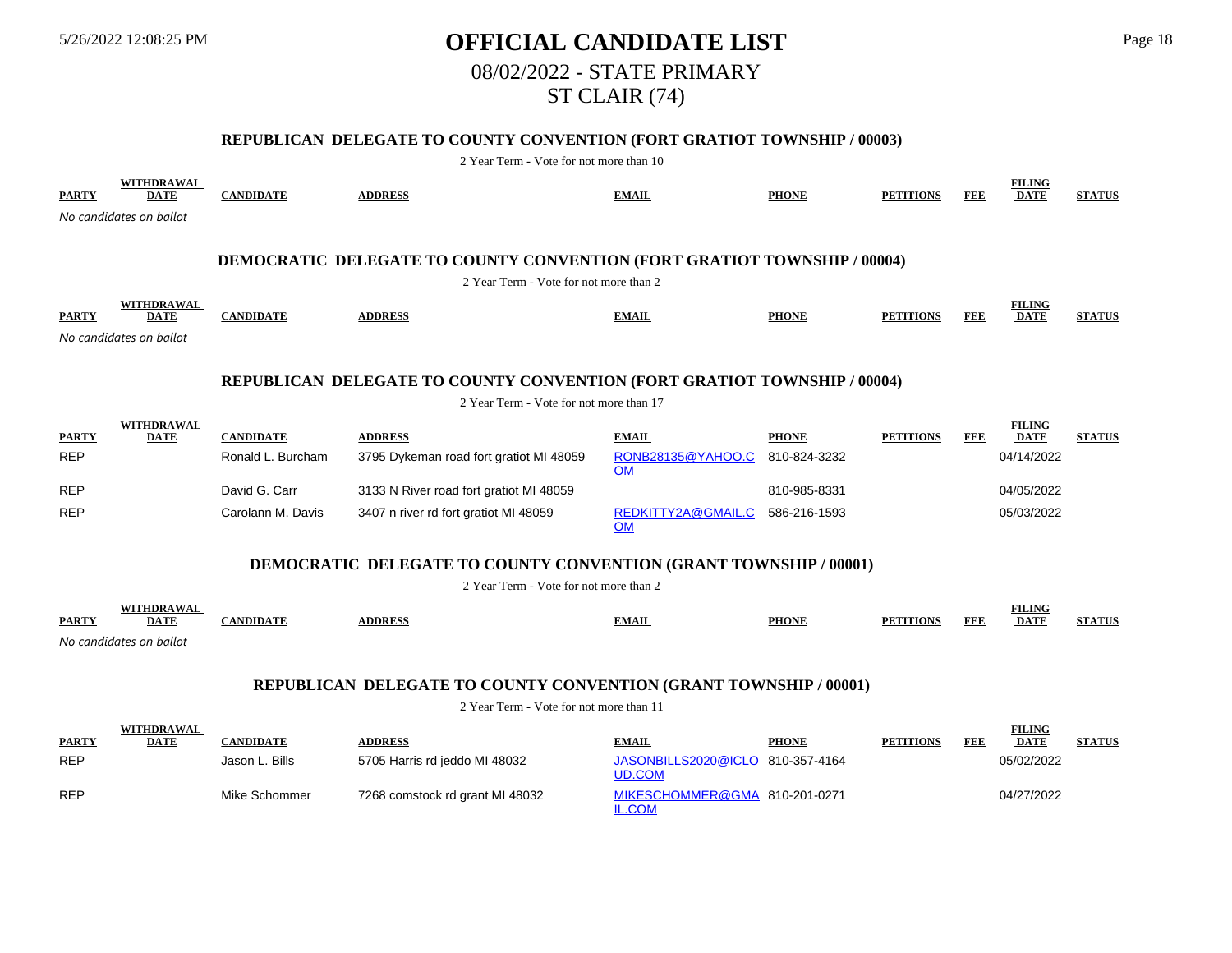# 5/26/2022 12:08:25 PM **OFFICIAL CANDIDATE LIST** Page 18 08/02/2022 - STATE PRIMARY ST CLAIR (74)

## **REPUBLICAN DELEGATE TO COUNTY CONVENTION (FORT GRATIOT TOWNSHIP / 00003)**

2 Year Term - Vote for not more than 10

| <b>PARTY</b>                                                                    | <b>WITHDRAWAL</b><br><b>DATE</b> | <b>CANDIDATE</b>  | <b>ADDRESS</b>                                                                  | <b>EMAIL</b>                    | <b>PHONE</b> | <b>PETITIONS</b> | <b>FEE</b> | <b>FILING</b><br><b>DATE</b> | <b>STATUS</b> |  |  |  |
|---------------------------------------------------------------------------------|----------------------------------|-------------------|---------------------------------------------------------------------------------|---------------------------------|--------------|------------------|------------|------------------------------|---------------|--|--|--|
|                                                                                 | No candidates on ballot          |                   |                                                                                 |                                 |              |                  |            |                              |               |  |  |  |
|                                                                                 |                                  |                   |                                                                                 |                                 |              |                  |            |                              |               |  |  |  |
|                                                                                 |                                  |                   | <b>DEMOCRATIC DELEGATE TO COUNTY CONVENTION (FORT GRATIOT TOWNSHIP / 00004)</b> |                                 |              |                  |            |                              |               |  |  |  |
|                                                                                 |                                  |                   | 2 Year Term - Vote for not more than 2                                          |                                 |              |                  |            |                              |               |  |  |  |
| <b>PARTY</b>                                                                    | <b>WITHDRAWAL</b><br><b>DATE</b> | <b>CANDIDATE</b>  | <b>ADDRESS</b>                                                                  | <b>EMAIL</b>                    | <b>PHONE</b> | <b>PETITIONS</b> | <b>FEE</b> | <b>FILING</b><br><b>DATE</b> | <b>STATUS</b> |  |  |  |
|                                                                                 | No candidates on ballot          |                   |                                                                                 |                                 |              |                  |            |                              |               |  |  |  |
|                                                                                 |                                  |                   |                                                                                 |                                 |              |                  |            |                              |               |  |  |  |
| <b>REPUBLICAN DELEGATE TO COUNTY CONVENTION (FORT GRATIOT TOWNSHIP / 00004)</b> |                                  |                   |                                                                                 |                                 |              |                  |            |                              |               |  |  |  |
|                                                                                 |                                  |                   | 2 Year Term - Vote for not more than 17                                         |                                 |              |                  |            |                              |               |  |  |  |
| <b>PARTY</b>                                                                    | <b>WITHDRAWAL</b><br><b>DATE</b> | <b>CANDIDATE</b>  | <b>ADDRESS</b>                                                                  | <b>EMAIL</b>                    | <b>PHONE</b> | <b>PETITIONS</b> | <b>FEE</b> | <b>FILING</b><br><b>DATE</b> | <b>STATUS</b> |  |  |  |
| <b>REP</b>                                                                      |                                  | Ronald L. Burcham | 3795 Dykeman road fort gratiot MI 48059                                         | RONB28135@YAHOO.C<br><b>OM</b>  | 810-824-3232 |                  |            | 04/14/2022                   |               |  |  |  |
| <b>REP</b>                                                                      |                                  | David G. Carr     | 3133 N River road fort gratiot MI 48059                                         |                                 | 810-985-8331 |                  |            | 04/05/2022                   |               |  |  |  |
| <b>REP</b>                                                                      |                                  | Carolann M. Davis | 3407 n river rd fort gratiot MI 48059                                           | REDKITTY2A@GMAIL.C<br><b>OM</b> | 586-216-1593 |                  |            | 05/03/2022                   |               |  |  |  |
|                                                                                 |                                  |                   | <b>DEMOCRATIC DELEGATE TO COUNTY CONVENTION (GRANT TOWNSHIP / 00001)</b>        |                                 |              |                  |            |                              |               |  |  |  |
|                                                                                 |                                  |                   | 2 Year Term - Vote for not more than 2                                          |                                 |              |                  |            |                              |               |  |  |  |
| <b>PARTY</b>                                                                    | <b>WITHDRAWAL</b><br><b>DATE</b> | <b>CANDIDATE</b>  | <b>ADDRESS</b>                                                                  | <b>EMAIL</b>                    | <b>PHONE</b> | <b>PETITIONS</b> | <b>FEE</b> | <b>FILING</b><br><b>DATE</b> | <b>STATUS</b> |  |  |  |

*No candidates on ballot*

## **REPUBLICAN DELEGATE TO COUNTY CONVENTION (GRANT TOWNSHIP / 00001)**

|              | <b>WITHDRAWAL</b> |                  |                                 |                                               |              |                  |     | <b>FILING</b> |               |
|--------------|-------------------|------------------|---------------------------------|-----------------------------------------------|--------------|------------------|-----|---------------|---------------|
| <b>PARTY</b> | <u>DATE</u>       | <b>CANDIDATE</b> | <b>ADDRESS</b>                  | <b>EMAIL</b>                                  | <b>PHONE</b> | <b>PETITIONS</b> | FEE | <b>DATE</b>   | <b>STATUS</b> |
| <b>REP</b>   |                   | Jason L. Bills   | 5705 Harris rd jeddo MI 48032   | JASONBILLS2020@ICLO 810-357-4164<br>UD.COM    |              |                  |     | 05/02/2022    |               |
| <b>REP</b>   |                   | Mike Schommer    | 7268 comstock rd grant MI 48032 | MIKESCHOMMER@GMA 810-201-0271<br><u>L.COM</u> |              |                  |     | 04/27/2022    |               |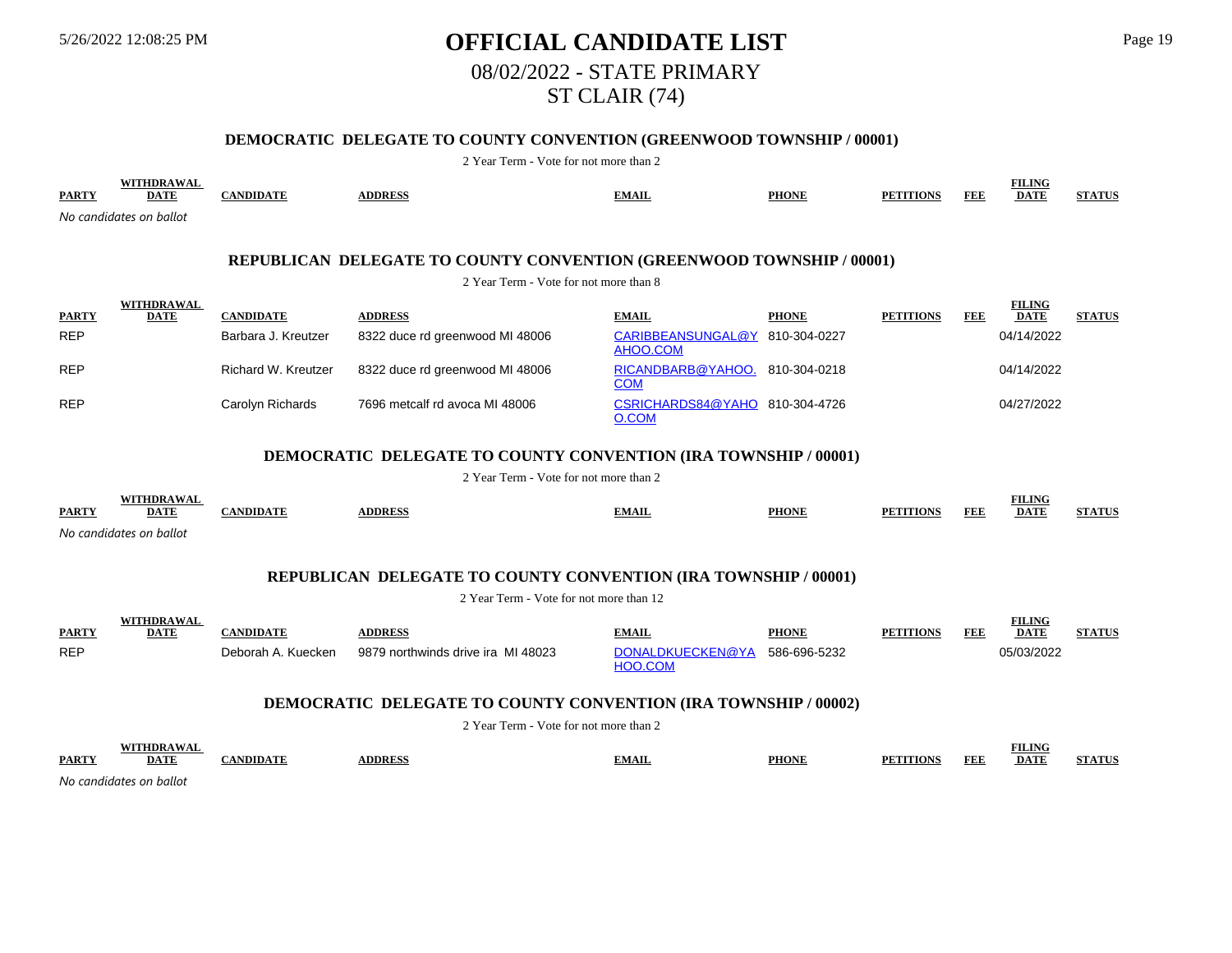# 5/26/2022 12:08:25 PM **OFFICIAL CANDIDATE LIST** Page 19 08/02/2022 - STATE PRIMARY ST CLAIR (74)

## **DEMOCRATIC DELEGATE TO COUNTY CONVENTION (GREENWOOD TOWNSHIP / 00001)**

2 Year Term - Vote for not more than 2

| <b>PARTY</b> | WITHDRAWAL<br><b>DATE</b>                                                                                              | <b>CANDIDATE</b>    | <b>ADDRESS</b>                  | <b>EMAIL</b>                               | <b>PHONE</b> | <b>PETITIONS</b> | FEE | <b>FILING</b><br><b>DATE</b> | <b>STATUS</b> |  |  |  |
|--------------|------------------------------------------------------------------------------------------------------------------------|---------------------|---------------------------------|--------------------------------------------|--------------|------------------|-----|------------------------------|---------------|--|--|--|
|              | No candidates on ballot                                                                                                |                     |                                 |                                            |              |                  |     |                              |               |  |  |  |
|              | <b>REPUBLICAN DELEGATE TO COUNTY CONVENTION (GREENWOOD TOWNSHIP / 00001)</b><br>2 Year Term - Vote for not more than 8 |                     |                                 |                                            |              |                  |     |                              |               |  |  |  |
| <b>PARTY</b> | <b>WITHDRAWAL</b><br><b>DATE</b>                                                                                       | <b>CANDIDATE</b>    | <b>ADDRESS</b>                  | <b>EMAIL</b>                               | <b>PHONE</b> | <b>PETITIONS</b> | FEE | <b>FILING</b><br><b>DATE</b> | <b>STATUS</b> |  |  |  |
| <b>REP</b>   |                                                                                                                        | Barbara J. Kreutzer | 8322 duce rd greenwood MI 48006 | CARIBBEANSUNGAL@Y 810-304-0227<br>AHOO.COM |              |                  |     | 04/14/2022                   |               |  |  |  |
| <b>REP</b>   |                                                                                                                        | Richard W. Kreutzer | 8322 duce rd greenwood MI 48006 | RICANDBARB@YAHOO.<br><b>COM</b>            | 810-304-0218 |                  |     | 04/14/2022                   |               |  |  |  |
| <b>REP</b>   |                                                                                                                        | Carolyn Richards    | 7696 metcalf rd avoca MI 48006  | CSRICHARDS84@YAHO 810-304-4726<br>O.COM    |              |                  |     | 04/27/2022                   |               |  |  |  |

#### **DEMOCRATIC DELEGATE TO COUNTY CONVENTION (IRA TOWNSHIP / 00001)**

2 Year Term - Vote for not more than 2

|              | FUDD A W A              |                 |               |              |              |                  |            | <b>TILING</b> |                |
|--------------|-------------------------|-----------------|---------------|--------------|--------------|------------------|------------|---------------|----------------|
| <b>PARTY</b> | <u>DATF</u>             | <b>ANDIDATE</b> | <b>DDRESS</b> | <b>EMAIL</b> | <b>PHONE</b> | <b>PETITIONS</b> | <b>FEE</b> | <b>DATE</b>   | <b>SITA TR</b> |
|              | No candidates on ballot |                 |               |              |              |                  |            |               |                |

## **REPUBLICAN DELEGATE TO COUNTY CONVENTION (IRA TOWNSHIP / 00001)**

2 Year Term - Vote for not more than 12

|              | WITHDRAWAI  |                    |                                    |                                          |              |                  |     | TILING      |               |
|--------------|-------------|--------------------|------------------------------------|------------------------------------------|--------------|------------------|-----|-------------|---------------|
| <b>PARTY</b> | <b>DATE</b> | <b>\NDIDATE</b>    | <b>DDRESS</b>                      | <b>EMAIL</b>                             | <b>PHONE</b> | <b>PETITIONS</b> | FEE | <b>DATE</b> | <b>STATUS</b> |
| <b>REP</b>   |             | Deborah A. Kuecken | 9879 northwinds drive ira MI 48023 | DONALDKUECKEN@YA 586-696-5232<br>HOO COM |              |                  |     | 05/03/2022  |               |

#### **DEMOCRATIC DELEGATE TO COUNTY CONVENTION (IRA TOWNSHIP / 00002)**

2 Year Term - Vote for not more than 2

|              | WITTIDD A WA                 |              |              |              |                    | wu                 |              |
|--------------|------------------------------|--------------|--------------|--------------|--------------------|--------------------|--------------|
| <b>PARTY</b> | $\sim$ $\sim$<br><u>DATI</u> | <b>DDRES</b> | <b>TMAIL</b> | PHONE<br>INE | <b>FEL</b><br>TAME | <b>DATE</b><br>DA. | control of a |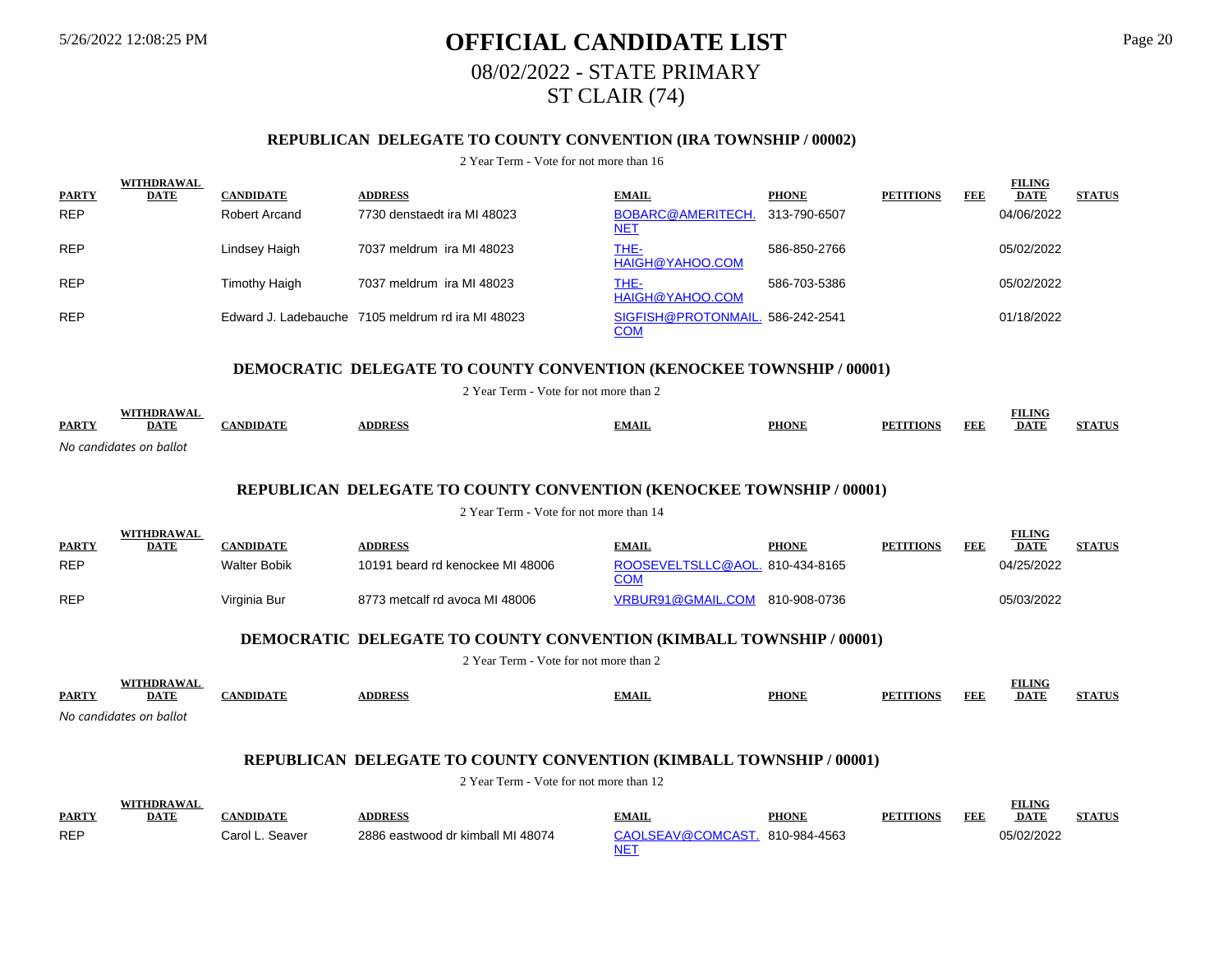# 5/26/2022 12:08:25 PM **OFFICIAL CANDIDATE LIST** Page 20 08/02/2022 - STATE PRIMARY ST CLAIR (74)

## **REPUBLICAN DELEGATE TO COUNTY CONVENTION (IRA TOWNSHIP / 00002)**

#### 2 Year Term - Vote for not more than 16

|             |                   |                             |                                                   |              |                                  |            | <b>FILING</b> |               |
|-------------|-------------------|-----------------------------|---------------------------------------------------|--------------|----------------------------------|------------|---------------|---------------|
| <b>DATE</b> | <b>CANDIDATE</b>  | <b>ADDRESS</b>              | <b>EMAIL</b>                                      | <b>PHONE</b> | <b>PETITIONS</b>                 | <b>FEE</b> | <b>DATE</b>   | <b>STATUS</b> |
|             | Robert Arcand     | 7730 denstaedt ira MI 48023 | BOBARC@AMERITECH.<br><u>NET</u>                   | 313-790-6507 |                                  |            | 04/06/2022    |               |
|             | Lindsey Haigh     | 7037 meldrum ira MI 48023   | THE-<br>HAIGH@YAHOO.COM                           | 586-850-2766 |                                  |            | 05/02/2022    |               |
|             | Timothy Haigh     | 7037 meldrum ira MI 48023   | THE-<br>HAIGH@YAHOO.COM                           | 586-703-5386 |                                  |            | 05/02/2022    |               |
|             |                   |                             | <u>COM</u>                                        |              |                                  |            | 01/18/2022    |               |
|             | <b>WITHDRAWAL</b> |                             | Edward J. Ladebauche 7105 meldrum rd ira MI 48023 |              | SIGFISH@PROTONMAIL. 586-242-2541 |            |               |               |

#### **DEMOCRATIC DELEGATE TO COUNTY CONVENTION (KENOCKEE TOWNSHIP / 00001)**

2 Year Term - Vote for not more than 2

| <b>PARTY</b> | $\overline{1}$<br>DA.   | <b>NDID</b> .<br>1.733 | <b>DDRE</b> | `MAIL | <b>PHONE</b> | FEF<br>$\mathbf{H} \cap \mathbf{M}$ | LN G<br><b>DATE</b> | <b>FELK TO</b> |
|--------------|-------------------------|------------------------|-------------|-------|--------------|-------------------------------------|---------------------|----------------|
|              | No candidates on ballot |                        |             |       |              |                                     |                     |                |

#### **REPUBLICAN DELEGATE TO COUNTY CONVENTION (KENOCKEE TOWNSHIP / 00001)**

2 Year Term - Vote for not more than 14

| <b>PARTY</b> | <b>WITHDRAWAL</b><br><b>DATE</b> | <b>CANDIDATE</b> | <b>ADDRESS</b>                   | <b>EMAIL</b>                                  | <b>PHONE</b> | <b>PETITIONS</b> | FEF | <b>FILING</b><br><b>DATE</b> | <b>STATUS</b> |
|--------------|----------------------------------|------------------|----------------------------------|-----------------------------------------------|--------------|------------------|-----|------------------------------|---------------|
| <b>REP</b>   |                                  | Walter Bobik     | 10191 beard rd kenockee MI 48006 | ROOSEVELTSLLC@AOL. 810-434-8165<br><u>COM</u> |              |                  |     | 04/25/2022                   |               |
| <b>REP</b>   |                                  | Virginia Bur     | 8773 metcalf rd avoca MI 48006   | VRBUR91@GMAIL.COM 810-908-0736                |              |                  |     | 05/03/2022                   |               |

### **DEMOCRATIC DELEGATE TO COUNTY CONVENTION (KIMBALL TOWNSHIP / 00001)**

2 Year Term - Vote for not more than 2

|              | WITHDRAWA               |         |                |              |       |                     | ING         |               |
|--------------|-------------------------|---------|----------------|--------------|-------|---------------------|-------------|---------------|
| <b>PARTY</b> | <b>DATE</b>             | NDIDATE | <b>ADDRESS</b> | <b>EMAIL</b> | PHONE | <b>FEE</b><br>TIONS | <b>DATE</b> | <b>STATUS</b> |
|              | No candidatos on hallot |         |                |              |       |                     |             |               |

*No candidates on ballot*

#### **REPUBLICAN DELEGATE TO COUNTY CONVENTION (KIMBALL TOWNSHIP / 00001)**

| <b>PARTY</b> | <b>WITHDRAWA</b><br><b>DATE</b> |                 | <b>DDRESS</b>                     | <b>EMAIL</b>                   | <b>PHONE</b> | <b>PETITIONS</b> | <b>FEF</b> | <b>FILING</b><br><b>DATE</b> | <b>STATUS</b> |
|--------------|---------------------------------|-----------------|-----------------------------------|--------------------------------|--------------|------------------|------------|------------------------------|---------------|
| <b>REP</b>   |                                 | Carol L. Seaver | 2886 eastwood dr kimball MI 48074 | CAOLSEAV@COMCAST. 810-984-4563 |              |                  |            | )5/02/2022                   |               |
|              |                                 |                 |                                   | NE.                            |              |                  |            |                              |               |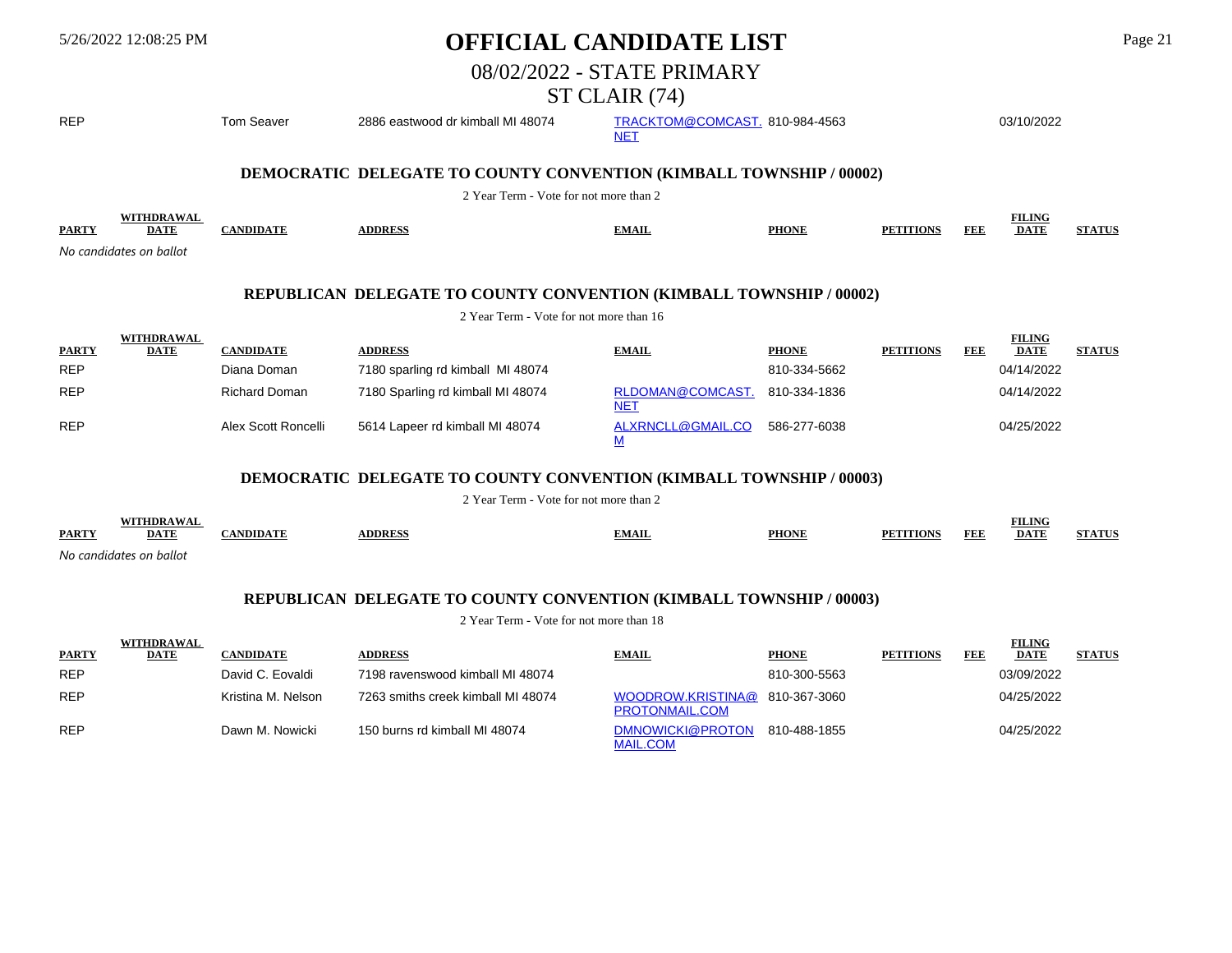|                                                                                                                | 5/26/2022 12:08:25 PM                                       |                                 | <b>OFFICIAL CANDIDATE LIST</b>                                                                                       |                                              |                              |                  |            |                                            | Page 21       |  |  |  |
|----------------------------------------------------------------------------------------------------------------|-------------------------------------------------------------|---------------------------------|----------------------------------------------------------------------------------------------------------------------|----------------------------------------------|------------------------------|------------------|------------|--------------------------------------------|---------------|--|--|--|
|                                                                                                                |                                                             |                                 |                                                                                                                      | 08/02/2022 - STATE PRIMARY                   |                              |                  |            |                                            |               |  |  |  |
|                                                                                                                |                                                             |                                 |                                                                                                                      | ST CLAIR (74)                                |                              |                  |            |                                            |               |  |  |  |
| <b>REP</b>                                                                                                     |                                                             | <b>Tom Seaver</b>               | 2886 eastwood dr kimball MI 48074                                                                                    | TRACKTOM@COMCAST. 810-984-4563<br><b>NET</b> |                              |                  |            | 03/10/2022                                 |               |  |  |  |
|                                                                                                                |                                                             |                                 | <b>DEMOCRATIC DELEGATE TO COUNTY CONVENTION (KIMBALL TOWNSHIP / 00002)</b><br>2 Year Term - Vote for not more than 2 |                                              |                              |                  |            |                                            |               |  |  |  |
| <b>PARTY</b>                                                                                                   | <b>WITHDRAWAL</b><br><b>DATE</b><br>No candidates on ballot | <b>CANDIDATE</b>                | <b>ADDRESS</b>                                                                                                       | <b>EMAIL</b>                                 | <b>PHONE</b>                 | <b>PETITIONS</b> | FEE        | <b>FILING</b><br><b>DATE</b>               | <b>STATUS</b> |  |  |  |
| REPUBLICAN DELEGATE TO COUNTY CONVENTION (KIMBALL TOWNSHIP / 00002)<br>2 Year Term - Vote for not more than 16 |                                                             |                                 |                                                                                                                      |                                              |                              |                  |            |                                            |               |  |  |  |
| <b>PARTY</b><br><b>REP</b>                                                                                     | <b>WITHDRAWAL</b><br><b>DATE</b>                            | <b>CANDIDATE</b><br>Diana Doman | <b>ADDRESS</b><br>7180 sparling rd kimball MI 48074                                                                  | <b>EMAIL</b>                                 | <b>PHONE</b><br>810-334-5662 | <b>PETITIONS</b> | <b>FEE</b> | <b>FILING</b><br><b>DATE</b><br>04/14/2022 | <b>STATUS</b> |  |  |  |
| <b>REP</b>                                                                                                     |                                                             | <b>Richard Doman</b>            | 7180 Sparling rd kimball MI 48074                                                                                    | RLDOMAN@COMCAST.<br><b>NET</b>               | 810-334-1836                 |                  |            | 04/14/2022                                 |               |  |  |  |
| <b>REP</b>                                                                                                     |                                                             | Alex Scott Roncelli             | 5614 Lapeer rd kimball MI 48074                                                                                      | ALXRNCLL@GMAIL.CO<br>M                       | 586-277-6038                 |                  |            | 04/25/2022                                 |               |  |  |  |
|                                                                                                                |                                                             |                                 | <b>DEMOCRATIC DELEGATE TO COUNTY CONVENTION (KIMBALL TOWNSHIP / 00003)</b>                                           |                                              |                              |                  |            |                                            |               |  |  |  |
|                                                                                                                |                                                             |                                 | 2 Year Term - Vote for not more than 2                                                                               |                                              |                              |                  |            |                                            |               |  |  |  |
| <b>PARTY</b>                                                                                                   | <b>WITHDRAWAL</b><br><b>DATE</b><br>No candidates on ballot | <b>CANDIDATE</b>                | <b>ADDRESS</b>                                                                                                       | <b>EMAIL</b>                                 | <b>PHONE</b>                 | <b>PETITIONS</b> | <b>FEE</b> | <b>FILING</b><br><b>DATE</b>               | <b>STATUS</b> |  |  |  |
|                                                                                                                |                                                             |                                 | REPUBLICAN DELEGATE TO COUNTY CONVENTION (KIMBALL TOWNSHIP / 00003)                                                  |                                              |                              |                  |            |                                            |               |  |  |  |
|                                                                                                                |                                                             |                                 | 2 Year Term - Vote for not more than 18                                                                              |                                              |                              |                  |            |                                            |               |  |  |  |
| <b>PARTY</b>                                                                                                   | <b>WITHDRAWAL</b><br><b>DATE</b>                            | <b>CANDIDATE</b>                | <b>ADDRESS</b>                                                                                                       | <b>EMAIL</b>                                 | <b>PHONE</b>                 | <b>PETITIONS</b> | <b>FEE</b> | <b>FILING</b><br><b>DATE</b>               | <b>STATUS</b> |  |  |  |

| <u>LANT 1</u> | <u> DA LE</u> | САВЛЯТЬ            | ADDINEW                            | <b>EXPLAIN</b>                                   | <b>THOTH</b> | 1 E 1 1 1 1 0 1 1 0 | . | <i>DAI</i> B | <b>DITI</b> |
|---------------|---------------|--------------------|------------------------------------|--------------------------------------------------|--------------|---------------------|---|--------------|-------------|
| <b>REP</b>    |               | David C. Eovaldi   | 7198 ravenswood kimball MI 48074   |                                                  | 810-300-5563 |                     |   | 03/09/2022   |             |
| <b>REP</b>    |               | Kristina M. Nelson | 7263 smiths creek kimball MI 48074 | WOODROW.KRISTINA@ 810-367-3060<br>PROTONMAIL.COM |              |                     |   | 04/25/2022   |             |
| <b>REP</b>    |               | Dawn M. Nowicki    | 150 burns rd kimball MI 48074      | DMNOWICKI@PROTON<br><b>MAIL.COM</b>              | 810-488-1855 |                     |   | 04/25/2022   |             |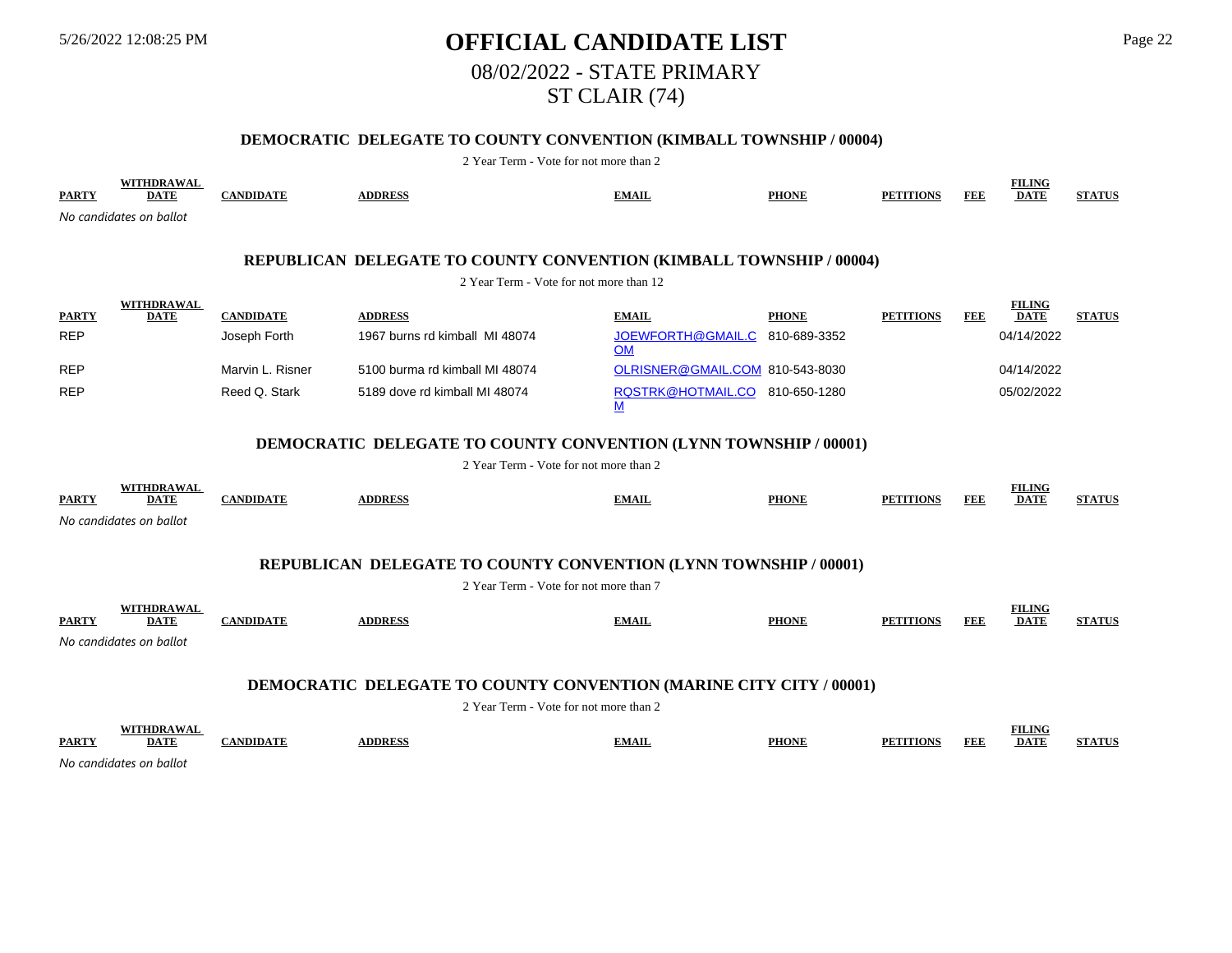# 5/26/2022 12:08:25 PM **OFFICIAL CANDIDATE LIST** Page 22 08/02/2022 - STATE PRIMARY ST CLAIR (74)

## **DEMOCRATIC DELEGATE TO COUNTY CONVENTION (KIMBALL TOWNSHIP / 00004)**

| <b>PARTY</b> | WITHDRAWAL<br><b>DATE</b>                                               | <b>CANDIDATE</b> | <b>ADDRESS</b>                                                             | <b>EMAIL</b>                                | <b>PHONE</b> | <b>PETITIONS</b> | <b>FEE</b> | <b>FILING</b><br><b>DATE</b> | <b>STATUS</b> |  |  |  |  |
|--------------|-------------------------------------------------------------------------|------------------|----------------------------------------------------------------------------|---------------------------------------------|--------------|------------------|------------|------------------------------|---------------|--|--|--|--|
|              | No candidates on ballot                                                 |                  |                                                                            |                                             |              |                  |            |                              |               |  |  |  |  |
|              |                                                                         |                  | REPUBLICAN DELEGATE TO COUNTY CONVENTION (KIMBALL TOWNSHIP / 00004)        |                                             |              |                  |            |                              |               |  |  |  |  |
|              |                                                                         |                  | 2 Year Term - Vote for not more than 12                                    |                                             |              |                  |            |                              |               |  |  |  |  |
| <b>PARTY</b> | <b>WITHDRAWAL</b><br><b>DATE</b>                                        | <b>CANDIDATE</b> | <b>ADDRESS</b>                                                             | <b>EMAIL</b>                                | <b>PHONE</b> | <b>PETITIONS</b> | <b>FEE</b> | <b>FILING</b><br><b>DATE</b> | <b>STATUS</b> |  |  |  |  |
| <b>REP</b>   |                                                                         | Joseph Forth     | 1967 burns rd kimball MI 48074                                             | JOEWFORTH@GMAIL.C 810-689-3352<br><b>OM</b> |              |                  |            | 04/14/2022                   |               |  |  |  |  |
| <b>REP</b>   |                                                                         | Marvin L. Risner | 5100 burma rd kimball MI 48074                                             | OLRISNER@GMAIL.COM 810-543-8030             |              |                  |            | 04/14/2022                   |               |  |  |  |  |
| <b>REP</b>   |                                                                         | Reed Q. Stark    | 5189 dove rd kimball MI 48074                                              | RQSTRK@HOTMAIL.CO 810-650-1280<br>M         |              |                  |            | 05/02/2022                   |               |  |  |  |  |
|              | <b>DEMOCRATIC DELEGATE TO COUNTY CONVENTION (LYNN TOWNSHIP / 00001)</b> |                  |                                                                            |                                             |              |                  |            |                              |               |  |  |  |  |
|              | 2 Year Term - Vote for not more than 2                                  |                  |                                                                            |                                             |              |                  |            |                              |               |  |  |  |  |
| <b>PARTY</b> | <b>WITHDRAWAL</b><br><b>DATE</b>                                        | <b>CANDIDATE</b> | <b>ADDRESS</b>                                                             | <b>EMAIL</b>                                | <b>PHONE</b> | <b>PETITIONS</b> | <b>FEE</b> | <b>FILING</b><br><b>DATE</b> | <b>STATUS</b> |  |  |  |  |
|              | No candidates on ballot                                                 |                  |                                                                            |                                             |              |                  |            |                              |               |  |  |  |  |
|              |                                                                         |                  | REPUBLICAN DELEGATE TO COUNTY CONVENTION (LYNN TOWNSHIP / 00001)           |                                             |              |                  |            |                              |               |  |  |  |  |
|              |                                                                         |                  | 2 Year Term - Vote for not more than 7                                     |                                             |              |                  |            |                              |               |  |  |  |  |
| <b>PARTY</b> | WITHDRAWAL<br><b>DATE</b>                                               | <b>CANDIDATE</b> | <b>ADDRESS</b>                                                             | <b>EMAIL</b>                                | <b>PHONE</b> | <b>PETITIONS</b> | <b>FEE</b> | <b>FILING</b><br><b>DATE</b> | <b>STATUS</b> |  |  |  |  |
|              | No candidates on ballot                                                 |                  |                                                                            |                                             |              |                  |            |                              |               |  |  |  |  |
|              |                                                                         |                  |                                                                            |                                             |              |                  |            |                              |               |  |  |  |  |
|              |                                                                         |                  | <b>DEMOCRATIC DELEGATE TO COUNTY CONVENTION (MARINE CITY CITY / 00001)</b> |                                             |              |                  |            |                              |               |  |  |  |  |
|              |                                                                         |                  | 2 Year Term - Vote for not more than 2                                     |                                             |              |                  |            |                              |               |  |  |  |  |
| <b>PARTY</b> | <b>WITHDRAWAL</b><br><b>DATE</b><br>No candidates on ballot             | <b>CANDIDATE</b> | <b>ADDRESS</b>                                                             | <b>EMAIL</b>                                | <b>PHONE</b> | <b>PETITIONS</b> | <b>FEE</b> | <b>FILING</b><br><b>DATE</b> | <b>STATUS</b> |  |  |  |  |
|              |                                                                         |                  |                                                                            |                                             |              |                  |            |                              |               |  |  |  |  |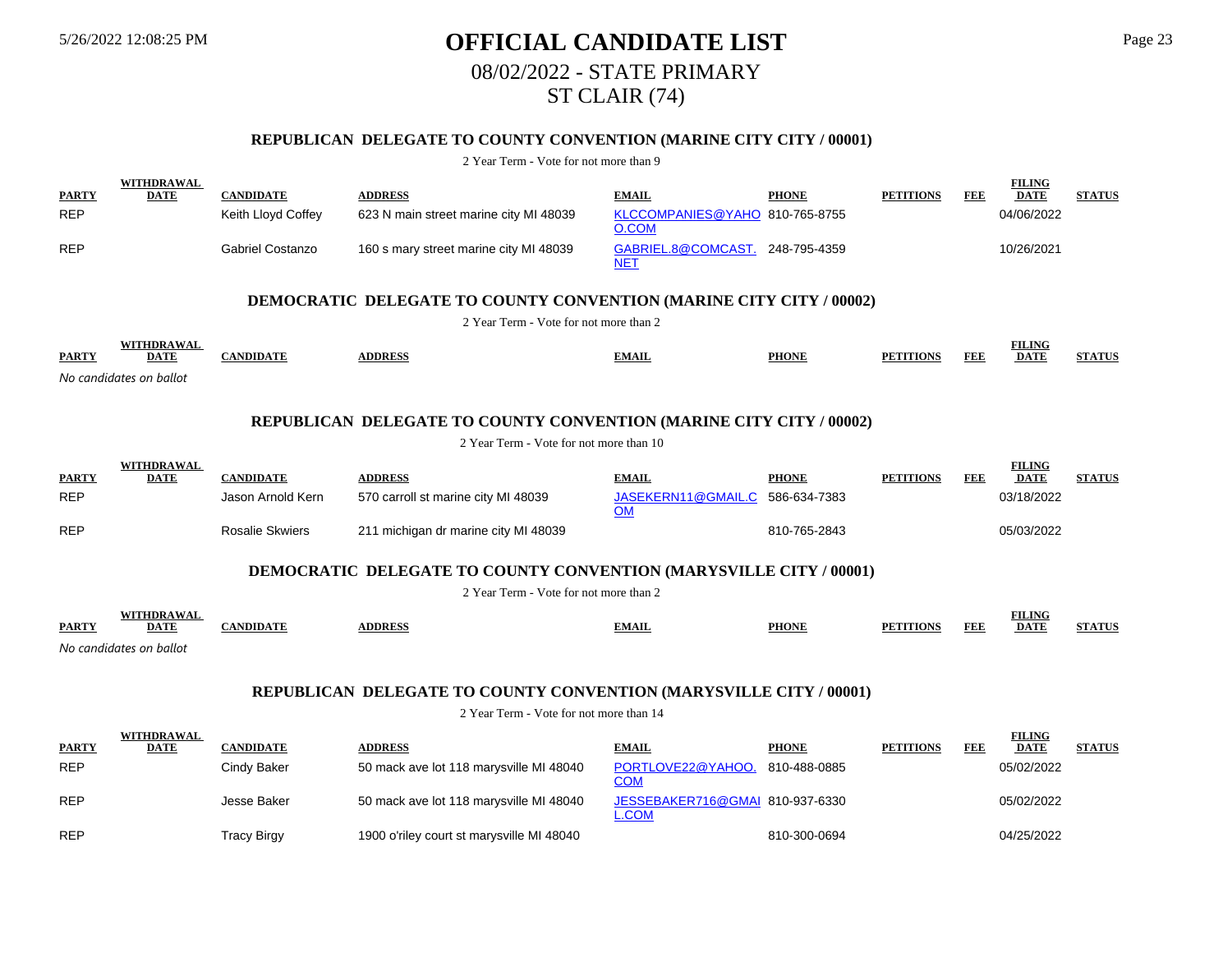# 5/26/2022 12:08:25 PM **OFFICIAL CANDIDATE LIST** Page 23 08/02/2022 - STATE PRIMARY ST CLAIR (74)

## **REPUBLICAN DELEGATE TO COUNTY CONVENTION (MARINE CITY CITY / 00001)**

#### 2 Year Term - Vote for not more than 9

|              | <b>WITHDRAWAL</b> |                    |                                        |                                         |              |                  |     | <b>FILING</b> |               |
|--------------|-------------------|--------------------|----------------------------------------|-----------------------------------------|--------------|------------------|-----|---------------|---------------|
| <b>PARTY</b> | <b>DATE</b>       | <b>CANDIDATE</b>   | <b>ADDRESS</b>                         | <b>EMAIL</b>                            | <b>PHONE</b> | <b>PETITIONS</b> | FEE | <b>DATE</b>   | <b>STATUS</b> |
| <b>REP</b>   |                   | Keith Lloyd Coffey | 623 N main street marine city MI 48039 | KLCCOMPANIES@YAHO 810-765-8755<br>O.COM |              |                  |     | 04/06/2022    |               |
| <b>REP</b>   |                   | Gabriel Costanzo   | 160 s mary street marine city MI 48039 | GABRIEL.8@COMCAST.<br>NET               | 248-795-4359 |                  |     | 10/26/2021    |               |

### **DEMOCRATIC DELEGATE TO COUNTY CONVENTION (MARINE CITY CITY / 00002)**

2 Year Term - Vote for not more than 2

|              | "DR 4                   |                    |               |       |              |                  |            | <b>FILING</b> |             |
|--------------|-------------------------|--------------------|---------------|-------|--------------|------------------|------------|---------------|-------------|
| <b>PARTY</b> | <b>DATE</b>             | $\sqrt{2}$<br>NDID | <b>DDRESS</b> | EMAIL | <b>PHONE</b> | <b>PETITIONS</b> | <b>FEF</b> | <b>DATE</b>   | CUB A FRETC |
|              | No candidates on ballot |                    |               |       |              |                  |            |               |             |

### **REPUBLICAN DELEGATE TO COUNTY CONVENTION (MARINE CITY CITY / 00002)**

2 Year Term - Vote for not more than 10

| <b>PARTY</b> | WITHDRAWAL<br><b>DATE</b> | CANDIDATE              | <b>ADDRESS</b>                       | <b>EMAIL</b>                    | <b>PHONE</b> | <b>PETITIONS</b> | FEE | <b>FILING</b><br><b>DATE</b> | <b>STATUS</b> |
|--------------|---------------------------|------------------------|--------------------------------------|---------------------------------|--------------|------------------|-----|------------------------------|---------------|
| <b>REP</b>   |                           | Jason Arnold Kern      | 570 carroll st marine city MI 48039  | JASEKERN11@GMAIL.C 586-634-7383 |              |                  |     | 03/18/2022                   |               |
| <b>REP</b>   |                           | <b>Rosalie Skwiers</b> | 211 michigan dr marine city MI 48039 |                                 | 810-765-2843 |                  |     | 05/03/2022                   |               |

### **DEMOCRATIC DELEGATE TO COUNTY CONVENTION (MARYSVILLE CITY / 00001)**

2 Year Term - Vote for not more than 2

|              | WITHDRAWA               |               |               |              |              |                         | <b>FILING</b> |              |
|--------------|-------------------------|---------------|---------------|--------------|--------------|-------------------------|---------------|--------------|
| <b>PARTY</b> | <u>DATE</u>             | <b>NDIDAT</b> | <b>ADDRES</b> | <u>EMAIL</u> | <b>PHONE</b> | FEE<br><b>PETITIONS</b> | <b>DATE</b>   | $+$ A FINITE |
|              | No condidatos on bollot |               |               |              |              |                         |               |              |

*No candidates on ballot*

### **REPUBLICAN DELEGATE TO COUNTY CONVENTION (MARYSVILLE CITY / 00001)**

|              | WITHDRAWAL  |                  |                                           |                                                 |              |                  |     | <b>FILING</b> |               |
|--------------|-------------|------------------|-------------------------------------------|-------------------------------------------------|--------------|------------------|-----|---------------|---------------|
| <b>PARTY</b> | <b>DATE</b> | <b>CANDIDATE</b> | <b>ADDRESS</b>                            | <b>EMAIL</b>                                    | <b>PHONE</b> | <b>PETITIONS</b> | FEE | <b>DATE</b>   | <b>STATUS</b> |
| <b>REP</b>   |             | Cindv Baker      | 50 mack ave lot 118 marysville MI 48040   | PORTLOVE22@YAHOO.<br><u>COM</u>                 | 810-488-0885 |                  |     | 05/02/2022    |               |
| <b>REP</b>   |             | Jesse Baker      | 50 mack ave lot 118 marysville MI 48040   | JESSEBAKER716@GMAI 810-937-6330<br><u>L.COM</u> |              |                  |     | 05/02/2022    |               |
| <b>REP</b>   |             | Tracy Birgy      | 1900 o'riley court st marysville MI 48040 |                                                 | 810-300-0694 |                  |     | 04/25/2022    |               |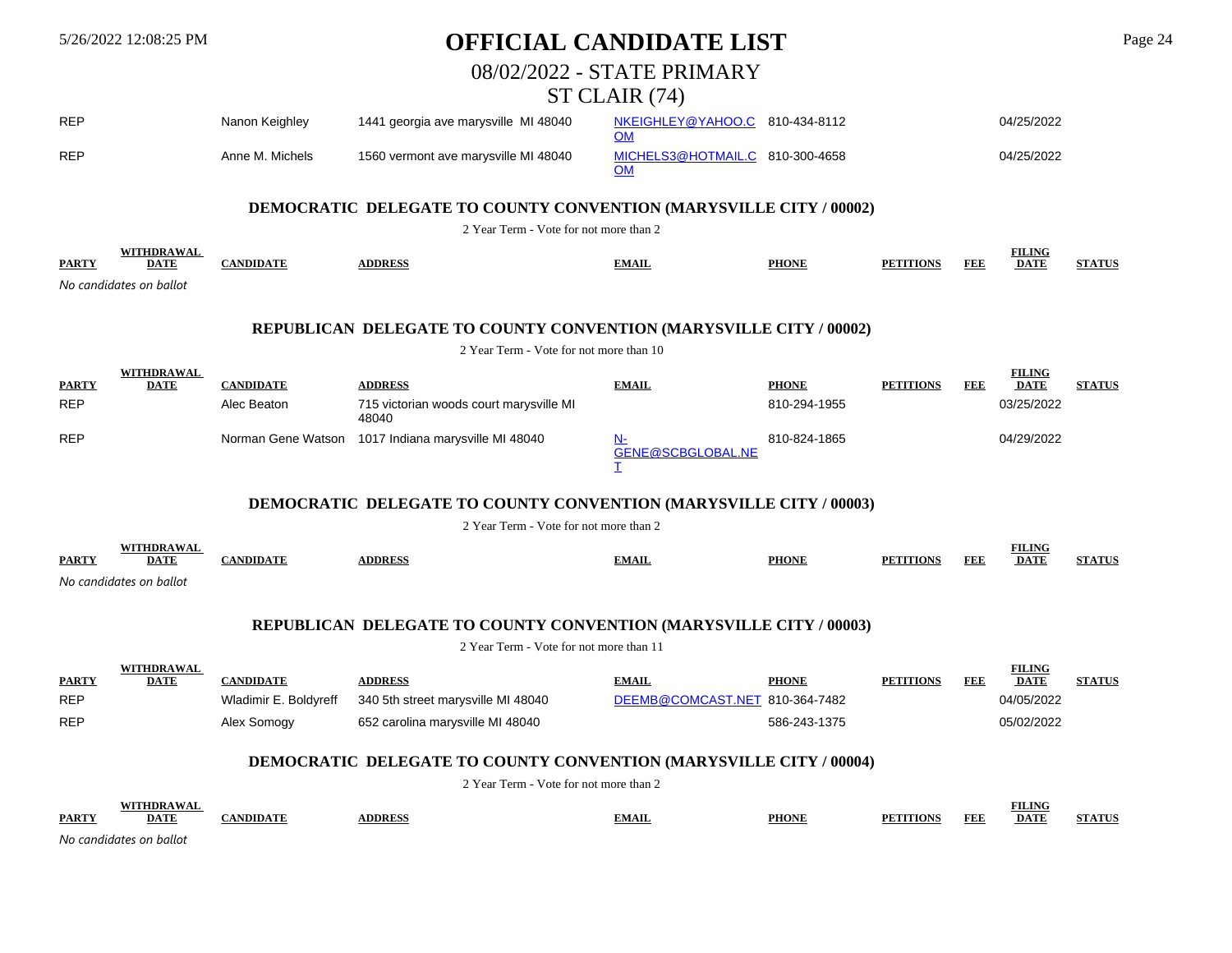|                            | 5/26/2022 12:08:25 PM                                       |                                           | OFFICIAL CANDIDATE LIST                                                   |                                                |              |                  |            |                              |               |  |
|----------------------------|-------------------------------------------------------------|-------------------------------------------|---------------------------------------------------------------------------|------------------------------------------------|--------------|------------------|------------|------------------------------|---------------|--|
|                            |                                                             |                                           |                                                                           | 08/02/2022 - STATE PRIMARY                     |              |                  |            |                              |               |  |
|                            |                                                             |                                           |                                                                           | ST CLAIR (74)                                  |              |                  |            |                              |               |  |
| <b>REP</b>                 |                                                             | Nanon Keighley                            | 1441 georgia ave marysville MI 48040                                      | NKEIGHLEY@YAHOO.C 810-434-8112<br>OM           |              |                  |            | 04/25/2022                   |               |  |
| <b>REP</b>                 |                                                             | Anne M. Michels                           | 1560 vermont ave marysville MI 48040                                      | MICHELS3@HOTMAIL.C 810-300-4658<br>OM          |              |                  |            | 04/25/2022                   |               |  |
|                            |                                                             |                                           | <b>DEMOCRATIC DELEGATE TO COUNTY CONVENTION (MARYSVILLE CITY / 00002)</b> |                                                |              |                  |            |                              |               |  |
|                            |                                                             |                                           | 2 Year Term - Vote for not more than 2                                    |                                                |              |                  |            |                              |               |  |
| <b>PARTY</b>               | <b>WITHDRAWAL</b><br><b>DATE</b>                            | <b>CANDIDATE</b>                          | <b>ADDRESS</b>                                                            | <b>EMAIL</b>                                   | <b>PHONE</b> | <b>PETITIONS</b> | <b>FEE</b> | <b>FILING</b><br><b>DATE</b> | <b>STATUS</b> |  |
|                            | No candidates on ballot                                     |                                           |                                                                           |                                                |              |                  |            |                              |               |  |
|                            |                                                             |                                           | REPUBLICAN DELEGATE TO COUNTY CONVENTION (MARYSVILLE CITY / 00002)        |                                                |              |                  |            |                              |               |  |
|                            |                                                             |                                           | 2 Year Term - Vote for not more than 10                                   |                                                |              |                  |            |                              |               |  |
|                            | <b>WITHDRAWAL</b>                                           |                                           |                                                                           |                                                |              |                  |            | <b>FILING</b>                |               |  |
| <b>PARTY</b>               | <b>DATE</b>                                                 | <b>CANDIDATE</b>                          | <b>ADDRESS</b>                                                            | <b>EMAIL</b>                                   | <b>PHONE</b> | <b>PETITIONS</b> | <b>FEE</b> | <b>DATE</b>                  | <b>STATUS</b> |  |
| <b>REP</b>                 |                                                             | Alec Beaton                               | 715 victorian woods court marysville MI<br>48040                          |                                                | 810-294-1955 |                  |            | 03/25/2022                   |               |  |
| <b>REP</b>                 |                                                             |                                           | Norman Gene Watson 1017 Indiana marysville MI 48040                       | <u>N-</u><br><b>GENE@SCBGLOBAL.NE</b>          | 810-824-1865 |                  |            | 04/29/2022                   |               |  |
|                            |                                                             |                                           | <b>DEMOCRATIC DELEGATE TO COUNTY CONVENTION (MARYSVILLE CITY / 00003)</b> |                                                |              |                  |            |                              |               |  |
|                            |                                                             |                                           | 2 Year Term - Vote for not more than 2                                    |                                                |              |                  |            |                              |               |  |
| <b>PARTY</b>               | <b>WITHDRAWAL</b><br><b>DATE</b><br>No candidates on ballot | <b>CANDIDATE</b>                          | <b>ADDRESS</b>                                                            | <b>EMAIL</b>                                   | <b>PHONE</b> | <b>PETITIONS</b> | <b>FEE</b> | <b>FILING</b><br><b>DATE</b> | <b>STATUS</b> |  |
|                            |                                                             |                                           | REPUBLICAN DELEGATE TO COUNTY CONVENTION (MARYSVILLE CITY / 00003)        |                                                |              |                  |            |                              |               |  |
|                            |                                                             |                                           | 2 Year Term - Vote for not more than 11                                   |                                                |              |                  |            |                              |               |  |
|                            | <b>WITHDRAWAL</b>                                           |                                           |                                                                           |                                                |              |                  |            | <b>FILING</b>                |               |  |
| <b>PARTY</b><br><b>REP</b> | <b>DATE</b>                                                 | <b>CANDIDATE</b><br>Wladimir E. Boldyreff | <b>ADDRESS</b><br>340 5th street marysville MI 48040                      | <b>EMAIL</b><br>DEEMB@COMCAST.NET 810-364-7482 | <b>PHONE</b> | <b>PETITIONS</b> | <b>FEE</b> | <b>DATE</b><br>04/05/2022    | <b>STATUS</b> |  |
|                            |                                                             |                                           |                                                                           |                                                |              |                  |            |                              |               |  |
| REP                        |                                                             | Alex Somogy                               | 652 carolina marysville MI 48040                                          |                                                | 586-243-1375 |                  |            | 05/02/2022                   |               |  |
|                            |                                                             |                                           | <b>DEMOCRATIC DELEGATE TO COUNTY CONVENTION (MARYSVILLE CITY / 00004)</b> |                                                |              |                  |            |                              |               |  |
|                            |                                                             |                                           | 2 Year Term - Vote for not more than 2                                    |                                                |              |                  |            |                              |               |  |
|                            | <b>WITHDRAWAL</b><br><b>DATE</b>                            | <b>CANDIDATE</b>                          |                                                                           |                                                | <b>PHONE</b> |                  |            | <b>FILING</b><br><b>DATE</b> | <b>STATUS</b> |  |
| <b>PARTY</b>               | No candidates on ballot                                     |                                           | <b>ADDRESS</b>                                                            | <b>EMAIL</b>                                   |              | <b>PETITIONS</b> | <b>FEE</b> |                              |               |  |
|                            |                                                             |                                           |                                                                           |                                                |              |                  |            |                              |               |  |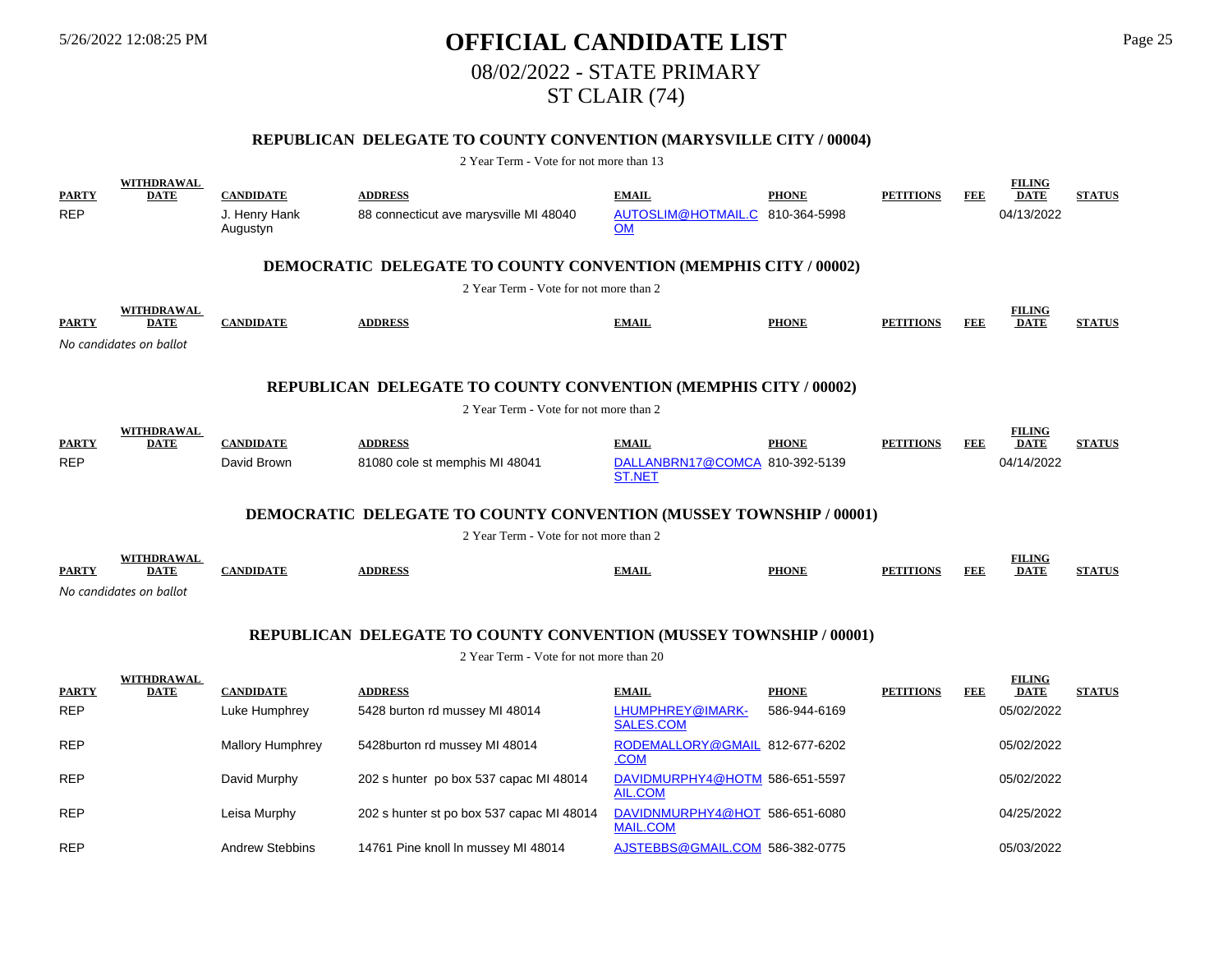# 5/26/2022 12:08:25 PM **OFFICIAL CANDIDATE LIST** Page 25 08/02/2022 - STATE PRIMARY ST CLAIR (74)

## **REPUBLICAN DELEGATE TO COUNTY CONVENTION (MARYSVILLE CITY / 00004)**

| <b>PARTY</b><br><b>REP</b> | <b>WITHDRAWAL</b><br><b>DATE</b>                     | <b>CANDIDATE</b><br>J. Henry Hank<br>Augustyn | <b>ADDRESS</b><br>88 connecticut ave marysville MI 48040                  | <b>EMAIL</b><br>AUTOSLIM@HOTMAIL.C 810-364-5998<br><b>OM</b> | <b>PHONE</b> | <b>PETITIONS</b> | FEE        | <b>FILING</b><br><b>DATE</b><br>04/13/2022 | <b>STATUS</b> |
|----------------------------|------------------------------------------------------|-----------------------------------------------|---------------------------------------------------------------------------|--------------------------------------------------------------|--------------|------------------|------------|--------------------------------------------|---------------|
|                            |                                                      |                                               | <b>DEMOCRATIC DELEGATE TO COUNTY CONVENTION (MEMPHIS CITY / 00002)</b>    |                                                              |              |                  |            |                                            |               |
|                            |                                                      |                                               | 2 Year Term - Vote for not more than 2                                    |                                                              |              |                  |            |                                            |               |
| <b>PARTY</b>               | WITHDRAWAL<br><b>DATE</b><br>No candidates on ballot | <b>CANDIDATE</b>                              | <b>ADDRESS</b>                                                            | <b>EMAIL</b>                                                 | <b>PHONE</b> | <b>PETITIONS</b> | <b>FEE</b> | <b>FILING</b><br><b>DATE</b>               | <b>STATUS</b> |
|                            |                                                      |                                               |                                                                           |                                                              |              |                  |            |                                            |               |
|                            |                                                      |                                               | REPUBLICAN DELEGATE TO COUNTY CONVENTION (MEMPHIS CITY / 00002)           |                                                              |              |                  |            |                                            |               |
|                            |                                                      |                                               | 2 Year Term - Vote for not more than 2                                    |                                                              |              |                  |            |                                            |               |
| <b>PARTY</b>               | WITHDRAWAL<br><b>DATE</b>                            | <b>CANDIDATE</b>                              | <b>ADDRESS</b>                                                            | <b>EMAIL</b>                                                 | <b>PHONE</b> | <b>PETITIONS</b> | FEE        | <b>FILING</b><br><b>DATE</b>               | <b>STATUS</b> |
| <b>REP</b>                 |                                                      | David Brown                                   | 81080 cole st memphis MI 48041                                            | DALLANBRN17@COMCA 810-392-5139                               |              |                  |            | 04/14/2022                                 |               |
|                            |                                                      |                                               |                                                                           | <b>ST.NET</b>                                                |              |                  |            |                                            |               |
|                            |                                                      |                                               | <b>DEMOCRATIC DELEGATE TO COUNTY CONVENTION (MUSSEY TOWNSHIP / 00001)</b> |                                                              |              |                  |            |                                            |               |
|                            |                                                      |                                               | 2 Year Term - Vote for not more than 2                                    |                                                              |              |                  |            |                                            |               |
|                            | WITHDRAWAL                                           |                                               |                                                                           |                                                              |              |                  |            | <b>FILING</b>                              |               |
| <b>PARTY</b>               | <b>DATE</b>                                          | <b>CANDIDATE</b>                              | <b>ADDRESS</b>                                                            | <b>EMAIL</b>                                                 | <b>PHONE</b> | <b>PETITIONS</b> | <b>FEE</b> | <b>DATE</b>                                | <b>STATUS</b> |
|                            | No candidates on ballot                              |                                               |                                                                           |                                                              |              |                  |            |                                            |               |
|                            |                                                      |                                               | <b>REPUBLICAN DELEGATE TO COUNTY CONVENTION (MUSSEY TOWNSHIP / 00001)</b> |                                                              |              |                  |            |                                            |               |
|                            |                                                      |                                               | 2 Year Term - Vote for not more than 20                                   |                                                              |              |                  |            |                                            |               |
|                            | WITHDRAWAL                                           |                                               |                                                                           |                                                              |              |                  |            | <b>FILING</b>                              |               |
| <b>PARTY</b>               | <b>DATE</b>                                          | <b>CANDIDATE</b>                              | <b>ADDRESS</b>                                                            | <b>EMAIL</b>                                                 | <b>PHONE</b> | <b>PETITIONS</b> | FEE        | <b>DATE</b>                                | <b>STATUS</b> |
| <b>REP</b>                 |                                                      | Luke Humphrey                                 | 5428 burton rd mussey MI 48014                                            | LHUMPHREY@IMARK-<br><b>SALES.COM</b>                         | 586-944-6169 |                  |            | 05/02/2022                                 |               |
| <b>REP</b>                 |                                                      | <b>Mallory Humphrey</b>                       | 5428burton rd mussey MI 48014                                             | RODEMALLORY@GMAIL 812-677-6202<br>.COM                       |              |                  |            | 05/02/2022                                 |               |
| <b>REP</b>                 |                                                      | David Murphy                                  | 202 s hunter po box 537 capac MI 48014                                    | DAVIDMURPHY4@HOTM 586-651-5597<br><b>AIL.COM</b>             |              |                  |            | 05/02/2022                                 |               |
| <b>REP</b>                 |                                                      | Leisa Murphy                                  | 202 s hunter st po box 537 capac MI 48014                                 | DAVIDNMURPHY4@HOT 586-651-6080<br><b>MAIL.COM</b>            |              |                  |            | 04/25/2022                                 |               |
| <b>REP</b>                 |                                                      | <b>Andrew Stebbins</b>                        | 14761 Pine knoll In mussey MI 48014                                       | AJSTEBBS@GMAIL.COM 586-382-0775                              |              |                  |            | 05/03/2022                                 |               |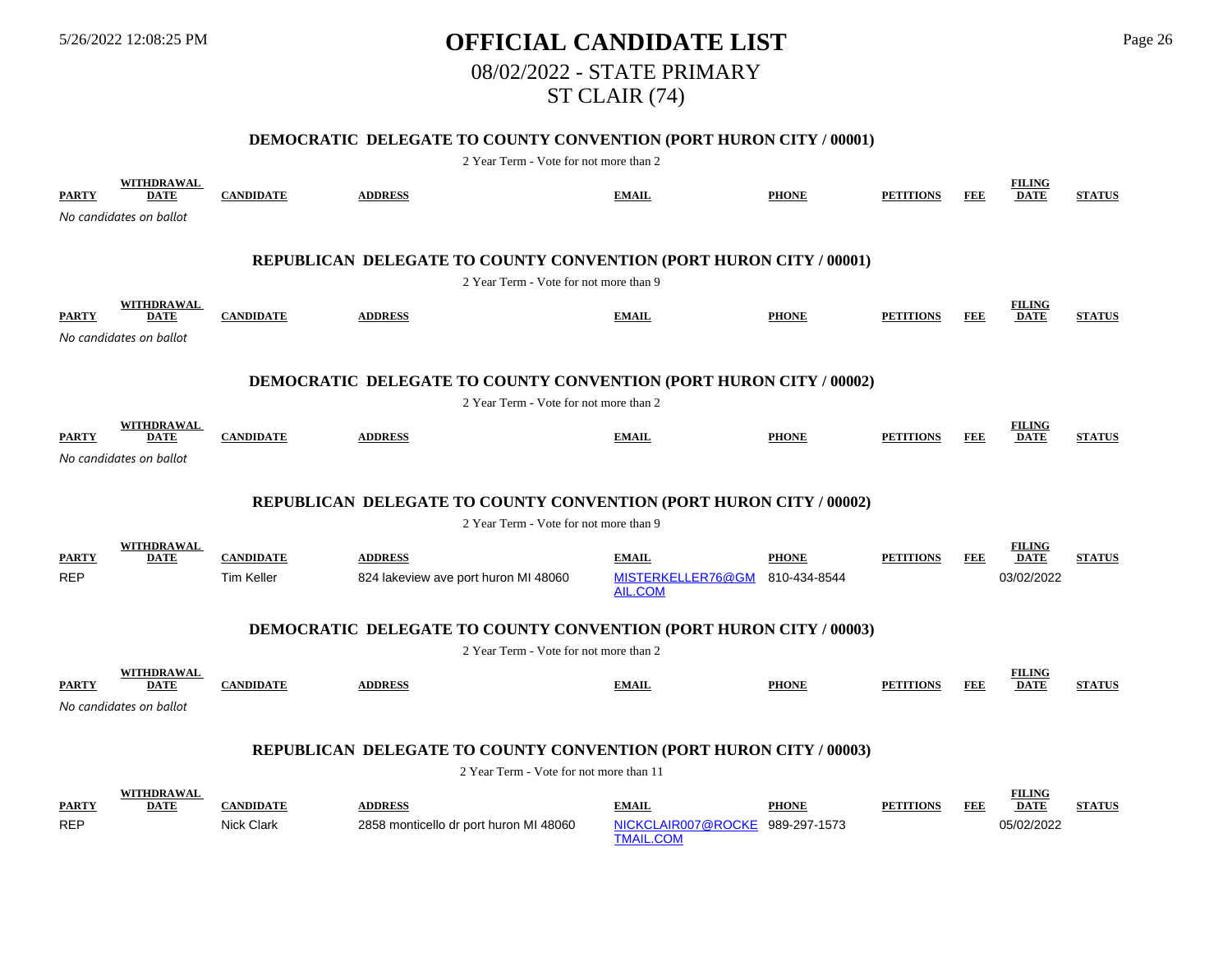# 5/26/2022 12:08:25 PM **OFFICIAL CANDIDATE LIST** Page 26 08/02/2022 - STATE PRIMARY ST CLAIR (74)

## **DEMOCRATIC DELEGATE TO COUNTY CONVENTION (PORT HURON CITY / 00001)**

| <b>PARTY</b>                                                              | <b>WITHDRAWAL</b><br><b>DATE</b><br>No candidates on ballot        | <b>CANDIDATE</b>                      | <b>ADDRESS</b>                                                                                               | <b>EMAIL</b>                       | <b>PHONE</b>                 | <b>PETITIONS</b> | <b>FEE</b> | <b>FILING</b><br><b>DATE</b> | <b>STATUS</b> |  |  |  |
|---------------------------------------------------------------------------|--------------------------------------------------------------------|---------------------------------------|--------------------------------------------------------------------------------------------------------------|------------------------------------|------------------------------|------------------|------------|------------------------------|---------------|--|--|--|
|                                                                           |                                                                    |                                       | REPUBLICAN DELEGATE TO COUNTY CONVENTION (PORT HURON CITY / 00001)<br>2 Year Term - Vote for not more than 9 |                                    |                              |                  |            |                              |               |  |  |  |
| <b>PARTY</b>                                                              | WITHDRAWAL<br><b>DATE</b><br>No candidates on ballot               | <b>CANDIDATE</b>                      | <b>ADDRESS</b>                                                                                               | <b>EMAIL</b>                       | <b>PHONE</b>                 | <b>PETITIONS</b> | <b>FEE</b> | <b>FILING</b><br><b>DATE</b> | <b>STATUS</b> |  |  |  |
| <b>DEMOCRATIC DELEGATE TO COUNTY CONVENTION (PORT HURON CITY / 00002)</b> |                                                                    |                                       |                                                                                                              |                                    |                              |                  |            |                              |               |  |  |  |
|                                                                           |                                                                    |                                       | 2 Year Term - Vote for not more than 2                                                                       |                                    |                              |                  |            |                              |               |  |  |  |
| <b>PARTY</b>                                                              | WITHDRAWAL<br><b>DATE</b>                                          | <b>CANDIDATE</b>                      | <b>ADDRESS</b>                                                                                               | <b>EMAIL</b>                       | <b>PHONE</b>                 | <b>PETITIONS</b> | <b>FEE</b> | <b>FILING</b><br><b>DATE</b> | <b>STATUS</b> |  |  |  |
|                                                                           | No candidates on ballot                                            |                                       |                                                                                                              |                                    |                              |                  |            |                              |               |  |  |  |
|                                                                           | REPUBLICAN DELEGATE TO COUNTY CONVENTION (PORT HURON CITY / 00002) |                                       |                                                                                                              |                                    |                              |                  |            |                              |               |  |  |  |
|                                                                           | 2 Year Term - Vote for not more than 9                             |                                       |                                                                                                              |                                    |                              |                  |            |                              |               |  |  |  |
|                                                                           | WITHDRAWAL                                                         |                                       |                                                                                                              |                                    |                              |                  |            | <b>FILING</b>                |               |  |  |  |
| <b>PARTY</b>                                                              | <b>DATE</b>                                                        | <b>CANDIDATE</b>                      | <b>ADDRESS</b>                                                                                               | <b>EMAIL</b>                       | <b>PHONE</b>                 | <b>PETITIONS</b> | <b>FEE</b> | <b>DATE</b>                  | <b>STATUS</b> |  |  |  |
| <b>REP</b>                                                                |                                                                    | Tim Keller                            | 824 lakeview ave port huron MI 48060                                                                         | MISTERKELLER76@GM<br>AIL.COM       | 810-434-8544                 |                  |            | 03/02/2022                   |               |  |  |  |
|                                                                           |                                                                    |                                       |                                                                                                              |                                    |                              |                  |            |                              |               |  |  |  |
|                                                                           |                                                                    |                                       | <b>DEMOCRATIC DELEGATE TO COUNTY CONVENTION (PORT HURON CITY / 00003)</b>                                    |                                    |                              |                  |            |                              |               |  |  |  |
|                                                                           |                                                                    |                                       | 2 Year Term - Vote for not more than 2                                                                       |                                    |                              |                  |            |                              |               |  |  |  |
| <b>PARTY</b>                                                              | WITHDRAWAL<br><b>DATE</b>                                          | <b>CANDIDATE</b>                      | <b>ADDRESS</b>                                                                                               | <b>EMAIL</b>                       | <b>PHONE</b>                 | <b>PETITIONS</b> | <b>FEE</b> | <b>FILING</b><br><b>DATE</b> | <b>STATUS</b> |  |  |  |
|                                                                           | No candidates on ballot                                            |                                       |                                                                                                              |                                    |                              |                  |            |                              |               |  |  |  |
|                                                                           |                                                                    |                                       |                                                                                                              |                                    |                              |                  |            |                              |               |  |  |  |
|                                                                           |                                                                    |                                       | REPUBLICAN DELEGATE TO COUNTY CONVENTION (PORT HURON CITY / 00003)                                           |                                    |                              |                  |            |                              |               |  |  |  |
|                                                                           |                                                                    |                                       | 2 Year Term - Vote for not more than 11                                                                      |                                    |                              |                  |            |                              |               |  |  |  |
|                                                                           |                                                                    |                                       |                                                                                                              |                                    |                              |                  |            |                              |               |  |  |  |
|                                                                           | <b>WITHDRAWAL</b>                                                  |                                       |                                                                                                              |                                    |                              |                  |            | <b>FILING</b>                |               |  |  |  |
| <b>PARTY</b><br><b>REP</b>                                                | <b>DATE</b>                                                        | <b>CANDIDATE</b><br><b>Nick Clark</b> | <b>ADDRESS</b><br>2858 monticello dr port huron MI 48060                                                     | <b>EMAIL</b><br>NICKCLAIR007@ROCKE | <b>PHONE</b><br>989-297-1573 | <b>PETITIONS</b> | <b>FEE</b> | <b>DATE</b><br>05/02/2022    | <b>STATUS</b> |  |  |  |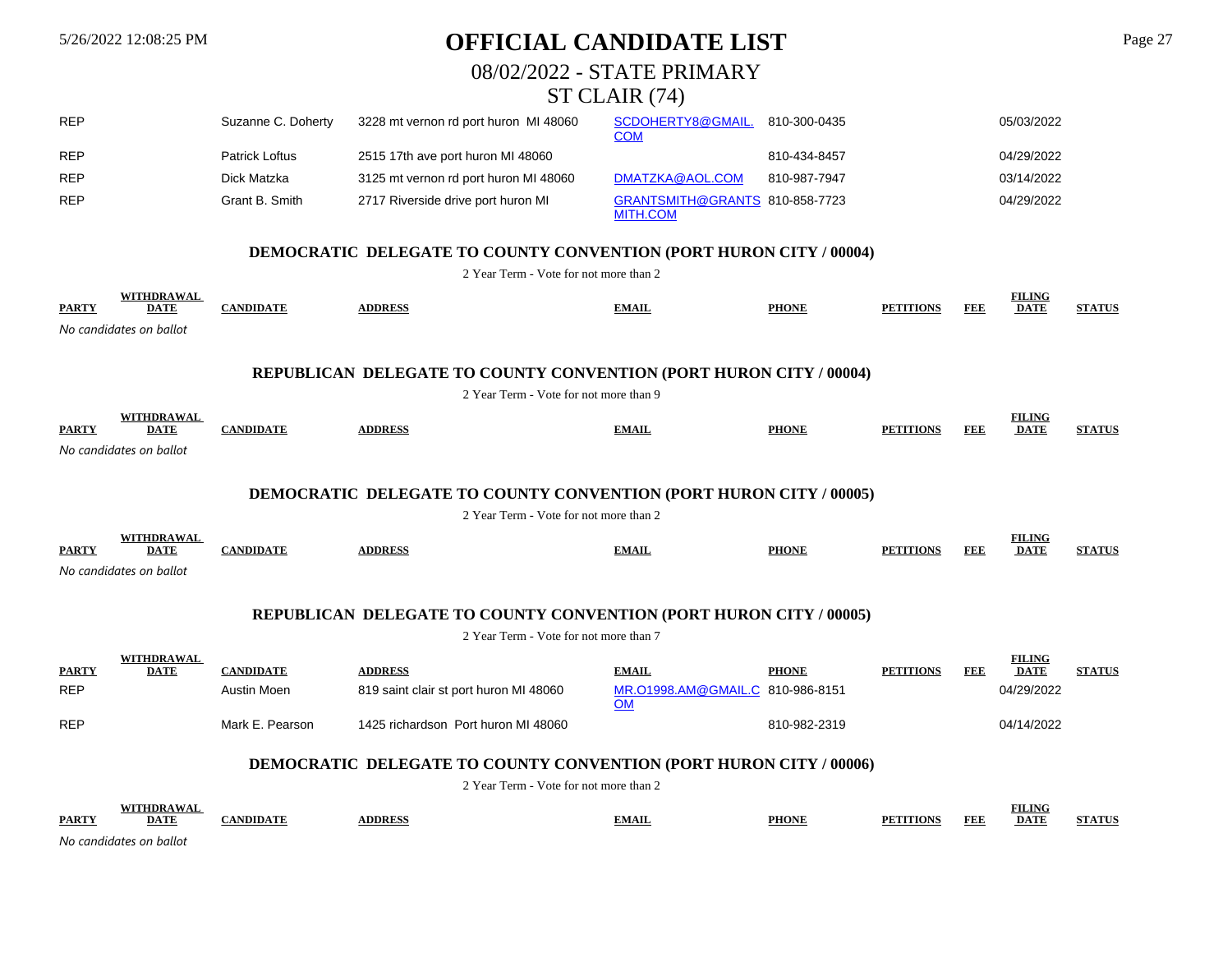# 5/26/2022 12:08:25 PM **OFFICIAL CANDIDATE LIST** Page 27

08/02/2022 - STATE PRIMARY

# ST CLAIR (74)

| <b>REP</b>                                                                | Suzanne C. Doherty | 3228 mt vernon rd port huron MI 48060 | SCDOHERTY8@GMAIL.<br><u>COM</u>                   | 810-300-0435 | 05/03/2022 |  |  |  |
|---------------------------------------------------------------------------|--------------------|---------------------------------------|---------------------------------------------------|--------------|------------|--|--|--|
| <b>REP</b>                                                                | Patrick Loftus     | 2515 17th ave port huron MI 48060     |                                                   | 810-434-8457 | 04/29/2022 |  |  |  |
| <b>REP</b>                                                                | Dick Matzka        | 3125 mt vernon rd port huron MI 48060 | DMATZKA@AOL.COM                                   | 810-987-7947 | 03/14/2022 |  |  |  |
| <b>REP</b>                                                                | Grant B. Smith     | 2717 Riverside drive port huron MI    | GRANTSMITH@GRANTS 810-858-7723<br><b>MITH.COM</b> |              | 04/29/2022 |  |  |  |
| <b>DEMOCRATIC DELEGATE TO COUNTY CONVENTION (PORT HURON CITY / 00004)</b> |                    |                                       |                                                   |              |            |  |  |  |
| 2 Year Term - Vote for not more than 2                                    |                    |                                       |                                                   |              |            |  |  |  |

|              |                         |        |               |              |              |                  | $^{\top}$ ING |            |
|--------------|-------------------------|--------|---------------|--------------|--------------|------------------|---------------|------------|
| <b>PARTY</b> | <b>DATE</b>             | NDIDAT | <b>DDRESS</b> | <b>TMAIL</b> | <b>PHONE</b> | <b>FEF</b><br>DГ | <b>DATE</b>   | CULA ULTIC |
|              | No candidates on ballot |        |               |              |              |                  |               |            |

### **REPUBLICAN DELEGATE TO COUNTY CONVENTION (PORT HURON CITY / 00004)**

|                                                                           | 2 Year Term - Vote for not more than 9 |                  |                                                                           |                                               |              |                  |            |                              |               |  |  |  |
|---------------------------------------------------------------------------|----------------------------------------|------------------|---------------------------------------------------------------------------|-----------------------------------------------|--------------|------------------|------------|------------------------------|---------------|--|--|--|
| <b>PARTY</b>                                                              | <b>WITHDRAWAL</b><br><b>DATE</b>       | <b>CANDIDATE</b> | <b>ADDRESS</b>                                                            | <b>EMAIL</b>                                  | <b>PHONE</b> | <b>PETITIONS</b> | <b>FEE</b> | <b>FILING</b><br><b>DATE</b> | <b>STATUS</b> |  |  |  |
|                                                                           | No candidates on ballot                |                  |                                                                           |                                               |              |                  |            |                              |               |  |  |  |
| <b>DEMOCRATIC DELEGATE TO COUNTY CONVENTION (PORT HURON CITY / 00005)</b> |                                        |                  |                                                                           |                                               |              |                  |            |                              |               |  |  |  |
|                                                                           | 2 Year Term - Vote for not more than 2 |                  |                                                                           |                                               |              |                  |            |                              |               |  |  |  |
| <b>PARTY</b>                                                              | <b>WITHDRAWAL</b><br><b>DATE</b>       | <b>CANDIDATE</b> | <b>ADDRESS</b>                                                            | <b>EMAIL</b>                                  | <b>PHONE</b> | <b>PETITIONS</b> | FEE        | <b>FILING</b><br><b>DATE</b> | <b>STATUS</b> |  |  |  |
|                                                                           | No candidates on ballot                |                  |                                                                           |                                               |              |                  |            |                              |               |  |  |  |
|                                                                           |                                        |                  | REPUBLICAN DELEGATE TO COUNTY CONVENTION (PORT HURON CITY / 00005)        |                                               |              |                  |            |                              |               |  |  |  |
|                                                                           |                                        |                  | 2 Year Term - Vote for not more than 7                                    |                                               |              |                  |            |                              |               |  |  |  |
| <b>PARTY</b>                                                              | <b>WITHDRAWAL</b><br><b>DATE</b>       | <b>CANDIDATE</b> | <b>ADDRESS</b>                                                            | <b>EMAIL</b>                                  | <b>PHONE</b> | <b>PETITIONS</b> | <b>FEE</b> | <b>FILING</b><br><b>DATE</b> | <b>STATUS</b> |  |  |  |
| <b>REP</b>                                                                |                                        | Austin Moen      | 819 saint clair st port huron MI 48060                                    | MR.01998.AM@GMAIL.C 810-986-8151<br><b>OM</b> |              |                  |            | 04/29/2022                   |               |  |  |  |
| <b>REP</b>                                                                |                                        | Mark E. Pearson  | 1425 richardson Port huron MI 48060                                       |                                               | 810-982-2319 |                  |            | 04/14/2022                   |               |  |  |  |
|                                                                           |                                        |                  | <b>DEMOCRATIC DELEGATE TO COUNTY CONVENTION (PORT HURON CITY / 00006)</b> |                                               |              |                  |            |                              |               |  |  |  |
|                                                                           |                                        |                  | 2 Year Term - Vote for not more than 2                                    |                                               |              |                  |            |                              |               |  |  |  |

|              | UND A W A |      |       |              |       | THE TALK<br>шич        |  |
|--------------|-----------|------|-------|--------------|-------|------------------------|--|
| <b>PARTY</b> | UA.       | vdid | VIAIL | <b>PHONI</b> | 'IANI | FEF<br><b>DATE</b><br> |  |
|              |           |      |       |              |       |                        |  |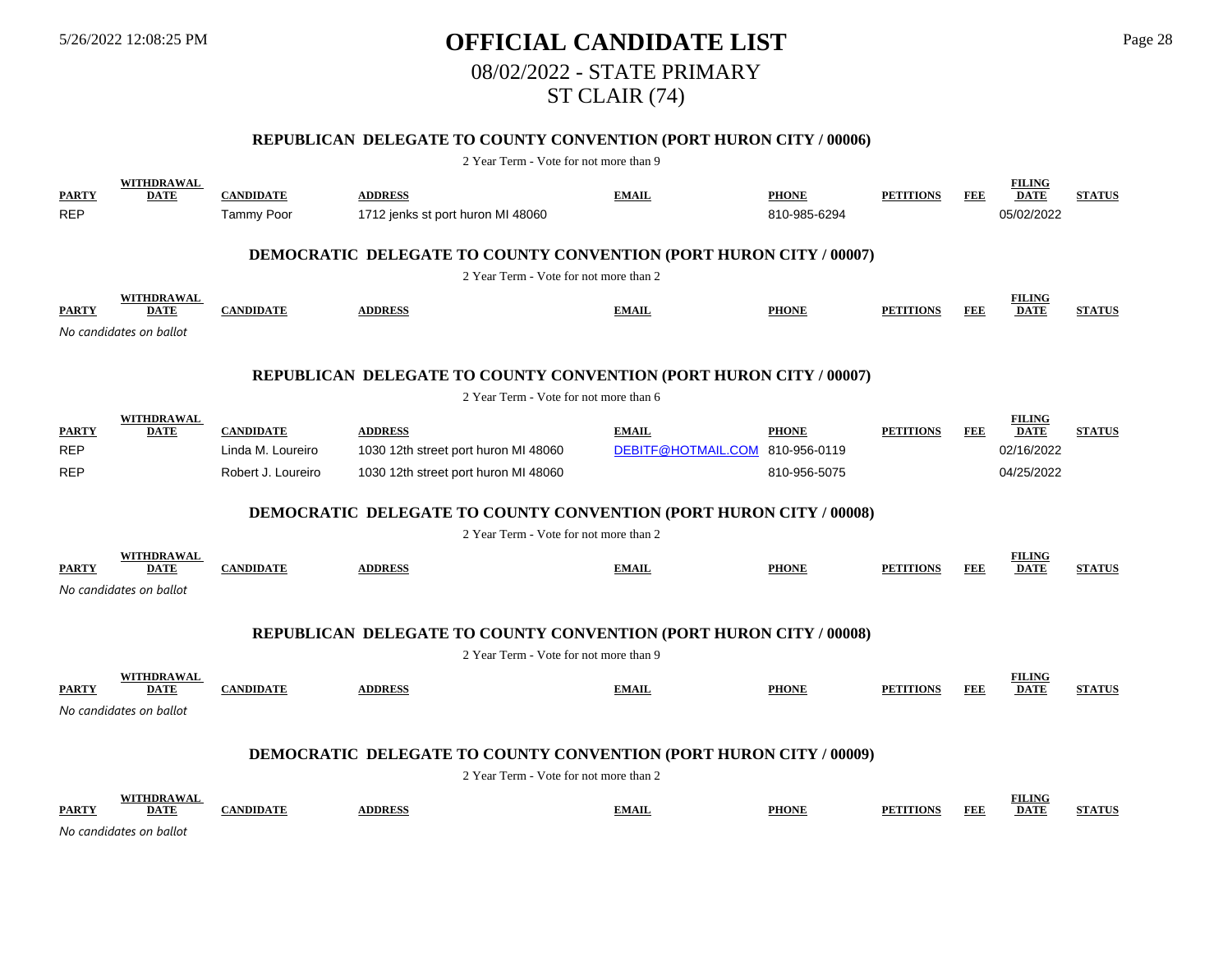# 5/26/2022 12:08:25 PM **OFFICIAL CANDIDATE LIST** Page 28 08/02/2022 - STATE PRIMARY ST CLAIR (74)

# **REPUBLICAN DELEGATE TO COUNTY CONVENTION (PORT HURON CITY / 00006)**

2 Year Term - Vote for not more than 9

| <b>PARTY</b><br><b>REP</b> | <b>WITHDRAWAL</b><br><b>DATE</b>                                          | <b>CANDIDATE</b><br><b>Tammy Poor</b> | <b>ADDRESS</b><br>1712 jenks st port huron MI 48060                       | <b>EMAIL</b>       | <b>PHONE</b><br>810-985-6294 | <b>PETITIONS</b> | <b>FEE</b> | <b>FILING</b><br><b>DATE</b><br>05/02/2022 | <b>STATUS</b> |  |  |
|----------------------------|---------------------------------------------------------------------------|---------------------------------------|---------------------------------------------------------------------------|--------------------|------------------------------|------------------|------------|--------------------------------------------|---------------|--|--|
|                            |                                                                           |                                       | <b>DEMOCRATIC DELEGATE TO COUNTY CONVENTION (PORT HURON CITY / 00007)</b> |                    |                              |                  |            |                                            |               |  |  |
|                            |                                                                           |                                       | 2 Year Term - Vote for not more than 2                                    |                    |                              |                  |            |                                            |               |  |  |
| <b>PARTY</b>               | <b>WITHDRAWAL</b><br><b>DATE</b><br>No candidates on ballot               | <b>CANDIDATE</b>                      | <b>ADDRESS</b>                                                            | <b>EMAIL</b>       | <b>PHONE</b>                 | <b>PETITIONS</b> | <b>FEE</b> | <b>FILING</b><br><b>DATE</b>               | <b>STATUS</b> |  |  |
|                            |                                                                           |                                       |                                                                           |                    |                              |                  |            |                                            |               |  |  |
|                            |                                                                           |                                       | REPUBLICAN DELEGATE TO COUNTY CONVENTION (PORT HURON CITY / 00007)        |                    |                              |                  |            |                                            |               |  |  |
|                            |                                                                           |                                       | 2 Year Term - Vote for not more than 6                                    |                    |                              |                  |            |                                            |               |  |  |
| <b>PARTY</b>               | <b>WITHDRAWAL</b><br><b>DATE</b>                                          | <b>CANDIDATE</b>                      | <b>ADDRESS</b>                                                            | <b>EMAIL</b>       | <b>PHONE</b>                 | <b>PETITIONS</b> | <b>FEE</b> | <b>FILING</b><br><b>DATE</b>               | <b>STATUS</b> |  |  |
| <b>REP</b>                 |                                                                           | Linda M. Loureiro                     | 1030 12th street port huron MI 48060                                      | DEBITF@HOTMAIL.COM | 810-956-0119                 |                  |            | 02/16/2022                                 |               |  |  |
| <b>REP</b>                 |                                                                           | Robert J. Loureiro                    | 1030 12th street port huron MI 48060                                      |                    | 810-956-5075                 |                  |            | 04/25/2022                                 |               |  |  |
|                            | <b>DEMOCRATIC DELEGATE TO COUNTY CONVENTION (PORT HURON CITY / 00008)</b> |                                       |                                                                           |                    |                              |                  |            |                                            |               |  |  |
|                            |                                                                           |                                       | 2 Year Term - Vote for not more than 2                                    |                    |                              |                  |            |                                            |               |  |  |
| <b>PARTY</b>               | WITHDRAWAL<br><b>DATE</b>                                                 | <b>CANDIDATE</b>                      | <b>ADDRESS</b>                                                            | <b>EMAIL</b>       | <b>PHONE</b>                 | <b>PETITIONS</b> | <b>FEE</b> | <b>FILING</b><br><b>DATE</b>               | <b>STATUS</b> |  |  |
|                            | No candidates on ballot                                                   |                                       |                                                                           |                    |                              |                  |            |                                            |               |  |  |
|                            |                                                                           |                                       | <b>REPUBLICAN DELEGATE TO COUNTY CONVENTION (PORT HURON CITY / 00008)</b> |                    |                              |                  |            |                                            |               |  |  |
|                            |                                                                           |                                       | 2 Year Term - Vote for not more than 9                                    |                    |                              |                  |            |                                            |               |  |  |
| <b>PARTY</b>               | <b>WITHDRAWAL</b><br><b>DATE</b>                                          | <b>CANDIDATE</b>                      | <b>ADDRESS</b>                                                            | <b>EMAIL</b>       | <b>PHONE</b>                 | <b>PETITIONS</b> | <b>FEE</b> | <b>FILING</b><br><b>DATE</b>               | <b>STATUS</b> |  |  |
|                            | No candidates on ballot                                                   |                                       |                                                                           |                    |                              |                  |            |                                            |               |  |  |
|                            |                                                                           |                                       | <b>DEMOCRATIC DELEGATE TO COUNTY CONVENTION (PORT HURON CITY / 00009)</b> |                    |                              |                  |            |                                            |               |  |  |
|                            | 2 Year Term - Vote for not more than 2                                    |                                       |                                                                           |                    |                              |                  |            |                                            |               |  |  |
| <b>PARTY</b>               | WITHDRAWAL<br><b>DATE</b>                                                 | <b>CANDIDATE</b>                      | <b>ADDRESS</b>                                                            | <b>EMAIL</b>       | <b>PHONE</b>                 | <b>PETITIONS</b> | <b>FEE</b> | <b>FILING</b><br><b>DATE</b>               | <b>STATUS</b> |  |  |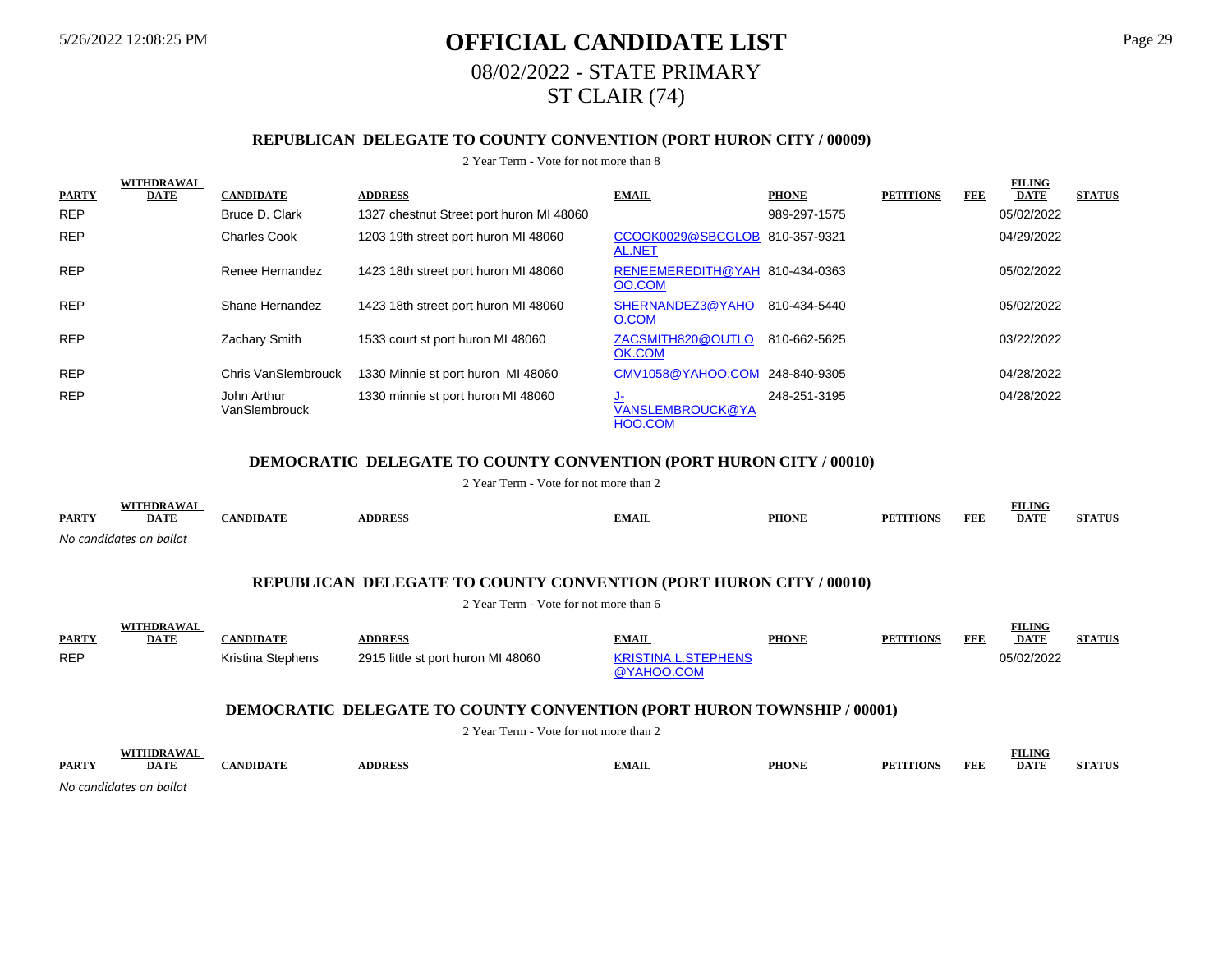# 5/26/2022 12:08:25 PM **OFFICIAL CANDIDATE LIST** Page 29 08/02/2022 - STATE PRIMARY ST CLAIR (74)

# **REPUBLICAN DELEGATE TO COUNTY CONVENTION (PORT HURON CITY / 00009)**

#### 2 Year Term - Vote for not more than 8

|              | <b>WITHDRAWAL</b> |                              |                                          |                                           |              |                  |     | <b>FILING</b> |               |
|--------------|-------------------|------------------------------|------------------------------------------|-------------------------------------------|--------------|------------------|-----|---------------|---------------|
| <b>PARTY</b> | <b>DATE</b>       | <b>CANDIDATE</b>             | <b>ADDRESS</b>                           | <b>EMAIL</b>                              | <b>PHONE</b> | <b>PETITIONS</b> | FEE | <b>DATE</b>   | <b>STATUS</b> |
| <b>REP</b>   |                   | Bruce D. Clark               | 1327 chestnut Street port huron MI 48060 |                                           | 989-297-1575 |                  |     | 05/02/2022    |               |
| <b>REP</b>   |                   | <b>Charles Cook</b>          | 1203 19th street port huron MI 48060     | CCOOK0029@SBCGLOB 810-357-9321<br>AL.NET  |              |                  |     | 04/29/2022    |               |
| <b>REP</b>   |                   | Renee Hernandez              | 1423 18th street port huron MI 48060     | RENEEMEREDITH@YAH 810-434-0363<br>OO.COM  |              |                  |     | 05/02/2022    |               |
| <b>REP</b>   |                   | Shane Hernandez              | 1423 18th street port huron MI 48060     | SHERNANDEZ3@YAHO<br>O.COM                 | 810-434-5440 |                  |     | 05/02/2022    |               |
| <b>REP</b>   |                   | Zachary Smith                | 1533 court st port huron MI 48060        | ZACSMITH820@OUTLO<br>OK.COM               | 810-662-5625 |                  |     | 03/22/2022    |               |
| <b>REP</b>   |                   | <b>Chris VanSlembrouck</b>   | 1330 Minnie st port huron MI 48060       | CMV1058@YAHOO.COM 248-840-9305            |              |                  |     | 04/28/2022    |               |
| <b>REP</b>   |                   | John Arthur<br>VanSlembrouck | 1330 minnie st port huron MI 48060       | <u>۔ ل</u><br>VANSLEMBROUCK@YA<br>HOO.COM | 248-251-3195 |                  |     | 04/28/2022    |               |

#### **DEMOCRATIC DELEGATE TO COUNTY CONVENTION (PORT HURON CITY / 00010)**

2 Year Term - Vote for not more than 2

|              | WITTIDD AWA             |      |                |              |              |        |            | <b>EILING</b><br>11.UNG |                           |
|--------------|-------------------------|------|----------------|--------------|--------------|--------|------------|-------------------------|---------------------------|
| <b>PARTY</b> | <b>DATE</b>             | NDID | <b>ADDRESS</b> | <b>EMAIL</b> | <b>PHONE</b> | TTIANS | <b>FEE</b> | <b>DATE</b>             | <b>STATIE</b><br>9 LA LUI |
|              | No candidates on ballot |      |                |              |              |        |            |                         |                           |

#### **REPUBLICAN DELEGATE TO COUNTY CONVENTION (PORT HURON CITY / 00010)**

2 Year Term - Vote for not more than 6

| <b>PARTY</b> | <b>WITHDRAWAL</b><br><b>DATE</b> | CANDIDATE         | <b>ADDRESS</b>                     | <b>EMAIL</b>                             | <b>PHONE</b> | <b>PETITIONS</b> | <b>FEE</b> | FILING<br><b>DATE</b> | <b>STATUS</b> |
|--------------|----------------------------------|-------------------|------------------------------------|------------------------------------------|--------------|------------------|------------|-----------------------|---------------|
| <b>REP</b>   |                                  | Kristina Stephens | 2915 little st port huron MI 48060 | <b>KRISTINA.L.STEPHENS</b><br>@YAHOO.COM |              |                  |            | 05/02/2022            |               |

### **DEMOCRATIC DELEGATE TO COUNTY CONVENTION (PORT HURON TOWNSHIP / 00001)**

|              |             |                 |                | 2 Year Term - Vote for not more than 2 |              |                       |            |                              |               |
|--------------|-------------|-----------------|----------------|----------------------------------------|--------------|-----------------------|------------|------------------------------|---------------|
| <b>PARTY</b> | <b>DATE</b> | <b>ANDIDATE</b> | <b>NDDRESS</b> | <b>EMAIL</b>                           | <b>PHONE</b> | PF.<br><b>ATTIONS</b> | <b>FEF</b> | <b>FILING</b><br><b>DATE</b> | <b>STATUS</b> |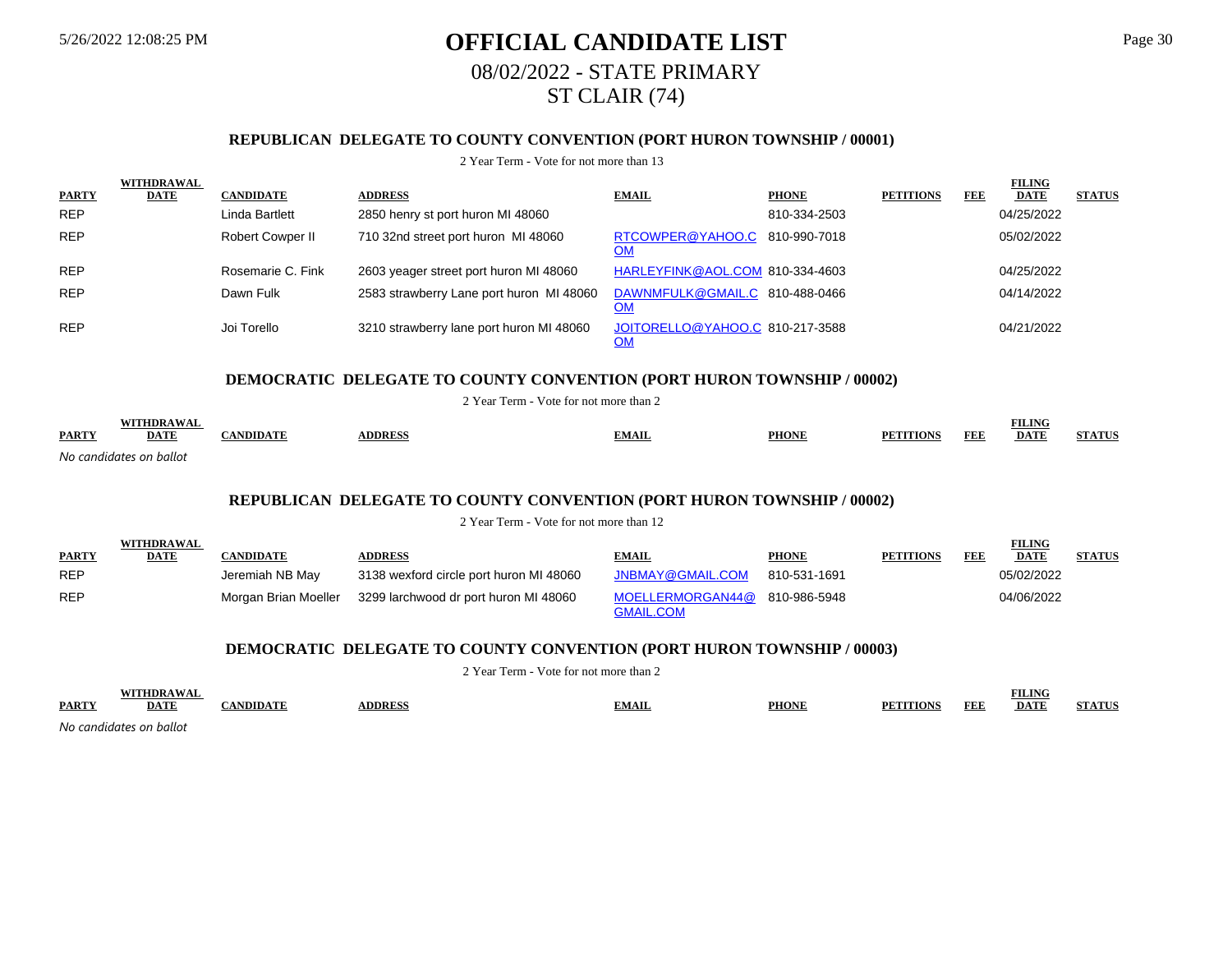# 5/26/2022 12:08:25 PM **OFFICIAL CANDIDATE LIST** Page 30 08/02/2022 - STATE PRIMARY ST CLAIR (74)

## **REPUBLICAN DELEGATE TO COUNTY CONVENTION (PORT HURON TOWNSHIP / 00001)**

#### 2 Year Term - Vote for not more than 13

|              | <b>WITHDRAWAL</b> |                   |                                          |                                              |              |                  |            | <b>FILING</b> |               |
|--------------|-------------------|-------------------|------------------------------------------|----------------------------------------------|--------------|------------------|------------|---------------|---------------|
| <b>PARTY</b> | <b>DATE</b>       | <b>CANDIDATE</b>  | <b>ADDRESS</b>                           | <b>EMAIL</b>                                 | <b>PHONE</b> | <b>PETITIONS</b> | <b>FEE</b> | <b>DATE</b>   | <b>STATUS</b> |
| <b>REP</b>   |                   | Linda Bartlett    | 2850 henry st port huron MI 48060        |                                              | 810-334-2503 |                  |            | 04/25/2022    |               |
| <b>REP</b>   |                   | Robert Cowper II  | 710 32nd street port huron MI 48060      | RTCOWPER@YAHOO.C 810-990-7018<br><u>OM</u>   |              |                  |            | 05/02/2022    |               |
| <b>REP</b>   |                   | Rosemarie C. Fink | 2603 yeager street port huron MI 48060   | HARLEYFINK@AOL.COM 810-334-4603              |              |                  |            | 04/25/2022    |               |
| <b>REP</b>   |                   | Dawn Fulk         | 2583 strawberry Lane port huron MI 48060 | DAWNMFULK@GMAIL.C 810-488-0466<br>ОM         |              |                  |            | 04/14/2022    |               |
| <b>REP</b>   |                   | Joi Torello       | 3210 strawberry lane port huron MI 48060 | JOITORELLO@YAHOO.C 810-217-3588<br><u>OM</u> |              |                  |            | 04/21/2022    |               |

### **DEMOCRATIC DELEGATE TO COUNTY CONVENTION (PORT HURON TOWNSHIP / 00002)**

2 Year Term - Vote for not more than 2

|              | WITHDRAWA               |                |              |              |              |                         | <b>FILING</b> |        |
|--------------|-------------------------|----------------|--------------|--------------|--------------|-------------------------|---------------|--------|
| <b>PARTY</b> | <u>DATE</u>             | <b>ANDIDAT</b> | <b>DDRES</b> | <b>EMAIL</b> | <b>PHONE</b> | FEF<br><b>PETITIONS</b> | <b>DATE</b>   | ATITIC |
|              | No candidatos on hallot |                |              |              |              |                         |               |        |

*No candidates on ballot*

**WITHDRAWAL** 

### **REPUBLICAN DELEGATE TO COUNTY CONVENTION (PORT HURON TOWNSHIP / 00002)**

2 Year Term - Vote for not more than 12

|              | WIIHDKAWAL  |                 |                                                            |                               |              |                  |     | <b>FILLING</b> |               |
|--------------|-------------|-----------------|------------------------------------------------------------|-------------------------------|--------------|------------------|-----|----------------|---------------|
| <b>PARTY</b> | <u>DATE</u> | CANDIDATE       | <b>ADDRESS</b>                                             | <b>EMAIL</b>                  | <b>PHONE</b> | <b>PETITIONS</b> | FEE | <b>DATE</b>    | <b>STATUS</b> |
| <b>REP</b>   |             | Jeremiah NB May | 3138 wexford circle port huron MI 48060                    | JNBMAY@GMAIL.COM              | 810-531-1691 |                  |     | 05/02/2022     |               |
| <b>REP</b>   |             |                 | Morgan Brian Moeller 3299 larchwood dr port huron MI 48060 | MOELLERMORGAN44@ 810-986-5948 |              |                  |     | 04/06/2022     |               |
|              |             |                 |                                                            | <b>GMAIL.COM</b>              |              |                  |     |                |               |

### **DEMOCRATIC DELEGATE TO COUNTY CONVENTION (PORT HURON TOWNSHIP / 00003)**

2 Year Term - Vote for not more than 2

|              |                         |              |              |       |              |            | `ILING      |  |
|--------------|-------------------------|--------------|--------------|-------|--------------|------------|-------------|--|
| <b>PARTY</b> | <b>DATI</b>             | <b>IDIDA</b> | <b>DDRES</b> | EMAIL | <b>PHONE</b> | <b>FEF</b> | <b>DATE</b> |  |
|              | No candidates on ballot |              |              |       |              |            |             |  |

**FILING**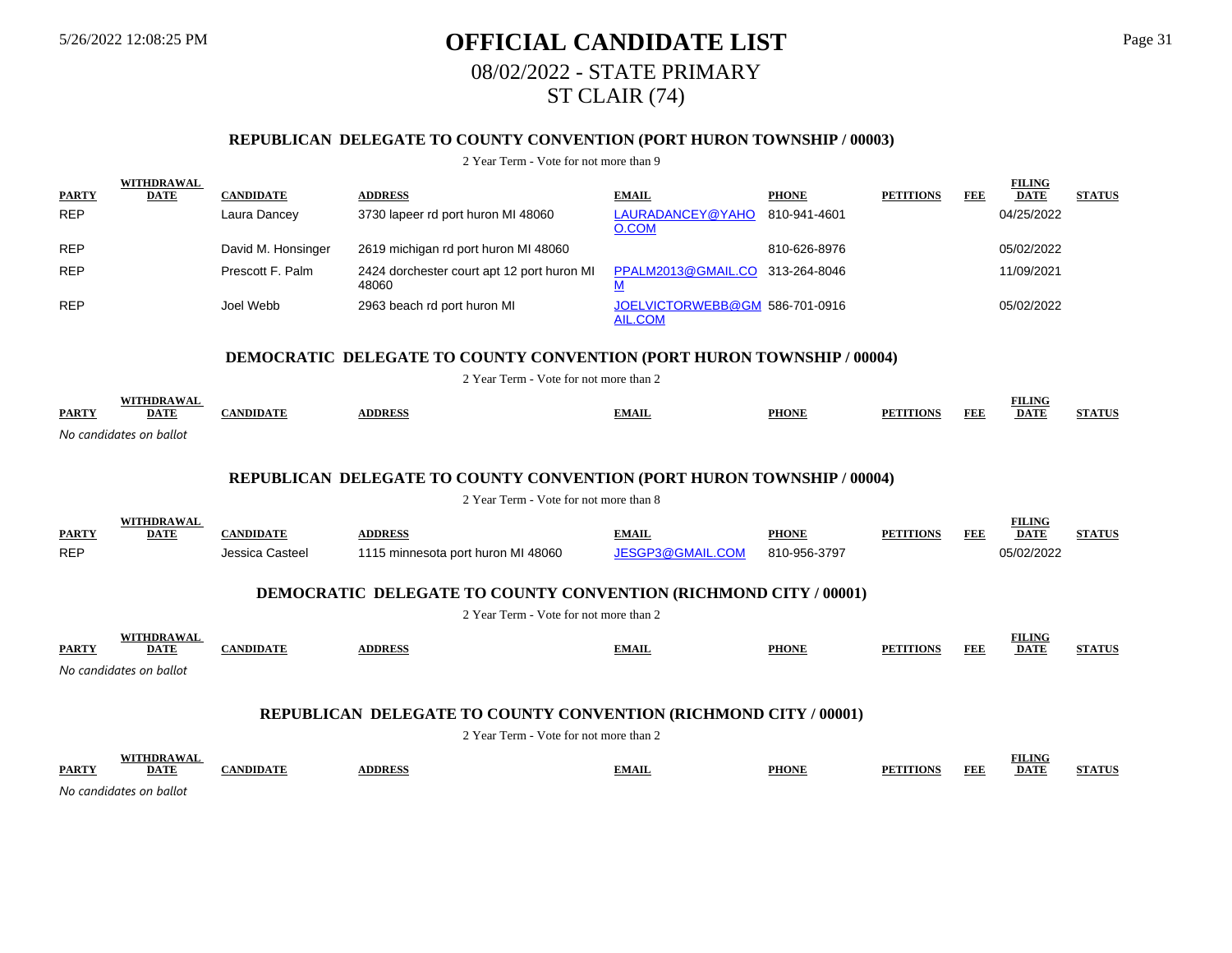# 5/26/2022 12:08:25 PM **OFFICIAL CANDIDATE LIST** Page 31 08/02/2022 - STATE PRIMARY ST CLAIR (74)

## **REPUBLICAN DELEGATE TO COUNTY CONVENTION (PORT HURON TOWNSHIP / 00003)**

2 Year Term - Vote for not more than 9

| <b>PARTY</b> | <b>WITHDRAWAL</b><br><b>DATE</b> | <b>CANDIDATE</b>   | <b>ADDRESS</b>                                                                                             | <b>EMAIL</b>                                     | <b>PHONE</b> | <b>PETITIONS</b> | <b>FEE</b> | <b>FILING</b><br><b>DATE</b> | <b>STATUS</b> |
|--------------|----------------------------------|--------------------|------------------------------------------------------------------------------------------------------------|--------------------------------------------------|--------------|------------------|------------|------------------------------|---------------|
| <b>REP</b>   |                                  | Laura Dancey       | 3730 lapeer rd port huron MI 48060                                                                         | LAURADANCEY@YAHO<br>O.COM                        | 810-941-4601 |                  |            | 04/25/2022                   |               |
| <b>REP</b>   |                                  | David M. Honsinger | 2619 michigan rd port huron MI 48060                                                                       |                                                  | 810-626-8976 |                  |            | 05/02/2022                   |               |
| <b>REP</b>   |                                  | Prescott F. Palm   | 2424 dorchester court apt 12 port huron MI<br>48060                                                        | PPALM2013@GMAIL.CO 313-264-8046<br>M             |              |                  |            | 11/09/2021                   |               |
| <b>REP</b>   |                                  | Joel Webb          | 2963 beach rd port huron MI                                                                                | JOELVICTORWEBB@GM 586-701-0916<br><b>AIL.COM</b> |              |                  |            | 05/02/2022                   |               |
|              |                                  |                    | <b>DEMOCRATIC DELEGATE TO COUNTY CONVENTION (PORT HURON TOWNSHIP / 00004)</b>                              |                                                  |              |                  |            |                              |               |
|              |                                  |                    | 2 Year Term - Vote for not more than 2                                                                     |                                                  |              |                  |            |                              |               |
| <b>PARTY</b> | <b>WITHDRAWAL</b><br><b>DATE</b> | <b>CANDIDATE</b>   | <b>ADDRESS</b>                                                                                             | <b>EMAIL</b>                                     | <b>PHONE</b> | <b>PETITIONS</b> | <b>FEE</b> | <b>FILING</b><br><b>DATE</b> | <b>STATUS</b> |
|              | No candidates on ballot          |                    |                                                                                                            |                                                  |              |                  |            |                              |               |
|              |                                  |                    |                                                                                                            |                                                  |              |                  |            |                              |               |
|              |                                  |                    | <b>REPUBLICAN DELEGATE TO COUNTY CONVENTION (PORT HURON TOWNSHIP / 00004)</b>                              |                                                  |              |                  |            |                              |               |
|              |                                  |                    | 2 Year Term - Vote for not more than 8                                                                     |                                                  |              |                  |            |                              |               |
| <b>PARTY</b> | <b>WITHDRAWAL</b><br><b>DATE</b> | <b>CANDIDATE</b>   | <b>ADDRESS</b>                                                                                             | <b>EMAIL</b>                                     | <b>PHONE</b> | <b>PETITIONS</b> | <b>FEE</b> | <b>FILING</b><br><b>DATE</b> | <b>STATUS</b> |
| <b>REP</b>   |                                  | Jessica Casteel    | 1115 minnesota port huron MI 48060                                                                         | JESGP3@GMAIL.COM                                 | 810-956-3797 |                  |            | 05/02/2022                   |               |
|              |                                  |                    | <b>DEMOCRATIC DELEGATE TO COUNTY CONVENTION (RICHMOND CITY / 00001)</b>                                    |                                                  |              |                  |            |                              |               |
|              |                                  |                    | 2 Year Term - Vote for not more than 2                                                                     |                                                  |              |                  |            |                              |               |
|              | <b>WITHDRAWAL</b>                |                    |                                                                                                            |                                                  |              |                  |            | <b>FILING</b>                |               |
| <b>PARTY</b> | <b>DATE</b>                      | <b>CANDIDATE</b>   | <b>ADDRESS</b>                                                                                             | <b>EMAIL</b>                                     | <b>PHONE</b> | <b>PETITIONS</b> | <b>FEE</b> | <b>DATE</b>                  | <b>STATUS</b> |
|              | No candidates on ballot          |                    |                                                                                                            |                                                  |              |                  |            |                              |               |
|              |                                  |                    |                                                                                                            |                                                  |              |                  |            |                              |               |
|              |                                  |                    | REPUBLICAN DELEGATE TO COUNTY CONVENTION (RICHMOND CITY / 00001)<br>2 Year Term - Vote for not more than 2 |                                                  |              |                  |            |                              |               |
|              | <b>WITHDRAWAL</b>                |                    |                                                                                                            |                                                  |              |                  |            | <b>FILING</b>                |               |
|              |                                  |                    |                                                                                                            |                                                  |              |                  |            |                              |               |

**PARTY DATE CANDIDATE ADDRESS EMAIL PHONE PETITIONS FEE FILITE DATE STATUS**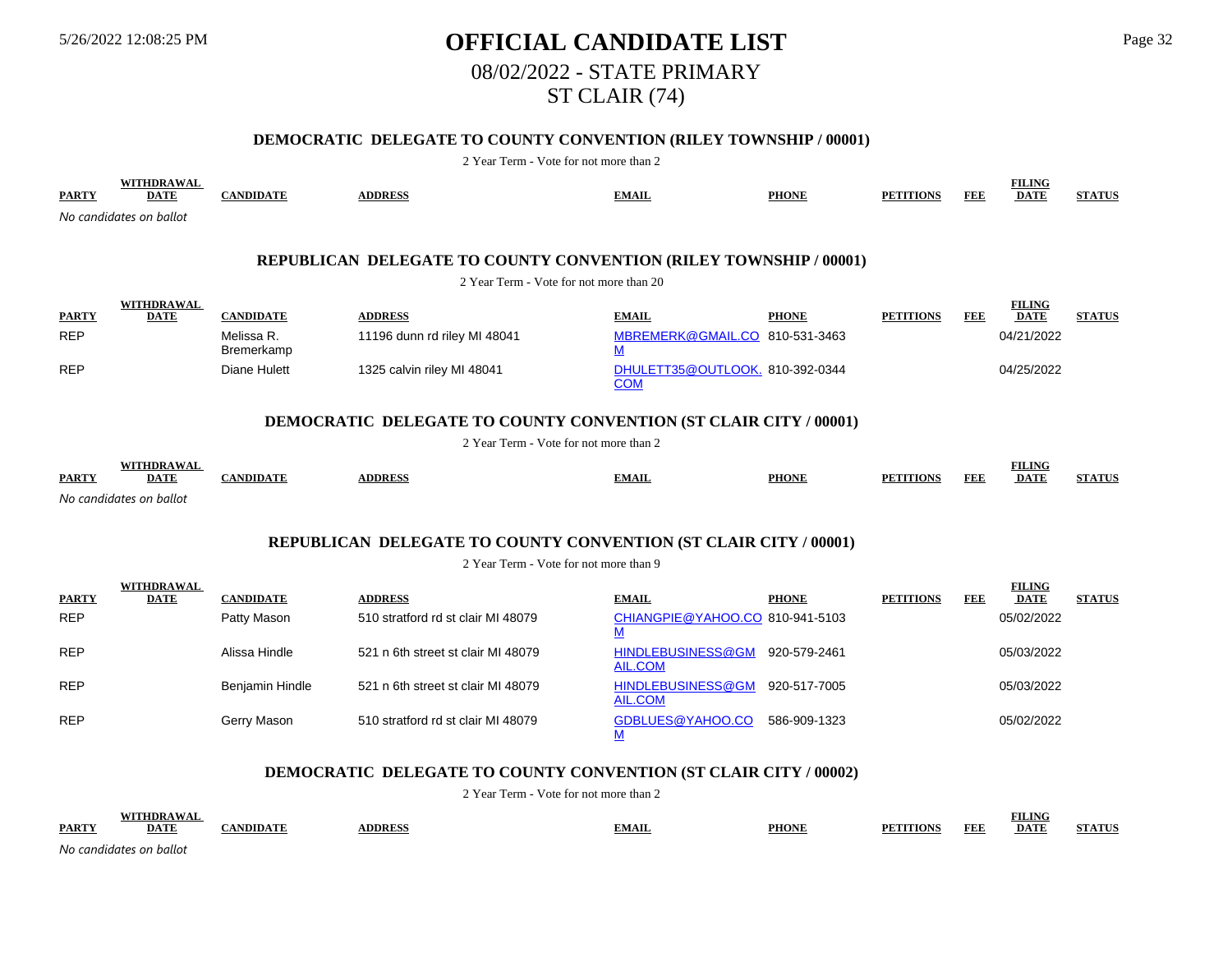# 5/26/2022 12:08:25 PM **OFFICIAL CANDIDATE LIST** Page 32 08/02/2022 - STATE PRIMARY ST CLAIR (74)

## **DEMOCRATIC DELEGATE TO COUNTY CONVENTION (RILEY TOWNSHIP / 00001)**

2 Year Term - Vote for not more than 2

| <b>PARTY</b> | <b>WITHDRAWAL</b><br><b>DATE</b> | <b>CANDIDATE</b>         | <b>ADDRESS</b>                                                           | <b>EMAIL</b>                                               | <b>PHONE</b> | <b>PETITIONS</b> | <b>FEE</b> | <b>FILING</b><br><b>DATE</b> | <b>STATUS</b> |
|--------------|----------------------------------|--------------------------|--------------------------------------------------------------------------|------------------------------------------------------------|--------------|------------------|------------|------------------------------|---------------|
|              | No candidates on ballot          |                          |                                                                          |                                                            |              |                  |            |                              |               |
|              |                                  |                          |                                                                          |                                                            |              |                  |            |                              |               |
|              |                                  |                          | <b>REPUBLICAN DELEGATE TO COUNTY CONVENTION (RILEY TOWNSHIP / 00001)</b> |                                                            |              |                  |            |                              |               |
|              |                                  |                          | 2 Year Term - Vote for not more than 20                                  |                                                            |              |                  |            |                              |               |
| <b>PARTY</b> | WITHDRAWAL<br><b>DATE</b>        | <b>CANDIDATE</b>         | <b>ADDRESS</b>                                                           | <b>EMAIL</b>                                               | <b>PHONE</b> | <b>PETITIONS</b> | <b>FEE</b> | <b>FILING</b><br><b>DATE</b> | <b>STATUS</b> |
| <b>REP</b>   |                                  | Melissa R.<br>Bremerkamp | 11196 dunn rd riley MI 48041                                             | MBREMERK@GMAIL.CO 810-531-3463<br>$\underline{\mathsf{M}}$ |              |                  |            | 04/21/2022                   |               |
| <b>REP</b>   |                                  | Diane Hulett             | 1325 calvin riley MI 48041                                               | DHULETT35@OUTLOOK. 810-392-0344<br><b>COM</b>              |              |                  |            | 04/25/2022                   |               |
|              |                                  |                          | <b>DEMOCRATIC DELEGATE TO COUNTY CONVENTION (ST CLAIR CITY / 00001)</b>  |                                                            |              |                  |            |                              |               |
|              |                                  |                          | 2 Year Term - Vote for not more than 2                                   |                                                            |              |                  |            |                              |               |
| <b>PARTY</b> | <b>WITHDRAWAL</b><br><b>DATE</b> | <b>CANDIDATE</b>         | <b>ADDRESS</b>                                                           | <b>EMAIL</b>                                               | <b>PHONE</b> | <b>PETITIONS</b> | <b>FEE</b> | <b>FILING</b><br><b>DATE</b> | <b>STATUS</b> |
|              | No candidates on ballot          |                          |                                                                          |                                                            |              |                  |            |                              |               |
|              |                                  |                          |                                                                          |                                                            |              |                  |            |                              |               |
|              |                                  |                          |                                                                          |                                                            |              |                  |            |                              |               |

## **REPUBLICAN DELEGATE TO COUNTY CONVENTION (ST CLAIR CITY / 00001)**

2 Year Term - Vote for not more than 9

|              | <b>WITHDRAWAL</b> |                  |                                    |                                     |              |                  |            | <b>FILING</b> |               |
|--------------|-------------------|------------------|------------------------------------|-------------------------------------|--------------|------------------|------------|---------------|---------------|
| <b>PARTY</b> | <b>DATE</b>       | <b>CANDIDATE</b> | <b>ADDRESS</b>                     | <b>EMAIL</b>                        | <b>PHONE</b> | <b>PETITIONS</b> | <b>FEE</b> | <b>DATE</b>   | <b>STATUS</b> |
| <b>REP</b>   |                   | Patty Mason      | 510 stratford rd st clair MI 48079 | CHIANGPIE@YAHOO.CO 810-941-5103     |              |                  |            | 05/02/2022    |               |
| <b>REP</b>   |                   | Alissa Hindle    | 521 n 6th street st clair MI 48079 | HINDLEBUSINESS@GM<br>AIL.COM        | 920-579-2461 |                  |            | 05/03/2022    |               |
| <b>REP</b>   |                   | Benjamin Hindle  | 521 n 6th street st clair MI 48079 | <b>HINDLEBUSINESS@GM</b><br>AIL.COM | 920-517-7005 |                  |            | 05/03/2022    |               |
| <b>REP</b>   |                   | Gerry Mason      | 510 stratford rd st clair MI 48079 | GDBLUES@YAHOO.CO                    | 586-909-1323 |                  |            | 05/02/2022    |               |

## **DEMOCRATIC DELEGATE TO COUNTY CONVENTION (ST CLAIR CITY / 00002)**

|              | <b>SXITT</b>        |     |               |       |              |                           | нич  |            |
|--------------|---------------------|-----|---------------|-------|--------------|---------------------------|------|------------|
| <b>PARTY</b> | DA'.                | mm. | <b>DDRESS</b> | `MAIL | <b>PHONI</b> | <b>FEE</b><br><b>TION</b> | DATI | P A TPT TC |
| No cand      | ıdator<br>on balloi |     |               |       |              |                           |      |            |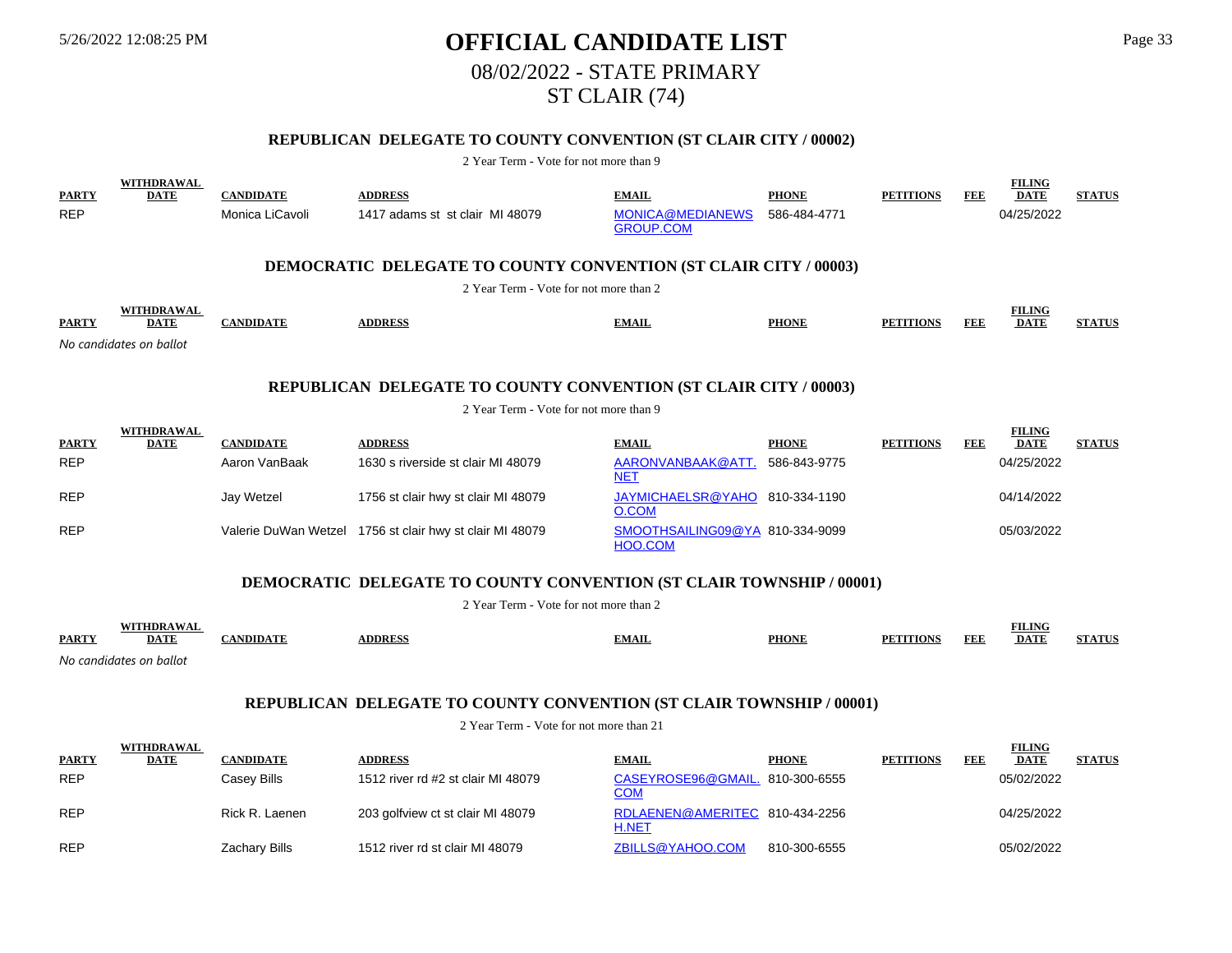# 5/26/2022 12:08:25 PM **OFFICIAL CANDIDATE LIST** Page 33 08/02/2022 - STATE PRIMARY ST CLAIR (74)

# **REPUBLICAN DELEGATE TO COUNTY CONVENTION (ST CLAIR CITY / 00002)**

#### 2 Year Term - Vote for not more than 9

|              | WITHDRAWAL              |                  |                                                                         |                  |              |                  |            | <b>FILING</b> |               |
|--------------|-------------------------|------------------|-------------------------------------------------------------------------|------------------|--------------|------------------|------------|---------------|---------------|
| <b>PARTY</b> | <b>DATE</b>             | <b>CANDIDATE</b> | <b>ADDRESS</b>                                                          | <b>EMAIL</b>     | <b>PHONE</b> | <b>PETITIONS</b> | <b>FEE</b> | <b>DATE</b>   | <b>STATUS</b> |
| <b>REP</b>   |                         | Monica LiCavoli  | 1417 adams st st clair MI 48079                                         | MONICA@MEDIANEWS | 586-484-4771 |                  |            | 04/25/2022    |               |
|              |                         |                  |                                                                         | <b>GROUP.COM</b> |              |                  |            |               |               |
|              |                         |                  |                                                                         |                  |              |                  |            |               |               |
|              |                         |                  | <b>DEMOCRATIC DELEGATE TO COUNTY CONVENTION (ST CLAIR CITY / 00003)</b> |                  |              |                  |            |               |               |
|              |                         |                  | 2 Year Term - Vote for not more than 2                                  |                  |              |                  |            |               |               |
|              | WITHDRAWAL              |                  |                                                                         |                  |              |                  |            | <b>FILING</b> |               |
| <b>PARTY</b> | <b>DATE</b>             | <b>CANDIDATE</b> | <b>ADDRESS</b>                                                          | <b>EMAIL</b>     | <b>PHONE</b> | <b>PETITIONS</b> | FEE        | <b>DATE</b>   | <b>STATUS</b> |
|              | No candidates on ballot |                  |                                                                         |                  |              |                  |            |               |               |
|              |                         |                  |                                                                         |                  |              |                  |            |               |               |
|              |                         |                  | <b>REPUBLICAN DELEGATE TO COUNTY CONVENTION (ST CLAIR CITY / 00003)</b> |                  |              |                  |            |               |               |
|              |                         |                  |                                                                         |                  |              |                  |            |               |               |
|              |                         |                  | 2 Year Term - Vote for not more than 9                                  |                  |              |                  |            |               |               |
|              | <b>WITHDRAWAL</b>       |                  |                                                                         |                  |              |                  |            | <b>FILING</b> |               |
| <b>PARTY</b> | <b>DATE</b>             | <b>CANDIDATE</b> | <b>ADDRESS</b>                                                          | EMAIL.           | <b>PHONE</b> | <b>PETITIONS</b> | <b>FEE</b> | <b>DATE</b>   | <b>STATUS</b> |

| <b>PARTY</b> | ,,,,,,,,,,,,,,,,<br><b>DATE</b> | <b>CANDIDATE</b> | <b>ADDRESS</b>                                           | <b>EMAIL</b>                               | <b>PHONE</b> | <b>PETITIONS</b> | FEE | . 0<br><b>DATE</b> | <b>STATUS</b> |
|--------------|---------------------------------|------------------|----------------------------------------------------------|--------------------------------------------|--------------|------------------|-----|--------------------|---------------|
| <b>REP</b>   |                                 | Aaron VanBaak    | 1630 s riverside st clair MI 48079                       | AARONVANBAAK@ATT.<br><u>NET</u>            | 586-843-9775 |                  |     | 04/25/2022         |               |
| <b>REP</b>   |                                 | Jay Wetzel       | 1756 st clair hwy st clair MI 48079                      | JAYMICHAELSR@YAHO 810-334-1190<br>O.COM    |              |                  |     | 04/14/2022         |               |
| <b>REP</b>   |                                 |                  | Valerie DuWan Wetzel 1756 st clair hwy st clair MI 48079 | SMOOTHSAILING09@YA 810-334-9099<br>HOO.COM |              |                  |     | 05/03/2022         |               |

### **DEMOCRATIC DELEGATE TO COUNTY CONVENTION (ST CLAIR TOWNSHIP / 00001)**

2 Year Term - Vote for not more than 2 **PARTY WITHDRAWAL DATE CANDIDATE ADDRESS EMAIL PHONE PETITIONS FEE FILING DATE STATUS**

*No candidates on ballot*

#### **REPUBLICAN DELEGATE TO COUNTY CONVENTION (ST CLAIR TOWNSHIP / 00001)**

|              | <b>WITHDRAWAL</b> |                  |                                    |                                                |              |                  |     | <b>FILING</b> |               |
|--------------|-------------------|------------------|------------------------------------|------------------------------------------------|--------------|------------------|-----|---------------|---------------|
| <b>PARTY</b> | <b>DATE</b>       | <b>CANDIDATE</b> | <b>ADDRESS</b>                     | <b>EMAIL</b>                                   | <b>PHONE</b> | <b>PETITIONS</b> | FEE | <b>DATE</b>   | <b>STATUS</b> |
| <b>REP</b>   |                   | Casey Bills      | 1512 river rd #2 st clair MI 48079 | CASEYROSE96@GMAIL. 810-300-6555<br><u>COM</u>  |              |                  |     | 05/02/2022    |               |
| <b>REP</b>   |                   | Rick R. Laenen   | 203 golfview ct st clair MI 48079  | RDLAENEN@AMERITEC 810-434-2256<br><b>H.NET</b> |              |                  |     | 04/25/2022    |               |
| <b>REP</b>   |                   | Zachary Bills    | 1512 river rd st clair MI 48079    | ZBILLS@YAHOO.COM                               | 810-300-6555 |                  |     | 05/02/2022    |               |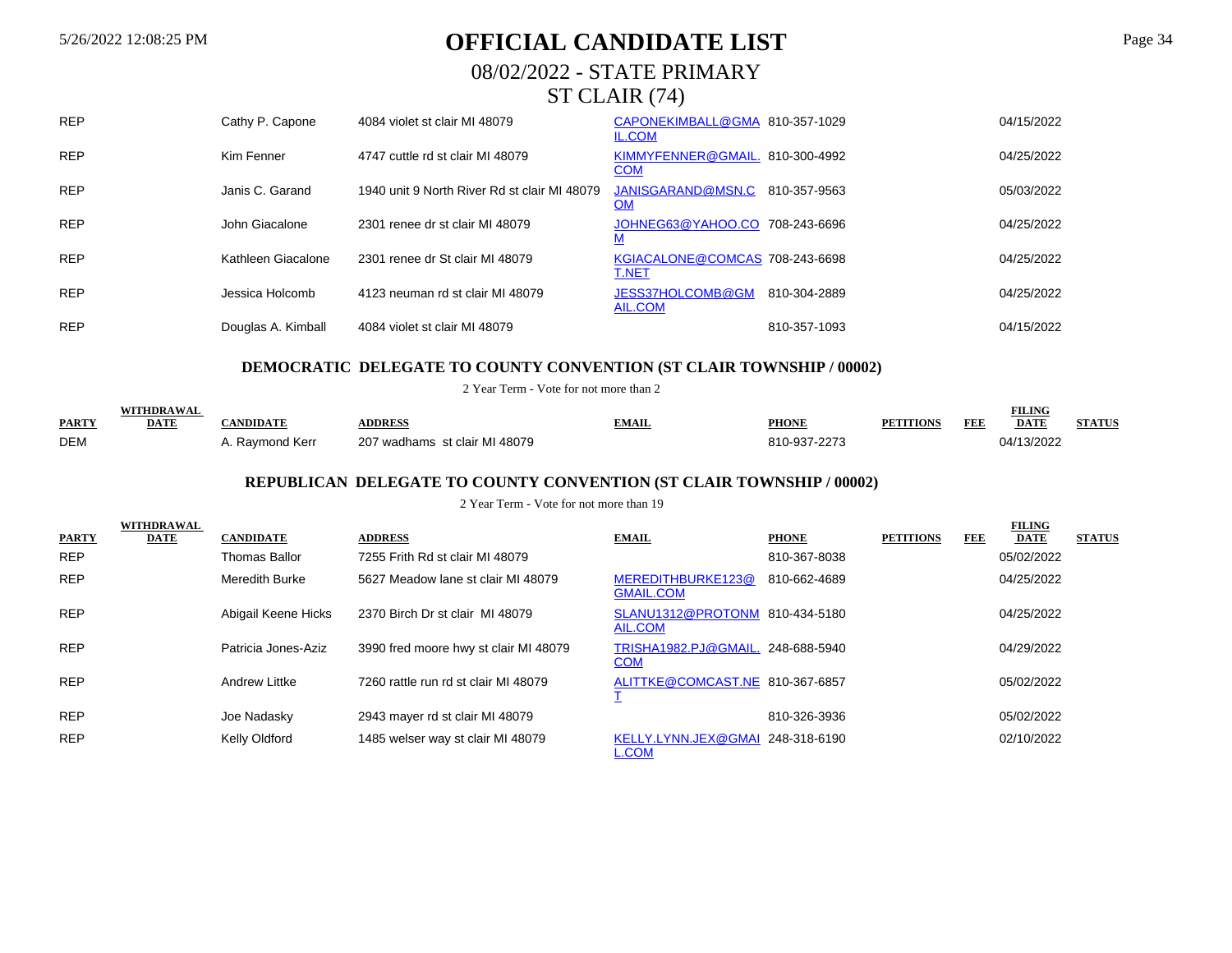# 5/26/2022 12:08:25 PM **OFFICIAL CANDIDATE LIST** Page 34

# 08/02/2022 - STATE PRIMARY

# ST CLAIR (74)

| <b>REP</b> | Cathy P. Capone    | 4084 violet st clair MI 48079                | CAPONEKIMBALL@GMA<br><b>IL.COM</b>             | 810-357-1029 | 04/15/2022 |
|------------|--------------------|----------------------------------------------|------------------------------------------------|--------------|------------|
| <b>REP</b> | Kim Fenner         | 4747 cuttle rd st clair MI 48079             | KIMMYFENNER@GMAIL. 810-300-4992<br><b>COM</b>  |              | 04/25/2022 |
| <b>REP</b> | Janis C. Garand    | 1940 unit 9 North River Rd st clair MI 48079 | JANISGARAND@MSN.C<br><b>OM</b>                 | 810-357-9563 | 05/03/2022 |
| <b>REP</b> | John Giacalone     | 2301 renee dr st clair MI 48079              | JOHNEG63@YAHOO.CO 708-243-6696                 |              | 04/25/2022 |
| <b>REP</b> | Kathleen Giacalone | 2301 renee dr St clair MI 48079              | KGIACALONE@COMCAS 708-243-6698<br><b>T.NET</b> |              | 04/25/2022 |
| <b>REP</b> | Jessica Holcomb    | 4123 neuman rd st clair MI 48079             | JESS37HOLCOMB@GM<br>AIL.COM                    | 810-304-2889 | 04/25/2022 |
| <b>REP</b> | Douglas A. Kimball | 4084 violet st clair MI 48079                |                                                | 810-357-1093 | 04/15/2022 |

#### **DEMOCRATIC DELEGATE TO COUNTY CONVENTION (ST CLAIR TOWNSHIP / 00002)**

2 Year Term - Vote for not more than 2

|              | WITHDRAWA   |              |                               |       |              |         |     | EIT INF     |               |
|--------------|-------------|--------------|-------------------------------|-------|--------------|---------|-----|-------------|---------------|
| <b>PARTY</b> | <b>DATE</b> | NDIDATE      | <b><i><u>DDRE</u></i></b>     | `MAIL | <b>PHONE</b> | 'ITION! | FEE | <b>DATE</b> | <b>STATUS</b> |
| <b>DEM</b>   |             | Ravmond Kerr | 207 wadhams st clair MI 48079 |       | 810-937-2273 |         |     | 04/13/2022  |               |

## **REPUBLICAN DELEGATE TO COUNTY CONVENTION (ST CLAIR TOWNSHIP / 00002)**

|              | WITHDRAWAL  |                      |                                       |                                                  |              |                  |            | <b>FILING</b> |               |
|--------------|-------------|----------------------|---------------------------------------|--------------------------------------------------|--------------|------------------|------------|---------------|---------------|
| <b>PARTY</b> | <b>DATE</b> | <b>CANDIDATE</b>     | <b>ADDRESS</b>                        | <b>EMAIL</b>                                     | <b>PHONE</b> | <b>PETITIONS</b> | <b>FEE</b> | <b>DATE</b>   | <b>STATUS</b> |
| <b>REP</b>   |             | <b>Thomas Ballor</b> | 7255 Frith Rd st clair MI 48079       |                                                  | 810-367-8038 |                  |            | 05/02/2022    |               |
| <b>REP</b>   |             | Meredith Burke       | 5627 Meadow lane st clair MI 48079    | MEREDITHBURKE123@<br><b>GMAIL.COM</b>            | 810-662-4689 |                  |            | 04/25/2022    |               |
| <b>REP</b>   |             | Abigail Keene Hicks  | 2370 Birch Dr st clair MI 48079       | SLANU1312@PROTONM 810-434-5180<br>AIL.COM        |              |                  |            | 04/25/2022    |               |
| <b>REP</b>   |             | Patricia Jones-Aziz  | 3990 fred moore hwy st clair MI 48079 | TRISHA1982.PJ@GMAIL. 248-688-5940<br><b>COM</b>  |              |                  |            | 04/29/2022    |               |
| <b>REP</b>   |             | Andrew Littke        | 7260 rattle run rd st clair MI 48079  | ALITTKE@COMCAST.NE 810-367-6857                  |              |                  |            | 05/02/2022    |               |
| <b>REP</b>   |             | Joe Nadasky          | 2943 mayer rd st clair MI 48079       |                                                  | 810-326-3936 |                  |            | 05/02/2022    |               |
| <b>REP</b>   |             | Kelly Oldford        | 1485 welser way st clair MI 48079     | KELLY.LYNN.JEX@GMAI 248-318-6190<br><b>L.COM</b> |              |                  |            | 02/10/2022    |               |